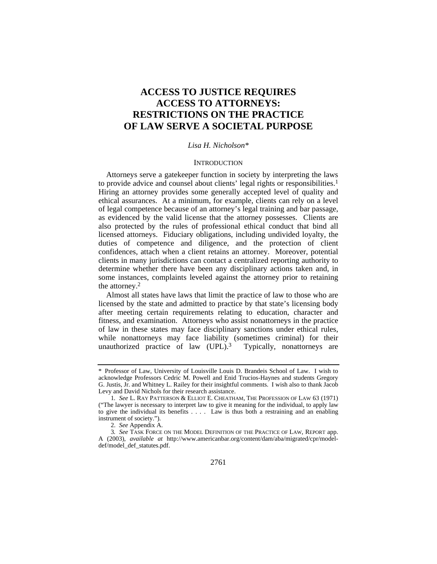# **ACCESS TO JUSTICE REQUIRES ACCESS TO ATTORNEYS: RESTRICTIONS ON THE PRACTICE OF LAW SERVE A SOCIETAL PURPOSE**

## *Lisa H. Nicholson\**

## **INTRODUCTION**

Attorneys serve a gatekeeper function in society by interpreting the laws to provide advice and counsel about clients' legal rights or responsibilities.1 Hiring an attorney provides some generally accepted level of quality and ethical assurances. At a minimum, for example, clients can rely on a level of legal competence because of an attorney's legal training and bar passage, as evidenced by the valid license that the attorney possesses. Clients are also protected by the rules of professional ethical conduct that bind all licensed attorneys. Fiduciary obligations, including undivided loyalty, the duties of competence and diligence, and the protection of client confidences, attach when a client retains an attorney. Moreover, potential clients in many jurisdictions can contact a centralized reporting authority to determine whether there have been any disciplinary actions taken and, in some instances, complaints leveled against the attorney prior to retaining the attorney.2

Almost all states have laws that limit the practice of law to those who are licensed by the state and admitted to practice by that state's licensing body after meeting certain requirements relating to education, character and fitness, and examination. Attorneys who assist nonattorneys in the practice of law in these states may face disciplinary sanctions under ethical rules, while nonattorneys may face liability (sometimes criminal) for their unauthorized practice of law  $(UPL)$ .<sup>3</sup> Typically, nonattorneys are

<sup>\*</sup> Professor of Law, University of Louisville Louis D. Brandeis School of Law. I wish to acknowledge Professors Cedric M. Powell and Enid Trucios-Haynes and students Gregory G. Justis, Jr. and Whitney L. Railey for their insightful comments. I wish also to thank Jacob Levy and David Nichols for their research assistance.

<sup>1</sup>*. See* L. RAY PATTERSON & ELLIOT E. CHEATHAM, THE PROFESSION OF LAW 63 (1971) ("The lawyer is necessary to interpret law to give it meaning for the individual, to apply law to give the individual its benefits . . . . Law is thus both a restraining and an enabling instrument of society.").

 <sup>2.</sup> *See* Appendix A.

<sup>3</sup>*. See* TASK FORCE ON THE MODEL DEFINITION OF THE PRACTICE OF LAW, REPORT app. A (2003), *available at* http://www.americanbar.org/content/dam/aba/migrated/cpr/modeldef/model\_def\_statutes.pdf.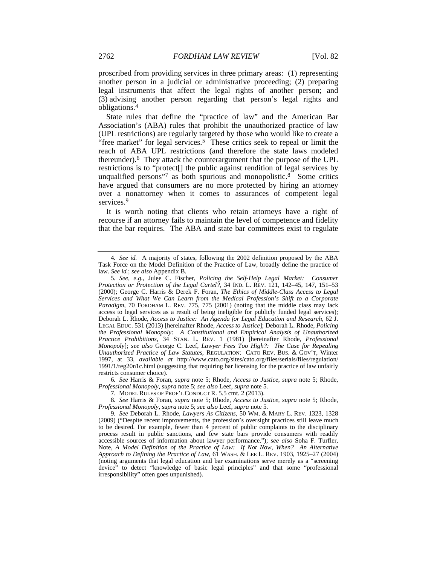proscribed from providing services in three primary areas: (1) representing another person in a judicial or administrative proceeding; (2) preparing legal instruments that affect the legal rights of another person; and (3) advising another person regarding that person's legal rights and obligations.4

State rules that define the "practice of law" and the American Bar Association's (ABA) rules that prohibit the unauthorized practice of law (UPL restrictions) are regularly targeted by those who would like to create a "free market" for legal services.<sup>5</sup> These critics seek to repeal or limit the reach of ABA UPL restrictions (and therefore the state laws modeled thereunder).6 They attack the counterargument that the purpose of the UPL restrictions is to "protect[] the public against rendition of legal services by unqualified persons"<sup>7</sup> as both spurious and monopolistic.<sup>8</sup> Some critics have argued that consumers are no more protected by hiring an attorney over a nonattorney when it comes to assurances of competent legal services.<sup>9</sup>

It is worth noting that clients who retain attorneys have a right of recourse if an attorney fails to maintain the level of competence and fidelity that the bar requires. The ABA and state bar committees exist to regulate

6*. See* Harris & Foran, *supra* note 5; Rhode, *Access to Justice*, *supra* note 5; Rhode, *Professional Monopoly*, *supra* note 5; *see also* Leef, *supra* note 5.

<sup>4</sup>*. See id.* A majority of states, following the 2002 definition proposed by the ABA Task Force on the Model Definition of the Practice of Law, broadly define the practice of law. *See id.*; *see also* Appendix B.

<sup>5</sup>*. See, e.g.*, Julee C. Fischer, *Policing the Self-Help Legal Market: Consumer Protection or Protection of the Legal Cartel?*, 34 IND. L. REV. 121, 142–45, 147, 151–53 (2000); George C. Harris & Derek F. Foran, *The Ethics of Middle-Class Access to Legal Services and What We Can Learn from the Medical Profession's Shift to a Corporate Paradigm*, 70 FORDHAM L. REV. 775, 775 (2001) (noting that the middle class may lack access to legal services as a result of being ineligible for publicly funded legal services); Deborah L. Rhode, *Access to Justice: An Agenda for Legal Education and Research*, 62 J. LEGAL EDUC. 531 (2013) [hereinafter Rhode, *Access to Justice*]; Deborah L. Rhode, *Policing the Professional Monopoly: A Constitutional and Empirical Analysis of Unauthorized Practice Prohibitions*, 34 STAN. L. REV. 1 (1981) [hereinafter Rhode, *Professional Monopoly*]; *see also* George C. Leef, *Lawyer Fees Too High?: The Case for Repealing Unauthorized Practice of Law Statutes*, REGULATION: CATO REV. BUS. & GOV'T, Winter 1997, at 33, *available at* http://www.cato.org/sites/cato.org/files/serials/files/regulation/ 1991/1/reg20n1c.html (suggesting that requiring bar licensing for the practice of law unfairly restricts consumer choice).

 <sup>7.</sup> MODEL RULES OF PROF'L CONDUCT R. 5.5 cmt. 2 (2013).

<sup>8</sup>*. See* Harris & Foran, *supra* note 5; Rhode, *Access to Justice*, *supra* note 5; Rhode, *Professional Monopoly*, *supra* note 5; *see also* Leef, *supra* note 5.

<sup>9</sup>*. See* Deborah L. Rhode, *Lawyers As Citizens*, 50 WM. & MARY L. REV. 1323, 1328 (2009) ("Despite recent improvements, the profession's oversight practices still leave much to be desired. For example, fewer than 4 percent of public complaints to the disciplinary process result in public sanctions, and few state bars provide consumers with readily accessible sources of information about lawyer performance."); *see also* Soha F. Turfler, Note, *A Model Definition of the Practice of Law: If Not Now, When? An Alternative Approach to Defining the Practice of Law*, 61 WASH. & LEE L. REV. 1903, 1925–27 (2004) (noting arguments that legal education and bar examinations serve merely as a "screening device" to detect "knowledge of basic legal principles" and that some "professional irresponsibility" often goes unpunished).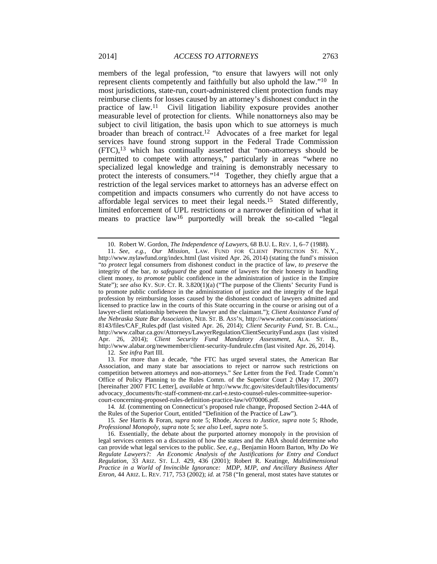members of the legal profession, "to ensure that lawyers will not only represent clients competently and faithfully but also uphold the law."10 In most jurisdictions, state-run, court-administered client protection funds may reimburse clients for losses caused by an attorney's dishonest conduct in the practice of law.11 Civil litigation liability exposure provides another measurable level of protection for clients. While nonattorneys also may be subject to civil litigation, the basis upon which to sue attorneys is much broader than breach of contract.12 Advocates of a free market for legal services have found strong support in the Federal Trade Commission (FTC),13 which has continually asserted that "non-attorneys should be permitted to compete with attorneys," particularly in areas "where no specialized legal knowledge and training is demonstrably necessary to protect the interests of consumers."14 Together, they chiefly argue that a restriction of the legal services market to attorneys has an adverse effect on competition and impacts consumers who currently do not have access to affordable legal services to meet their legal needs.15 Stated differently, limited enforcement of UPL restrictions or a narrower definition of what it means to practice law16 purportedly will break the so-called "legal

 13. For more than a decade, "the FTC has urged several states, the American Bar Association, and many state bar associations to reject or narrow such restrictions on competition between attorneys and non-attorneys." *See* Letter from the Fed. Trade Comm'n Office of Policy Planning to the Rules Comm. of the Superior Court 2 (May 17, 2007) [hereinafter 2007 FTC Letter], *available at* http://www.ftc.gov/sites/default/files/documents/ advocacy\_documents/ftc-staff-comment-mr.carl-e.testo-counsel-rules-committee-superiorcourt-concerning-proposed-rules-definition-practice-law/v070006.pdf.

14*. Id.* (commenting on Connecticut's proposed rule change, Proposed Section 2-44A of the Rules of the Superior Court, entitled "Definition of the Practice of Law").

15*. See* Harris & Foran, *supra* note 5; Rhode, *Access to Justice*, *supra* note 5; Rhode, *Professional Monopoly*, *supra* note 5; *see also* Leef, *supra* note 5.

 16. Essentially, the debate about the purported attorney monopoly in the provision of legal services centers on a discussion of how the states and the ABA should determine *who* can provide what legal services to the public. *See, e.g.*, Benjamin Hoorn Barton, *Why Do We Regulate Lawyers?: An Economic Analysis of the Justifications for Entry and Conduct Regulation*, 33 ARIZ. ST. L.J. 429, 436 (2001); Robert R. Keatinge, *Multidimensional Practice in a World of Invincible Ignorance: MDP, MJP, and Ancillary Business After Enron*, 44 ARIZ. L. REV. 717, 753 (2002); *id.* at 758 ("In general, most states have statutes or

 <sup>10.</sup> Robert W. Gordon, *The Independence of Lawyers*, 68 B.U. L. REV. 1, 6–7 (1988).

<sup>11</sup>*. See, e.g.*, *Our Mission*, LAW. FUND FOR CLIENT PROTECTION ST. N.Y., http://www.nylawfund.org/index.html (last visited Apr. 26, 2014) (stating the fund's mission "*to protect* legal consumers from dishonest conduct in the practice of law, *to preserve* the integrity of the bar, *to safeguard* the good name of lawyers for their honesty in handling client money, *to promote* public confidence in the administration of justice in the Empire State"); see also KY. SUP. CT. R. 3.820(1)(a) ("The purpose of the Clients' Security Fund is to promote public confidence in the administration of justice and the integrity of the legal profession by reimbursing losses caused by the dishonest conduct of lawyers admitted and licensed to practice law in the courts of this State occurring in the course or arising out of a lawyer-client relationship between the lawyer and the claimant."); *Client Assistance Fund of the Nebraska State Bar Association*, NEB. ST. B. ASS'N, http://www.nebar.com/associations/ 8143/files/CAF\_Rules.pdf (last visited Apr. 26, 2014); *Client Security Fund*, ST. B. CAL., http://www.calbar.ca.gov/Attorneys/LawyerRegulation/ClientSecurityFund.aspx (last visited Apr. 26, 2014); *Client Security Fund Mandatory Assessment*, ALA. ST. B., http://www.alabar.org/newmember/client-security-fundrule.cfm (last visited Apr. 26, 2014). 12*. See infra* Part III.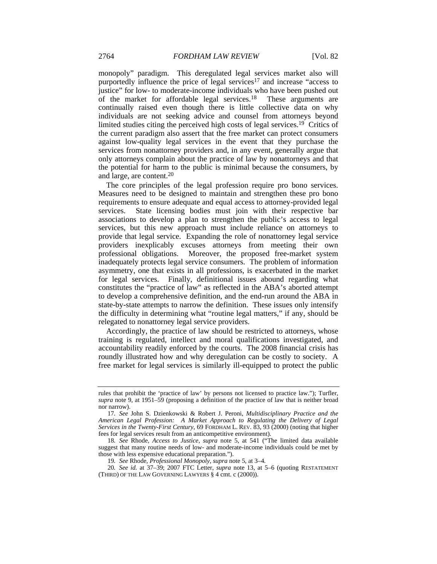monopoly" paradigm. This deregulated legal services market also will purportedly influence the price of legal services<sup>17</sup> and increase "access to justice" for low- to moderate-income individuals who have been pushed out of the market for affordable legal services.18 These arguments are continually raised even though there is little collective data on why individuals are not seeking advice and counsel from attorneys beyond limited studies citing the perceived high costs of legal services.19 Critics of the current paradigm also assert that the free market can protect consumers against low-quality legal services in the event that they purchase the services from nonattorney providers and, in any event, generally argue that only attorneys complain about the practice of law by nonattorneys and that the potential for harm to the public is minimal because the consumers, by and large, are content.20

The core principles of the legal profession require pro bono services. Measures need to be designed to maintain and strengthen these pro bono requirements to ensure adequate and equal access to attorney-provided legal services. State licensing bodies must join with their respective bar associations to develop a plan to strengthen the public's access to legal services, but this new approach must include reliance on attorneys to provide that legal service. Expanding the role of nonattorney legal service providers inexplicably excuses attorneys from meeting their own professional obligations. Moreover, the proposed free-market system inadequately protects legal service consumers. The problem of information asymmetry, one that exists in all professions, is exacerbated in the market for legal services. Finally, definitional issues abound regarding what constitutes the "practice of law" as reflected in the ABA's aborted attempt to develop a comprehensive definition, and the end-run around the ABA in state-by-state attempts to narrow the definition. These issues only intensify the difficulty in determining what "routine legal matters," if any, should be relegated to nonattorney legal service providers.

Accordingly, the practice of law should be restricted to attorneys, whose training is regulated, intellect and moral qualifications investigated, and accountability readily enforced by the courts. The 2008 financial crisis has roundly illustrated how and why deregulation can be costly to society. A free market for legal services is similarly ill-equipped to protect the public

rules that prohibit the 'practice of law' by persons not licensed to practice law."); Turfler, *supra* note 9, at 1951–59 (proposing a definition of the practice of law that is neither broad nor narrow).

<sup>17</sup>*. See* John S. Dzienkowski & Robert J. Peroni, *Multidisciplinary Practice and the American Legal Profession: A Market Approach to Regulating the Delivery of Legal Services in the Twenty-First Century*, 69 FORDHAM L. REV. 83, 93 (2000) (noting that higher fees for legal services result from an anticompetitive environment).

<sup>18</sup>*. See* Rhode, *Access to Justice*, *supra* note 5, at 541 ("The limited data available suggest that many routine needs of low- and moderate-income individuals could be met by those with less expensive educational preparation.").

<sup>19</sup>*. See* Rhode, *Professional Monopoly*, *supra* note 5, at 3–4.

<sup>20</sup>*. See id.* at 37–39; 2007 FTC Letter, *supra* note 13, at 5–6 (quoting RESTATEMENT (THIRD) OF THE LAW GOVERNING LAWYERS § 4 cmt. c (2000)).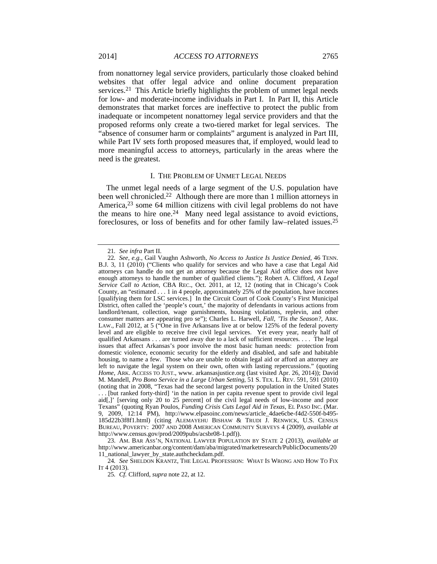from nonattorney legal service providers, particularly those cloaked behind websites that offer legal advice and online document preparation services.<sup>21</sup> This Article briefly highlights the problem of unmet legal needs for low- and moderate-income individuals in Part I. In Part II, this Article demonstrates that market forces are ineffective to protect the public from inadequate or incompetent nonattorney legal service providers and that the proposed reforms only create a two-tiered market for legal services. The "absence of consumer harm or complaints" argument is analyzed in Part III, while Part IV sets forth proposed measures that, if employed, would lead to more meaningful access to attorneys, particularly in the areas where the need is the greatest.

## I. THE PROBLEM OF UNMET LEGAL NEEDS

The unmet legal needs of a large segment of the U.S. population have been well chronicled.22 Although there are more than 1 million attorneys in America,<sup>23</sup> some 64 million citizens with civil legal problems do not have the means to hire one.<sup>24</sup> Many need legal assistance to avoid evictions, foreclosures, or loss of benefits and for other family law–related issues.25

24*. See* SHELDON KRANTZ, THE LEGAL PROFESSION: WHAT IS WRONG AND HOW TO FIX IT 4 (2013).

<sup>21</sup>*. See infra* Part II.

<sup>22</sup>*. See, e.g.*, Gail Vaughn Ashworth, *No Access to Justice Is Justice Denied*, 46 TENN. B.J. 3, 11 (2010) ("Clients who qualify for services and who have a case that Legal Aid attorneys can handle do not get an attorney because the Legal Aid office does not have enough attorneys to handle the number of qualified clients."); Robert A. Clifford, *A Legal Service Call to Action*, CBA REC., Oct. 2011, at 12, 12 (noting that in Chicago's Cook County, an "estimated . . . 1 in 4 people, approximately 25% of the population, have incomes [qualifying them for LSC services.] In the Circuit Court of Cook County's First Municipal District, often called the 'people's court,' the majority of defendants in various actions from landlord/tenant, collection, wage garnishments, housing violations, replevin, and other consumer matters are appearing pro se"); Charles L. Harwell, *Fall, 'Tis the Season?*, ARK. LAW., Fall 2012, at 5 ("One in five Arkansans live at or below 125% of the federal poverty level and are eligible to receive free civil legal services. Yet every year, nearly half of qualified Arkansans . . . are turned away due to a lack of sufficient resources. . . . The legal issues that affect Arkansas's poor involve the most basic human needs: protection from domestic violence, economic security for the elderly and disabled, and safe and habitable housing, to name a few. Those who are unable to obtain legal aid or afford an attorney are left to navigate the legal system on their own, often with lasting repercussions." (quoting *Home*, ARK. ACCESS TO JUST., www. arkansasjustice.org (last visited Apr. 26, 2014)); David M. Mandell, *Pro Bono Service in a Large Urban Setting*, 51 S. TEX. L. REV. 591, 591 (2010) (noting that in 2008, "Texas had the second largest poverty population in the United States . . . [but ranked forty-third] 'in the nation in per capita revenue spent to provide civil legal aid[,]' [serving only 20 to 25 percent] of the civil legal needs of low-income and poor Texans" (quoting Ryan Poulos, *Funding Crisis Cuts Legal Aid in Texas*, EL PASO INC. (Mar. 9, 2009, 12:14 PM), http://www.elpasoinc.com/news/article\_4dae6cbe-f4d2-550f-b495- 185d22b3f8f1.html) (citing ALEMAYEHU BISHAW & TRUDI J. RENWICK, U.S. CENSUS BUREAU, POVERTY: 2007 AND 2008 AMERICAN COMMUNITY SURVEYS 4 (2009), *available at* http://www.census.gov/prod/2009pubs/acsbr08-1.pdf)).

 <sup>23.</sup> AM. BAR ASS'N, NATIONAL LAWYER POPULATION BY STATE 2 (2013), *available at* http://www.americanbar.org/content/dam/aba/migrated/marketresearch/PublicDocuments/20 11\_national\_lawyer\_by\_state.authcheckdam.pdf.

<sup>25</sup>*. Cf.* Clifford, *supra* note 22, at 12.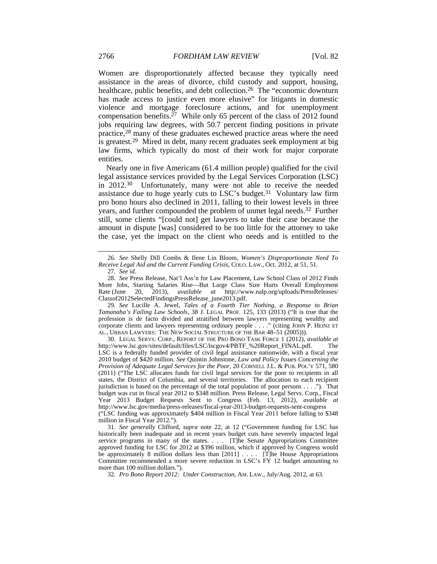Women are disproportionately affected because they typically need assistance in the areas of divorce, child custody and support, housing, healthcare, public benefits, and debt collection.<sup>26</sup> The "economic downturn has made access to justice even more elusive" for litigants in domestic violence and mortgage foreclosure actions, and for unemployment compensation benefits.<sup>27</sup> While only 65 percent of the class of 2012 found jobs requiring law degrees, with 50.7 percent finding positions in private practice,28 many of these graduates eschewed practice areas where the need is greatest.29 Mired in debt, many recent graduates seek employment at big law firms, which typically do most of their work for major corporate entities.

Nearly one in five Americans (61.4 million people) qualified for the civil legal assistance services provided by the Legal Services Corporation (LSC) in 2012.30 Unfortunately, many were not able to receive the needed assistance due to huge yearly cuts to LSC's budget.<sup>31</sup> Voluntary law firm pro bono hours also declined in 2011, falling to their lowest levels in three years, and further compounded the problem of unmet legal needs.<sup>32</sup> Further still, some clients "[could not] get lawyers to take their case because the amount in dispute [was] considered to be too little for the attorney to take the case, yet the impact on the client who needs and is entitled to the

29*. See* Lucille A. Jewel, *Tales of a Fourth Tier Nothing, a Response to Brian Tamanaha's Failing Law Schools*, 38 J. LEGAL PROF. 125, 133 (2013) ("It is true that the profession is de facto divided and stratified between lawyers representing wealthy and corporate clients and lawyers representing ordinary people . . . ." (citing JOHN P. HEINZ ET AL., URBAN LAWYERS: THE NEW SOCIAL STRUCTURE OF THE BAR 48–51 (2005))).

 30. LEGAL SERVS. CORP., REPORT OF THE PRO BONO TASK FORCE 1 (2012), *available at* http://www.lsc.gov/sites/default/files/LSC/lscgov4/PBTF\_%20Report\_FINAL.pdf. The LSC is a federally funded provider of civil legal assistance nationwide, with a fiscal year 2010 budget of \$420 million. *See* Quintin Johnstone, *Law and Policy Issues Concerning the Provision of Adequate Legal Services for the Poor*, 20 CORNELL J.L. & PUB. POL'Y 571, 580 (2011) ("The LSC allocates funds for civil legal services for the poor to recipients in all states, the District of Columbia, and several territories. The allocation to each recipient jurisdiction is based on the percentage of the total population of poor persons . . . ."). That budget was cut in fiscal year 2012 to \$348 million. Press Release, Legal Servs. Corp., Fiscal Year 2013 Budget Requests Sent to Congress (Feb. 13, 2012), *available at* http://www.lsc.gov/media/press-releases/fiscal-year-2013-budget-requests-sent-congress ("LSC funding was approximately \$404 million in Fiscal Year 2011 before falling to \$348 million in Fiscal Year 2012.").

31*. See generally* Clifford, *supra* note 22, at 12 ("Government funding for LSC has historically been inadequate and in recent years budget cuts have severely impacted legal service programs in many of the states. . . . [T]he Senate Appropriations Committee approved funding for LSC for 2012 at \$396 million, which if approved by Congress would be approximately 8 million dollars less than  $[2011]$  . . . . [T]he House Appropriations Committee recommended a more severe reduction in LSC's FY 12 budget amounting to more than 100 million dollars.").

32*. Pro Bono Report 2012: Under Construction*, AM. LAW., July/Aug. 2012, at 63.

<sup>26</sup>*. See* Shelly Dill Combs & Ilene Lin Bloom, *Women's Disproportionate Need To Receive Legal Aid and the Current Funding Crisis*, COLO. LAW., Oct. 2012, at 51, 51.

<sup>27</sup>*. See id.*

<sup>28</sup>*. See* Press Release, Nat'l Ass'n for Law Placement, Law School Class of 2012 Finds More Jobs, Starting Salaries Rise—But Large Class Size Hurts Overall Employment Rate (June 20, 2013), *available at* http://www.nalp.org/uploads/PressReleases/ Classof2012SelectedFindingsPressRelease\_june2013.pdf.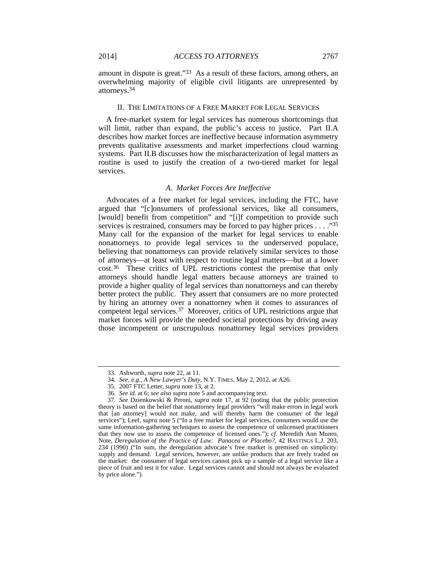#### II. THE LIMITATIONS OF A FREE MARKET FOR LEGAL SERVICES

A free-market system for legal services has numerous shortcomings that will limit, rather than expand, the public's access to justice. Part II.A describes how market forces are ineffective because information asymmetry prevents qualitative assessments and market imperfections cloud warning systems. Part II.B discusses how the mischaracterization of legal matters as routine is used to justify the creation of a two-tiered market for legal services.

## *A. Market Forces Are Ineffective*

Advocates of a free market for legal services, including the FTC, have argued that "[c]onsumers of professional services, like all consumers, [would] benefit from competition" and "[i]f competition to provide such services is restrained, consumers may be forced to pay higher prices . . . . "35" Many call for the expansion of the market for legal services to enable nonattorneys to provide legal services to the underserved populace, believing that nonattorneys can provide relatively similar services to those of attorneys—at least with respect to routine legal matters—but at a lower cost.36 These critics of UPL restrictions contest the premise that only attorneys should handle legal matters because attorneys are trained to provide a higher quality of legal services than nonattorneys and can thereby better protect the public. They assert that consumers are no more protected by hiring an attorney over a nonattorney when it comes to assurances of competent legal services.37 Moreover, critics of UPL restrictions argue that market forces will provide the needed societal protections by driving away those incompetent or unscrupulous nonattorney legal services providers

 <sup>33.</sup> Ashworth, *supra* note 22, at 11.

<sup>34</sup>*. See, e.g.*, *A New Lawyer's Duty*, N.Y. TIMES, May 2, 2012, at A26.

 <sup>35. 2007</sup> FTC Letter, *supra* note 13, at 2.

<sup>36</sup>*. See id.* at 6; *see also supra* note 5 and accompanying text.

<sup>37</sup>*. See* Dzienkowski & Peroni, *supra* note 17, at 92 (noting that the public protection theory is based on the belief that nonattorney legal providers "will make errors in legal work that [an attorney] would not make, and will thereby harm the consumer of the legal services"); Leef, *supra* note 5 ("In a free market for legal services, consumers would use the same information-gathering techniques to assess the competence of unlicensed practitioners that they now use to assess the competence of licensed ones."); *cf.* Meredith Ann Munro, Note, *Deregulation of the Practice of Law: Panacea or Placebo?*, 42 HASTINGS L.J. 203, 234 (1990) ("In sum, the deregulation advocate's free market is premised on simplicity: supply and demand. Legal services, however, are unlike products that are freely traded on the market: the consumer of legal services cannot pick up a sample of a legal service like a piece of fruit and test it for value. Legal services cannot and should not always be evaluated by price alone.").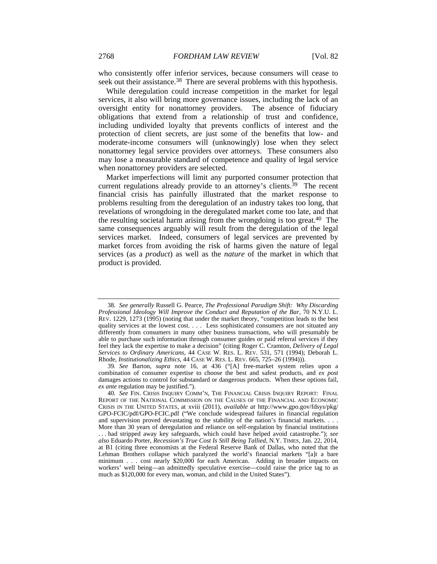who consistently offer inferior services, because consumers will cease to seek out their assistance.<sup>38</sup> There are several problems with this hypothesis.

While deregulation could increase competition in the market for legal services, it also will bring more governance issues, including the lack of an oversight entity for nonattorney providers. The absence of fiduciary obligations that extend from a relationship of trust and confidence, including undivided loyalty that prevents conflicts of interest and the protection of client secrets, are just some of the benefits that low- and moderate-income consumers will (unknowingly) lose when they select nonattorney legal service providers over attorneys. These consumers also may lose a measurable standard of competence and quality of legal service when nonattorney providers are selected.

Market imperfections will limit any purported consumer protection that current regulations already provide to an attorney's clients.<sup>39</sup> The recent financial crisis has painfully illustrated that the market response to problems resulting from the deregulation of an industry takes too long, that revelations of wrongdoing in the deregulated market come too late, and that the resulting societal harm arising from the wrongdoing is too great.40 The same consequences arguably will result from the deregulation of the legal services market. Indeed, consumers of legal services are prevented by market forces from avoiding the risk of harms given the nature of legal services (as a *product*) as well as the *nature* of the market in which that product is provided.

<sup>38</sup>*. See generally* Russell G. Pearce, *The Professional Paradigm Shift: Why Discarding Professional Ideology Will Improve the Conduct and Reputation of the Bar*, 70 N.Y.U. L. REV. 1229, 1273 (1995) (noting that under the market theory, "competition leads to the best quality services at the lowest cost. . . . Less sophisticated consumers are not situated any differently from consumers in many other business transactions, who will presumably be able to purchase such information through consumer guides or paid referral services if they feel they lack the expertise to make a decision" (citing Roger C. Cramton, *Delivery of Legal Services to Ordinary Americans*, 44 CASE W. RES. L. REV. 531, 571 (1994); Deborah L. Rhode, *Institutionalizing Ethics*, 44 CASE W. RES. L. REV. 665, 725–26 (1994))).

<sup>39</sup>*. See* Barton, *supra* note 16, at 436 ("[A] free-market system relies upon a combination of consumer expertise to choose the best and safest products, and *ex post* damages actions to control for substandard or dangerous products. When these options fail, *ex ante* regulation may be justified.").

<sup>40</sup>*. See* FIN. CRISIS INQUIRY COMM'N, THE FINANCIAL CRISIS INQUIRY REPORT: FINAL REPORT OF THE NATIONAL COMMISSION ON THE CAUSES OF THE FINANCIAL AND ECONOMIC CRISIS IN THE UNITED STATES, at xviii (2011), *available at* http://www.gpo.gov/fdsys/pkg/ GPO-FCIC/pdf/GPO-FCIC.pdf ("We conclude widespread failures in financial regulation and supervision proved devastating to the stability of the nation's financial markets. . . .

More than 30 years of deregulation and reliance on self-regulation by financial institutions . . . had stripped away key safeguards, which could have helped avoid catastrophe."); *see also* Eduardo Porter, *Recession's True Cost Is Still Being Tallied*, N.Y. TIMES, Jan. 22, 2014, at B1 (citing three economists at the Federal Reserve Bank of Dallas, who noted that the Lehman Brothers collapse which paralyzed the world's financial markets "[a]t a bare minimum . . . cost nearly \$20,000 for each American. Adding in broader impacts on workers' well being—an admittedly speculative exercise—could raise the price tag to as much as \$120,000 for every man, woman, and child in the United States").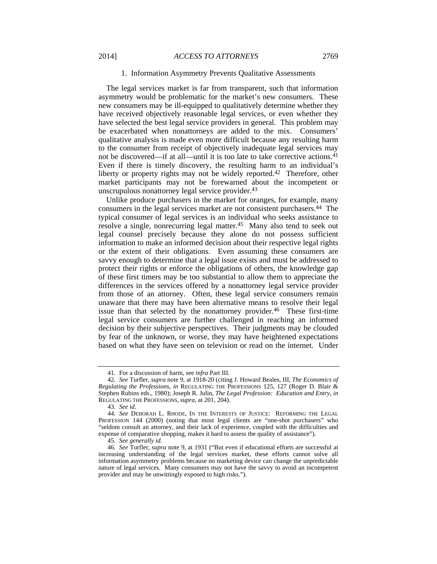## 1. Information Asymmetry Prevents Qualitative Assessments

The legal services market is far from transparent, such that information asymmetry would be problematic for the market's new consumers. These new consumers may be ill-equipped to qualitatively determine whether they have received objectively reasonable legal services, or even whether they have selected the best legal service providers in general. This problem may be exacerbated when nonattorneys are added to the mix. Consumers' qualitative analysis is made even more difficult because any resulting harm to the consumer from receipt of objectively inadequate legal services may not be discovered—if at all—until it is too late to take corrective actions.<sup>41</sup> Even if there is timely discovery, the resulting harm to an individual's liberty or property rights may not be widely reported.<sup>42</sup> Therefore, other market participants may not be forewarned about the incompetent or unscrupulous nonattorney legal service provider.<sup>43</sup>

Unlike produce purchasers in the market for oranges, for example, many consumers in the legal services market are not consistent purchasers.44 The typical consumer of legal services is an individual who seeks assistance to resolve a single, nonrecurring legal matter.45 Many also tend to seek out legal counsel precisely because they alone do not possess sufficient information to make an informed decision about their respective legal rights or the extent of their obligations. Even assuming these consumers are savvy enough to determine that a legal issue exists and must be addressed to protect their rights or enforce the obligations of others, the knowledge gap of these first timers may be too substantial to allow them to appreciate the differences in the services offered by a nonattorney legal service provider from those of an attorney. Often, these legal service consumers remain unaware that there may have been alternative means to resolve their legal issue than that selected by the nonattorney provider.46 These first-time legal service consumers are further challenged in reaching an informed decision by their subjective perspectives. Their judgments may be clouded by fear of the unknown, or worse, they may have heightened expectations based on what they have seen on television or read on the internet. Under

<sup>41</sup>*.* For a discussion of harm, see *infra* Part III.

<sup>42</sup>*. See* Turfler, *supra* note 9, at 1918-20 (citing J. Howard Beales, III, *The Economics of Regulating the Professions*, *in* REGULATING THE PROFESSIONS 125, 127 (Roger D. Blair & Stephen Rubins eds., 1980); Joseph R. Julin, *The Legal Profession: Education and Entry*, *in* REGULATING THE PROFESSIONS, *supra*, at 201, 204).

<sup>43</sup>*. See id.*

<sup>44</sup>*. See* DEBORAH L. RHODE, IN THE INTERESTS OF JUSTICE: REFORMING THE LEGAL PROFESSION 144 (2000) (noting that most legal clients are "one-shot purchasers" who "seldom consult an attorney, and their lack of experience, coupled with the difficulties and expense of comparative shopping, makes it hard to assess the quality of assistance").

<sup>45</sup>*. See generally id.*

<sup>46</sup>*. See* Turfler, *supra* note 9, at 1931 ("But even if educational efforts are successful at increasing understanding of the legal services market, these efforts cannot solve all information asymmetry problems because no marketing device can change the unpredictable nature of legal services. Many consumers may not have the savvy to avoid an incompetent provider and may be unwittingly exposed to high risks.").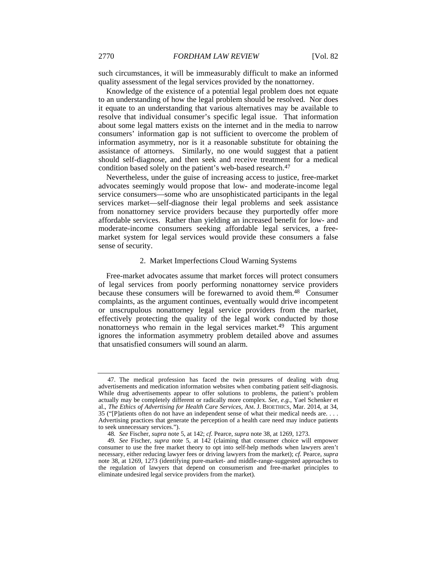such circumstances, it will be immeasurably difficult to make an informed quality assessment of the legal services provided by the nonattorney.

Knowledge of the existence of a potential legal problem does not equate to an understanding of how the legal problem should be resolved. Nor does it equate to an understanding that various alternatives may be available to resolve that individual consumer's specific legal issue. That information about some legal matters exists on the internet and in the media to narrow consumers' information gap is not sufficient to overcome the problem of information asymmetry, nor is it a reasonable substitute for obtaining the assistance of attorneys. Similarly, no one would suggest that a patient should self-diagnose, and then seek and receive treatment for a medical condition based solely on the patient's web-based research.<sup>47</sup>

Nevertheless, under the guise of increasing access to justice, free-market advocates seemingly would propose that low- and moderate-income legal service consumers—some who are unsophisticated participants in the legal services market—self-diagnose their legal problems and seek assistance from nonattorney service providers because they purportedly offer more affordable services. Rather than yielding an increased benefit for low- and moderate-income consumers seeking affordable legal services, a freemarket system for legal services would provide these consumers a false sense of security.

#### 2. Market Imperfections Cloud Warning Systems

Free-market advocates assume that market forces will protect consumers of legal services from poorly performing nonattorney service providers because these consumers will be forewarned to avoid them.<sup>48</sup> Consumer complaints, as the argument continues, eventually would drive incompetent or unscrupulous nonattorney legal service providers from the market, effectively protecting the quality of the legal work conducted by those nonattorneys who remain in the legal services market.<sup>49</sup> This argument ignores the information asymmetry problem detailed above and assumes that unsatisfied consumers will sound an alarm.

 <sup>47.</sup> The medical profession has faced the twin pressures of dealing with drug advertisements and medication information websites when combating patient self-diagnosis. While drug advertisements appear to offer solutions to problems, the patient's problem actually may be completely different or radically more complex. *See, e.g.*, Yael Schenker et al., *The Ethics of Advertising for Health Care Services*, AM. J. BIOETHICS, Mar. 2014, at 34, 35 ("[P]atients often do not have an independent sense of what their medical needs are. . . . Advertising practices that generate the perception of a health care need may induce patients to seek unnecessary services.").

<sup>48</sup>*. See* Fischer, *supra* note 5, at 142; *cf.* Pearce, *supra* note 38, at 1269, 1273.

<sup>49</sup>*. See* Fischer, *supra* note 5, at 142 (claiming that consumer choice will empower consumer to use the free market theory to opt into self-help methods when lawyers aren't necessary, either reducing lawyer fees or driving lawyers from the market); *cf.* Pearce, *supra* note 38, at 1269, 1273 (identifying pure-market- and middle-range-suggested approaches to the regulation of lawyers that depend on consumerism and free-market principles to eliminate undesired legal service providers from the market).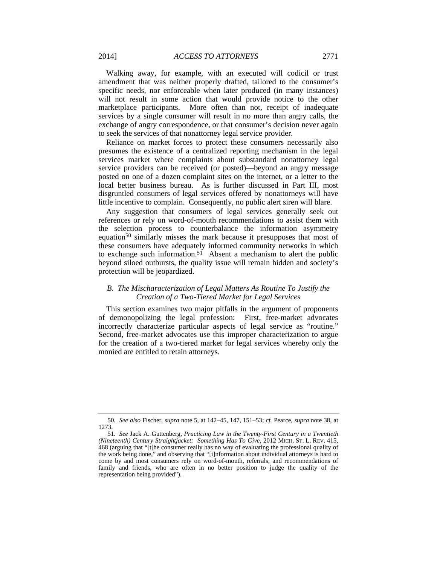Walking away, for example, with an executed will codicil or trust amendment that was neither properly drafted, tailored to the consumer's specific needs, nor enforceable when later produced (in many instances) will not result in some action that would provide notice to the other marketplace participants. More often than not, receipt of inadequate services by a single consumer will result in no more than angry calls, the exchange of angry correspondence, or that consumer's decision never again to seek the services of that nonattorney legal service provider.

Reliance on market forces to protect these consumers necessarily also presumes the existence of a centralized reporting mechanism in the legal services market where complaints about substandard nonattorney legal service providers can be received (or posted)—beyond an angry message posted on one of a dozen complaint sites on the internet, or a letter to the local better business bureau. As is further discussed in Part III, most disgruntled consumers of legal services offered by nonattorneys will have little incentive to complain. Consequently, no public alert siren will blare.

Any suggestion that consumers of legal services generally seek out references or rely on word-of-mouth recommendations to assist them with the selection process to counterbalance the information asymmetry equation<sup>50</sup> similarly misses the mark because it presupposes that most of these consumers have adequately informed community networks in which to exchange such information.<sup>51</sup> Absent a mechanism to alert the public beyond siloed outbursts, the quality issue will remain hidden and society's protection will be jeopardized.

## *B. The Mischaracterization of Legal Matters As Routine To Justify the Creation of a Two-Tiered Market for Legal Services*

This section examines two major pitfalls in the argument of proponents of demonopolizing the legal profession: First, free-market advocates incorrectly characterize particular aspects of legal service as "routine." Second, free-market advocates use this improper characterization to argue for the creation of a two-tiered market for legal services whereby only the monied are entitled to retain attorneys.

<sup>50</sup>*. See also* Fischer, *supra* note 5, at 142–45, 147, 151–53; *cf.* Pearce, *supra* note 38, at 1273.

<sup>51</sup>*. See* Jack A. Guttenberg, *Practicing Law in the Twenty-First Century in a Twentieth (Nineteenth) Century Straightjacket: Something Has To Give*, 2012 MICH. ST. L. REV. 415, 468 (arguing that "[t]he consumer really has no way of evaluating the professional quality of the work being done," and observing that "[i]nformation about individual attorneys is hard to come by and most consumers rely on word-of-mouth, referrals, and recommendations of family and friends, who are often in no better position to judge the quality of the representation being provided").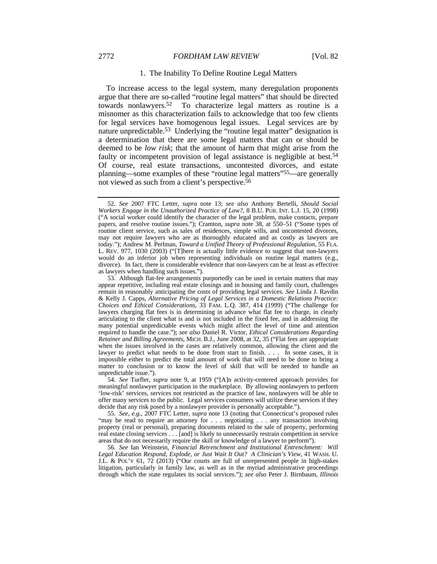#### 2772 *FORDHAM LAW REVIEW* [Vol. 82

#### 1. The Inability To Define Routine Legal Matters

To increase access to the legal system, many deregulation proponents argue that there are so-called "routine legal matters" that should be directed towards nonlawyers.52 To characterize legal matters as routine is a misnomer as this characterization fails to acknowledge that too few clients for legal services have homogenous legal issues. Legal services are by nature unpredictable.<sup>53</sup> Underlying the "routine legal matter" designation is a determination that there are some legal matters that can or should be deemed to be *low risk*; that the amount of harm that might arise from the faulty or incompetent provision of legal assistance is negligible at best.<sup>54</sup> Of course, real estate transactions, uncontested divorces, and estate planning—some examples of these "routine legal matters"55—are generally not viewed as such from a client's perspective.56

55*. See, e.g.*, 2007 FTC Letter, *supra* note 13 (noting that Connecticut's proposed rules "may be read to require an attorney for . . . negotiating . . . any transaction involving property (real or personal), preparing documents related to the sale of property, performing real estate closing services . . . [and] is likely to unnecessarily restrain competition in service areas that do not necessarily require the skill or knowledge of a lawyer to perform").

56*. See* Ian Weinstein, *Financial Retrenchment and Institutional Entrenchment: Will Legal Education Respond, Explode, or Just Wait It Out? A Clinician's View*, 41 WASH. U. J.L. & POL'Y 61, 72 (2013) ("Our courts are full of unrepresented people in high-stakes litigation, particularly in family law, as well as in the myriad administrative proceedings through which the state regulates its social services."); *see also* Peter J. Birnbaum, *Illinois* 

<sup>52</sup>*. See* 2007 FTC Letter, *supra* note 13; *see also* Anthony Bertelli, *Should Social Workers Engage in the Unauthorized Practice of Law?*, 8 B.U. PUB. INT. L.J. 15, 20 (1998) ("A social worker could identify the character of the legal problem, make contacts, prepare papers, and resolve routine issues."); Cramton, *supra* note 38, at 550–51 ("Some types of routine client service, such as sales of residences, simple wills, and uncontested divorces, may not require lawyers who are as thoroughly educated and as costly as lawyers are today."); Andrew M. Perlman, *Toward a Unified Theory of Professional Regulation*, 55 FLA. L. REV. 977, 1030 (2003) ("[T]here is actually little evidence to suggest that non-lawyers would do an inferior job when representing individuals on routine legal matters (e.g., divorce). In fact, there is considerable evidence that non-lawyers can be at least as effective as lawyers when handling such issues.").

 <sup>53.</sup> Although flat-fee arrangements purportedly can be used in certain matters that may appear repetitive, including real estate closings and in housing and family court, challenges remain in reasonably anticipating the costs of providing legal services. *See* Linda J. Ravdin & Kelly J. Capps, *Alternative Pricing of Legal Services in a Domestic Relations Practice: Choices and Ethical Considerations*, 33 FAM. L.Q. 387, 414 (1999) ("The challenge for lawyers charging flat fees is in determining in advance what flat fee to charge, in clearly articulating to the client what is and is not included in the fixed fee, and in addressing the many potential unpredictable events which might affect the level of time and attention required to handle the case."); *see also* Daniel R. Victor, *Ethical Considerations Regarding Retainer and Billing Agreements*, MICH. B.J., June 2008, at 32, 35 ("Flat fees are appropriate when the issues involved in the cases are relatively common, allowing the client and the lawyer to predict what needs to be done from start to finish. . . . In some cases, it is impossible either to predict the total amount of work that will need to be done to bring a matter to conclusion or to know the level of skill that will be needed to handle an unpredictable issue.").

<sup>54</sup>*. See* Turfler, *supra* note 9, at 1959 ("[A]n activity-centered approach provides for meaningful nonlawyer participation in the marketplace. By allowing nonlawyers to perform 'low-risk' services, services not restricted as the practice of law, nonlawyers will be able to offer many services to the public. Legal services consumers will utilize these services if they decide that any risk posed by a nonlawyer provider is personally acceptable.").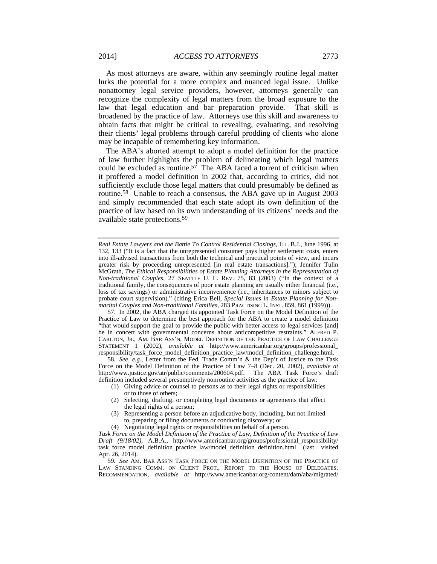As most attorneys are aware, within any seemingly routine legal matter lurks the potential for a more complex and nuanced legal issue. Unlike nonattorney legal service providers, however, attorneys generally can recognize the complexity of legal matters from the broad exposure to the law that legal education and bar preparation provide. That skill is broadened by the practice of law. Attorneys use this skill and awareness to obtain facts that might be critical to revealing, evaluating, and resolving their clients' legal problems through careful prodding of clients who alone may be incapable of remembering key information.

The ABA's aborted attempt to adopt a model definition for the practice of law further highlights the problem of delineating which legal matters could be excluded as routine.<sup>57</sup> The ABA faced a torrent of criticism when it proffered a model definition in 2002 that, according to critics, did not sufficiently exclude those legal matters that could presumably be defined as routine.58 Unable to reach a consensus, the ABA gave up in August 2003 and simply recommended that each state adopt its own definition of the practice of law based on its own understanding of its citizens' needs and the available state protections.59

 57. In 2002, the ABA charged its appointed Task Force on the Model Definition of the Practice of Law to determine the best approach for the ABA to create a model definition "that would support the goal to provide the public with better access to legal services [and] be in concert with governmental concerns about anticompetitive restraints." ALFRED P. CARLTON, JR., AM. BAR ASS'N, MODEL DEFINITION OF THE PRACTICE OF LAW CHALLENGE STATEMENT 1 (2002), *available at* http://www.americanbar.org/groups/professional\_ responsibility/task\_force\_model\_definition\_practice\_law/model\_definition\_challenge.html.

58*. See, e.g.*, Letter from the Fed. Trade Comm'n & the Dep't of Justice to the Task Force on the Model Definition of the Practice of Law 7–8 (Dec. 20, 2002), *available at* http://www.justice.gov/atr/public/comments/200604.pdf. The ABA Task Force's draft definition included several presumptively nonroutine activities as the practice of law:

- (1) Giving advice or counsel to persons as to their legal rights or responsibilities or to those of others;
- (2) Selecting, drafting, or completing legal documents or agreements that affect the legal rights of a person;
- (3) Representing a person before an adjudicative body, including, but not limited to, preparing or filing documents or conducting discovery; or
- (4) Negotiating legal rights or responsibilities on behalf of a person.

*Real Estate Lawyers and the Battle To Control Residential Closings*, ILL. B.J., June 1996, at 132, 133 ("It is a fact that the unrepresented consumer pays higher settlement costs, enters into ill-advised transactions from both the technical and practical points of view, and incurs greater risk by proceeding unrepresented [in real estate transactions]."); Jennifer Tulin McGrath, *The Ethical Responsibilities of Estate Planning Attorneys in the Representation of Non-traditional Couples*, 27 SEATTLE U. L. REV. 75, 83 (2003) ("In the context of a traditional family, the consequences of poor estate planning are usually either financial (i.e., loss of tax savings) or administrative inconvenience (i.e., inheritances to minors subject to probate court supervision)." (citing Erica Bell, *Special Issues in Estate Planning for Nonmarital Couples and Non-traditional Families*, 283 PRACTISING L. INST. 859, 861 (1999))).

*Task Force on the Model Definition of the Practice of Law, Definition of the Practice of Law Draft (9/18/02)*, A.B.A., http://www.americanbar.org/groups/professional\_responsibility/ task\_force\_model\_definition\_practice\_law/model\_definition\_definition.html (last visited Apr. 26, 2014).

<sup>59</sup>*. See* AM. BAR ASS'N TASK FORCE ON THE MODEL DEFINITION OF THE PRACTICE OF LAW STANDING COMM. ON CLIENT PROT., REPORT TO THE HOUSE OF DELEGATES: RECOMMENDATION, *available at* http://www.americanbar.org/content/dam/aba/migrated/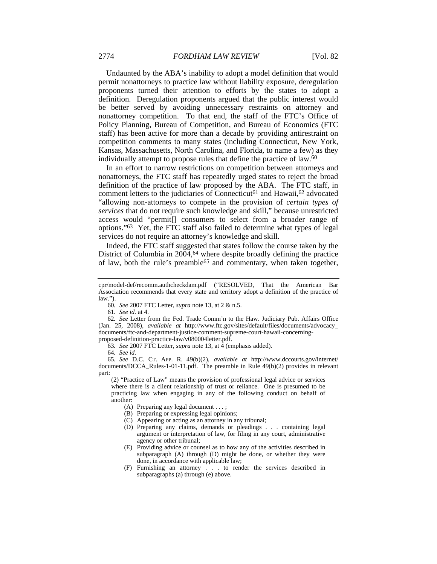Undaunted by the ABA's inability to adopt a model definition that would permit nonattorneys to practice law without liability exposure, deregulation proponents turned their attention to efforts by the states to adopt a definition. Deregulation proponents argued that the public interest would be better served by avoiding unnecessary restraints on attorney and nonattorney competition. To that end, the staff of the FTC's Office of Policy Planning, Bureau of Competition, and Bureau of Economics (FTC staff) has been active for more than a decade by providing antirestraint on competition comments to many states (including Connecticut, New York, Kansas, Massachusetts, North Carolina, and Florida, to name a few) as they individually attempt to propose rules that define the practice of law.60

In an effort to narrow restrictions on competition between attorneys and nonattorneys, the FTC staff has repeatedly urged states to reject the broad definition of the practice of law proposed by the ABA. The FTC staff, in comment letters to the judiciaries of Connecticut<sup>61</sup> and Hawaii,<sup>62</sup> advocated "allowing non-attorneys to compete in the provision of *certain types of services* that do not require such knowledge and skill," because unrestricted access would "permit[] consumers to select from a broader range of options."63 Yet, the FTC staff also failed to determine what types of legal services do not require an attorney's knowledge and skill.

Indeed, the FTC staff suggested that states follow the course taken by the District of Columbia in 2004,<sup>64</sup> where despite broadly defining the practice of law, both the rule's preamble65 and commentary, when taken together,

61*. See id.* at 4.

63*. See* 2007 FTC Letter, *supra* note 13, at 4 (emphasis added).

64*. See id.*

65*. See* D.C. CT. APP. R. 49(b)(2), *available at* http://www.dccourts.gov/internet/ documents/DCCA\_Rules-1-01-11.pdf. The preamble in Rule 49(b)(2) provides in relevant part:

(2) "Practice of Law" means the provision of professional legal advice or services where there is a client relationship of trust or reliance. One is presumed to be practicing law when engaging in any of the following conduct on behalf of another:

- (A) Preparing any legal document . . . ;
- (B) Preparing or expressing legal opinions;
- (C) Appearing or acting as an attorney in any tribunal;
- (D) Preparing any claims, demands or pleadings . . . containing legal argument or interpretation of law, for filing in any court, administrative agency or other tribunal;
- (E) Providing advice or counsel as to how any of the activities described in subparagraph (A) through (D) might be done, or whether they were done, in accordance with applicable law;
- (F) Furnishing an attorney . . . to render the services described in subparagraphs (a) through (e) above.

cpr/model-def/recomm.authcheckdam.pdf ("RESOLVED, That the American Bar Association recommends that every state and territory adopt a definition of the practice of law.").

<sup>60</sup>*. See* 2007 FTC Letter, *supra* note 13, at 2 & n.5.

<sup>62</sup>*. See* Letter from the Fed. Trade Comm'n to the Haw. Judiciary Pub. Affairs Office (Jan. 25, 2008), *available at* http://www.ftc.gov/sites/default/files/documents/advocacy\_ documents/ftc-and-department-justice-comment-supreme-court-hawaii-concerningproposed-definition-practice-law/v080004letter.pdf.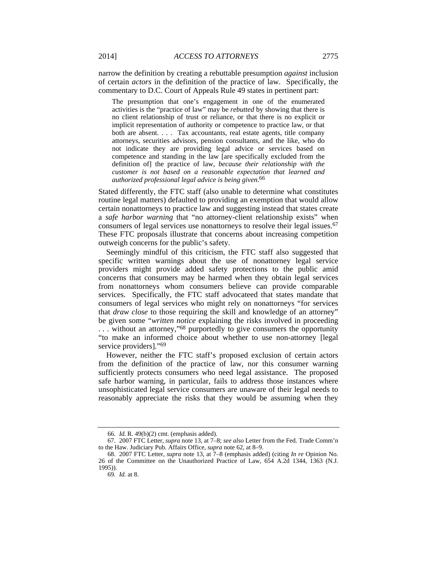narrow the definition by creating a rebuttable presumption *against* inclusion of certain *actors* in the definition of the practice of law. Specifically, the commentary to D.C. Court of Appeals Rule 49 states in pertinent part:

The presumption that one's engagement in one of the enumerated activities is the "practice of law" may be *rebutted* by showing that there is no client relationship of trust or reliance, or that there is no explicit or implicit representation of authority or competence to practice law, or that both are absent. . . . Tax accountants, real estate agents, title company attorneys, securities advisors, pension consultants, and the like, who do not indicate they are providing legal advice or services based on competence and standing in the law [are specifically excluded from the definition of] the practice of law*, because their relationship with the customer is not based on a reasonable expectation that learned and authorized professional legal advice is being given*. 66

Stated differently, the FTC staff (also unable to determine what constitutes routine legal matters) defaulted to providing an exemption that would allow certain nonattorneys to practice law and suggesting instead that states create a *safe harbor warning* that "no attorney-client relationship exists" when consumers of legal services use nonattorneys to resolve their legal issues.67 These FTC proposals illustrate that concerns about increasing competition outweigh concerns for the public's safety.

Seemingly mindful of this criticism, the FTC staff also suggested that specific written warnings about the use of nonattorney legal service providers might provide added safety protections to the public amid concerns that consumers may be harmed when they obtain legal services from nonattorneys whom consumers believe can provide comparable services. Specifically, the FTC staff advocateed that states mandate that consumers of legal services who might rely on nonattorneys "for services that *draw close* to those requiring the skill and knowledge of an attorney" be given some "*written notice* explaining the risks involved in proceeding . . . without an attorney,"68 purportedly to give consumers the opportunity "to make an informed choice about whether to use non-attorney [legal service providers]."<sup>69</sup>

However, neither the FTC staff's proposed exclusion of certain actors from the definition of the practice of law, nor this consumer warning sufficiently protects consumers who need legal assistance. The proposed safe harbor warning, in particular, fails to address those instances where unsophisticated legal service consumers are unaware of their legal needs to reasonably appreciate the risks that they would be assuming when they

 <sup>66.</sup> *Id.* R. 49(b)(2) cmt. (emphasis added).

 <sup>67. 2007</sup> FTC Letter, *supra* note 13, at 7–8; *see also* Letter from the Fed. Trade Comm'n to the Haw. Judiciary Pub. Affairs Office, *supra* note 62, at 8–9.

 <sup>68. 2007</sup> FTC Letter, *supra* note 13, at 7–8 (emphasis added) (citing *In re* Opinion No. 26 of the Committee on the Unauthorized Practice of Law, 654 A.2d 1344, 1363 (N.J. 1995)).

<sup>69</sup>*. Id.* at 8.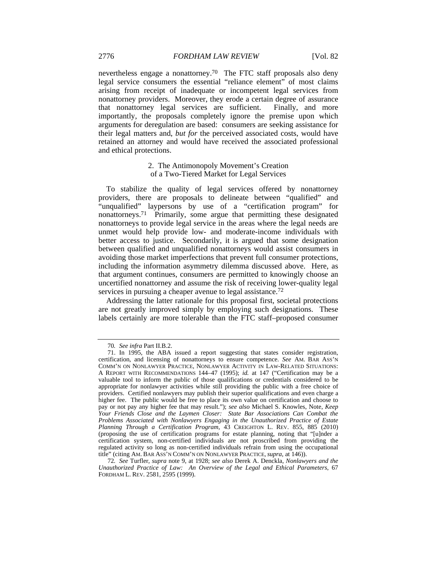nevertheless engage a nonattorney.<sup>70</sup> The FTC staff proposals also deny legal service consumers the essential "reliance element" of most claims arising from receipt of inadequate or incompetent legal services from nonattorney providers. Moreover, they erode a certain degree of assurance that nonattorney legal services are sufficient. Finally, and more importantly, the proposals completely ignore the premise upon which arguments for deregulation are based: consumers are seeking assistance for their legal matters and, *but for* the perceived associated costs, would have retained an attorney and would have received the associated professional and ethical protections.

## 2. The Antimonopoly Movement's Creation of a Two-Tiered Market for Legal Services

To stabilize the quality of legal services offered by nonattorney providers, there are proposals to delineate between "qualified" and "unqualified" laypersons by use of a "certification program" for nonattorneys.<sup>71</sup> Primarily, some argue that permitting these designated nonattorneys to provide legal service in the areas where the legal needs are unmet would help provide low- and moderate-income individuals with better access to justice. Secondarily, it is argued that some designation between qualified and unqualified nonattorneys would assist consumers in avoiding those market imperfections that prevent full consumer protections, including the information asymmetry dilemma discussed above. Here, as that argument continues, consumers are permitted to knowingly choose an uncertified nonattorney and assume the risk of receiving lower-quality legal services in pursuing a cheaper avenue to legal assistance.<sup>72</sup>

Addressing the latter rationale for this proposal first, societal protections are not greatly improved simply by employing such designations. These labels certainly are more tolerable than the FTC staff–proposed consumer

<sup>70</sup>*. See infra* Part II.B.2.

 <sup>71.</sup> In 1995, the ABA issued a report suggesting that states consider registration, certification, and licensing of nonattorneys to ensure competence. *See* AM. BAR ASS'N COMM'N ON NONLAWYER PRACTICE, NONLAWYER ACTIVITY IN LAW-RELATED SITUATIONS: A REPORT WITH RECOMMENDATIONS 144–47 (1995); *id.* at 147 ("Certification may be a valuable tool to inform the public of those qualifications or credentials considered to be appropriate for nonlawyer activities while still providing the public with a free choice of providers. Certified nonlawyers may publish their superior qualifications and even charge a higher fee. The public would be free to place its own value on certification and choose to pay or not pay any higher fee that may result."); *see also* Michael S. Knowles, Note, *Keep Your Friends Close and the Laymen Closer: State Bar Associations Can Combat the Problems Associated with Nonlawyers Engaging in the Unauthorized Practice of Estate Planning Through a Certification Program*, 43 CREIGHTON L. REV. 855, 885 (2010) (proposing the use of certification programs for estate planning, noting that "[u]nder a certification system, non-certified individuals are not proscribed from providing the regulated activity so long as non-certified individuals refrain from using the occupational title" (citing AM. BAR ASS'N COMM'N ON NONLAWYER PRACTICE, *supra*, at 146)).

<sup>72</sup>*. See* Turfler, *supra* note 9, at 1928; *see also* Derek A. Denckla, *Nonlawyers and the Unauthorized Practice of Law: An Overview of the Legal and Ethical Parameters*, 67 FORDHAM L. REV. 2581, 2595 (1999).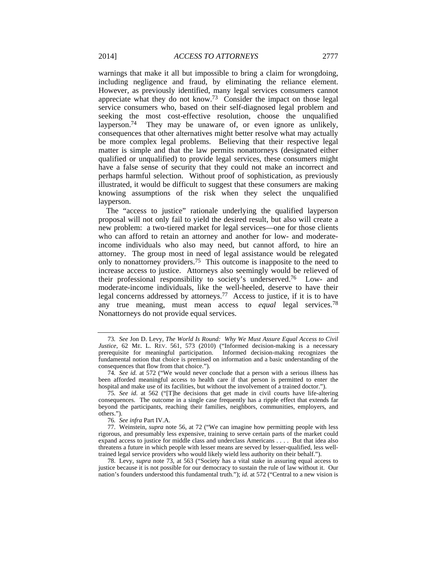warnings that make it all but impossible to bring a claim for wrongdoing, including negligence and fraud, by eliminating the reliance element. However, as previously identified, many legal services consumers cannot appreciate what they do not know.73 Consider the impact on those legal service consumers who, based on their self-diagnosed legal problem and seeking the most cost-effective resolution, choose the unqualified layperson.<sup>74</sup> They may be unaware of, or even ignore as unlikely, consequences that other alternatives might better resolve what may actually be more complex legal problems. Believing that their respective legal matter is simple and that the law permits nonattorneys (designated either qualified or unqualified) to provide legal services, these consumers might have a false sense of security that they could not make an incorrect and perhaps harmful selection. Without proof of sophistication, as previously illustrated, it would be difficult to suggest that these consumers are making knowing assumptions of the risk when they select the unqualified layperson.

The "access to justice" rationale underlying the qualified layperson proposal will not only fail to yield the desired result, but also will create a new problem: a two-tiered market for legal services—one for those clients who can afford to retain an attorney and another for low- and moderateincome individuals who also may need, but cannot afford, to hire an attorney. The group most in need of legal assistance would be relegated only to nonattorney providers.<sup>75</sup> This outcome is inapposite to the need to increase access to justice. Attorneys also seemingly would be relieved of their professional responsibility to society's underserved.76 Low- and moderate-income individuals, like the well-heeled, deserve to have their legal concerns addressed by attorneys.77 Access to justice, if it is to have any true meaning, must mean access to *equal* legal services.78 Nonattorneys do not provide equal services.

<sup>73</sup>*. See* Jon D. Levy, *The World Is Round: Why We Must Assure Equal Access to Civil Justice*, 62 ME. L. REV. 561, 573 (2010) ("Informed decision-making is a necessary prerequisite for meaningful participation. Informed decision-making recognizes the fundamental notion that choice is premised on information and a basic understanding of the consequences that flow from that choice.").

<sup>74</sup>*. See id.* at 572 ("We would never conclude that a person with a serious illness has been afforded meaningful access to health care if that person is permitted to enter the hospital and make use of its facilities, but without the involvement of a trained doctor.").

<sup>75</sup>*. See id.* at 562 ("[T]he decisions that get made in civil courts have life-altering consequences. The outcome in a single case frequently has a ripple effect that extends far beyond the participants, reaching their families, neighbors, communities, employers, and others.").

<sup>76</sup>*. See infra* Part IV.A.

 <sup>77.</sup> Weinstein, *supra* note 56, at 72 ("We can imagine how permitting people with less rigorous, and presumably less expensive, training to serve certain parts of the market could expand access to justice for middle class and underclass Americans . . . . But that idea also threatens a future in which people with lesser means are served by lesser-qualified, less welltrained legal service providers who would likely wield less authority on their behalf.").

 <sup>78.</sup> Levy, *supra* note 73, at 563 ("Society has a vital stake in assuring equal access to justice because it is not possible for our democracy to sustain the rule of law without it. Our nation's founders understood this fundamental truth."); *id.* at 572 ("Central to a new vision is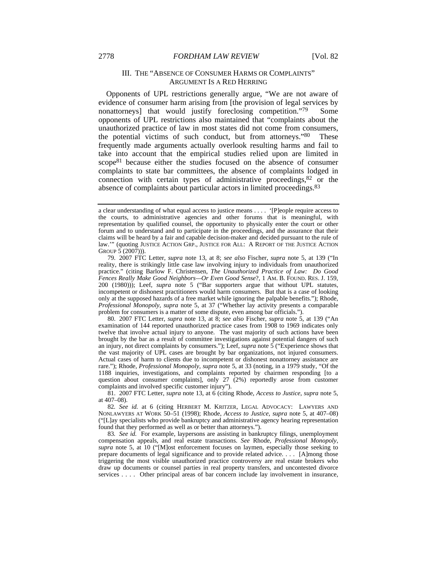## III. THE "ABSENCE OF CONSUMER HARMS OR COMPLAINTS" ARGUMENT IS A RED HERRING

Opponents of UPL restrictions generally argue, "We are not aware of evidence of consumer harm arising from [the provision of legal services by nonattorneys) that would justify foreclosing competition."<sup>79</sup> Some opponents of UPL restrictions also maintained that "complaints about the unauthorized practice of law in most states did not come from consumers, the potential victims of such conduct, but from attorneys."80 These frequently made arguments actually overlook resulting harms and fail to take into account that the empirical studies relied upon are limited in scope81 because either the studies focused on the absence of consumer complaints to state bar committees, the absence of complaints lodged in connection with certain types of administrative proceedings,82 or the absence of complaints about particular actors in limited proceedings.83

a clear understanding of what equal access to justice means . . . . '[P]eople require access to the courts, to administrative agencies and other forums that is meaningful, with representation by qualified counsel, the opportunity to physically enter the court or other forum and to understand and to participate in the proceedings, and the assurance that their claims will be heard by a fair and capable decision-maker and decided pursuant to the rule of law.'" (quoting JUSTICE ACTION GRP., JUSTICE FOR ALL: A REPORT OF THE JUSTICE ACTION GROUP 5 (2007))).

 <sup>79. 2007</sup> FTC Letter, *supra* note 13, at 8; *see also* Fischer, *supra* note 5, at 139 ("In reality, there is strikingly little case law involving injury to individuals from unauthorized practice." (citing Barlow F. Christensen, *The Unauthorized Practice of Law: Do Good Fences Really Make Good Neighbors—Or Even Good Sense*?, 1 AM. B. FOUND. RES. J. 159, 200 (1980))); Leef, *supra* note 5 ("Bar supporters argue that without UPL statutes, incompetent or dishonest practitioners would harm consumers. But that is a case of looking only at the supposed hazards of a free market while ignoring the palpable benefits."); Rhode, *Professional Monopoly*, *supra* note 5, at 37 ("Whether lay activity presents a comparable problem for consumers is a matter of some dispute, even among bar officials.").

 <sup>80. 2007</sup> FTC Letter, *supra* note 13, at 8; *see also* Fischer, *supra* note 5, at 139 ("An examination of 144 reported unauthorized practice cases from 1908 to 1969 indicates only twelve that involve actual injury to anyone. The vast majority of such actions have been brought by the bar as a result of committee investigations against potential dangers of such an injury, not direct complaints by consumers."); Leef, *supra* note 5 ("Experience shows that the vast majority of UPL cases are brought by bar organizations, not injured consumers. Actual cases of harm to clients due to incompetent or dishonest nonattorney assistance are rare."); Rhode, *Professional Monopoly*, *supra* note 5, at 33 (noting, in a 1979 study, "Of the 1188 inquiries, investigations, and complaints reported by chairmen responding [to a question about consumer complaints], only 27 (2%) reportedly arose from customer complaints and involved specific customer injury").

 <sup>81. 2007</sup> FTC Letter, *supra* note 13, at 6 (citing Rhode, *Access to Justice*, *supra* note 5, at 407–08).

<sup>82</sup>*. See id.* at 6 (citing HERBERT M. KRITZER, LEGAL ADVOCACY: LAWYERS AND NONLAWYERS AT WORK 50–51 (1998); Rhode, *Access to Justice*, *supra* note 5, at 407–08) ("[L]ay specialists who provide bankruptcy and administrative agency hearing representation found that they performed as well as or better than attorneys.").

<sup>83</sup>*. See id.* For example, laypersons are assisting in bankruptcy filings, unemployment compensation appeals, and real estate transactions. *See* Rhode, *Professional Monopoly*, *supra* note 5, at 10 ("[M]ost enforcement focuses on laymen, especially those seeking to prepare documents of legal significance and to provide related advice. . . . [A]mong those triggering the most visible unauthorized practice controversy are real estate brokers who draw up documents or counsel parties in real property transfers, and uncontested divorce services . . . . Other principal areas of bar concern include lay involvement in insurance,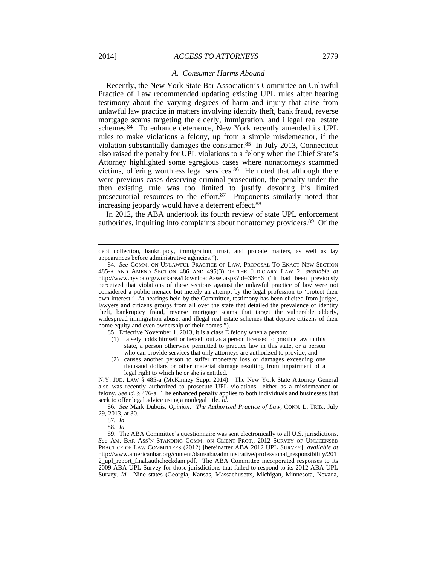#### *A. Consumer Harms Abound*

Recently, the New York State Bar Association's Committee on Unlawful Practice of Law recommended updating existing UPL rules after hearing testimony about the varying degrees of harm and injury that arise from unlawful law practice in matters involving identity theft, bank fraud, reverse mortgage scams targeting the elderly, immigration, and illegal real estate schemes.<sup>84</sup> To enhance deterrence, New York recently amended its UPL rules to make violations a felony, up from a simple misdemeanor, if the violation substantially damages the consumer.85 In July 2013, Connecticut also raised the penalty for UPL violations to a felony when the Chief State's Attorney highlighted some egregious cases where nonattorneys scammed victims, offering worthless legal services.<sup>86</sup> He noted that although there were previous cases deserving criminal prosecution, the penalty under the then existing rule was too limited to justify devoting his limited prosecutorial resources to the effort.87 Proponents similarly noted that increasing jeopardy would have a deterrent effect.88

In 2012, the ABA undertook its fourth review of state UPL enforcement authorities, inquiring into complaints about nonattorney providers.89 Of the

85. Effective November 1, 2013, it is a class E felony when a person:

- (1) falsely holds himself or herself out as a person licensed to practice law in this state, a person otherwise permitted to practice law in this state, or a person who can provide services that only attorneys are authorized to provide; and
- (2) causes another person to suffer monetary loss or damages exceeding one thousand dollars or other material damage resulting from impairment of a legal right to which he or she is entitled.

N.Y. JUD. LAW § 485-a (McKinney Supp. 2014). The New York State Attorney General also was recently authorized to prosecute UPL violations—either as a misdemeanor or felony. *See id.* § 476-a. The enhanced penalty applies to both individuals and businesses that seek to offer legal advice using a nonlegal title. *Id.*

86*. See* Mark Dubois, *Opinion: The Authorized Practice of Law*, CONN. L. TRIB., July 29, 2013, at 30.

87*. Id.*

88*. Id.*

 89. The ABA Committee's questionnaire was sent electronically to all U.S. jurisdictions. *See* AM. BAR ASS'N STANDING COMM. ON CLIENT PROT., 2012 SURVEY OF UNLICENSED PRACTICE OF LAW COMMITTEES (2012) [hereinafter ABA 2012 UPL SURVEY], *available at* http://www.americanbar.org/content/dam/aba/administrative/professional\_responsibility/201 2\_upl\_report\_final.authcheckdam.pdf. The ABA Committee incorporated responses to its 2009 ABA UPL Survey for those jurisdictions that failed to respond to its 2012 ABA UPL Survey. *Id.* Nine states (Georgia, Kansas, Massachusetts, Michigan, Minnesota, Nevada,

debt collection, bankruptcy, immigration, trust, and probate matters, as well as lay appearances before administrative agencies.").

<sup>84</sup>*. See* COMM. ON UNLAWFUL PRACTICE OF LAW, PROPOSAL TO ENACT NEW SECTION 485-A AND AMEND SECTION 486 AND 495(3) OF THE JUDICIARY LAW 2, *available at* http://www.nysba.org/workarea/DownloadAsset.aspx?id=33686 ("It had been previously perceived that violations of these sections against the unlawful practice of law were not considered a public menace but merely an attempt by the legal profession to 'protect their own interest.' At hearings held by the Committee, testimony has been elicited from judges, lawyers and citizens groups from all over the state that detailed the prevalence of identity theft, bankruptcy fraud, reverse mortgage scams that target the vulnerable elderly, widespread immigration abuse, and illegal real estate schemes that deprive citizens of their home equity and even ownership of their homes.").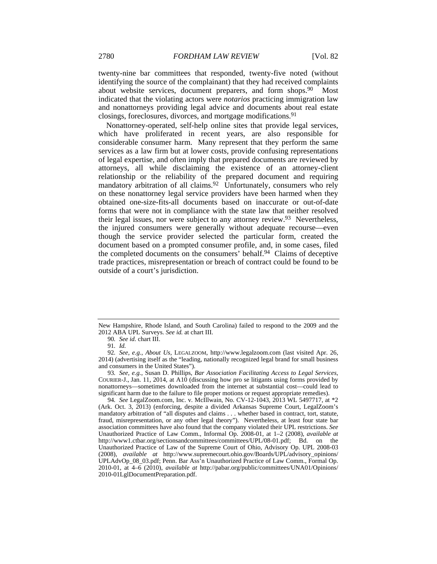twenty-nine bar committees that responded, twenty-five noted (without identifying the source of the complainant) that they had received complaints about website services, document preparers, and form shops.90 Most indicated that the violating actors were *notarios* practicing immigration law and nonattorneys providing legal advice and documents about real estate closings, foreclosures, divorces, and mortgage modifications.91

Nonattorney-operated, self-help online sites that provide legal services, which have proliferated in recent years, are also responsible for considerable consumer harm. Many represent that they perform the same services as a law firm but at lower costs, provide confusing representations of legal expertise, and often imply that prepared documents are reviewed by attorneys, all while disclaiming the existence of an attorney-client relationship or the reliability of the prepared document and requiring mandatory arbitration of all claims.<sup>92</sup> Unfortunately, consumers who rely on these nonattorney legal service providers have been harmed when they obtained one-size-fits-all documents based on inaccurate or out-of-date forms that were not in compliance with the state law that neither resolved their legal issues, nor were subject to any attorney review.93 Nevertheless, the injured consumers were generally without adequate recourse—even though the service provider selected the particular form, created the document based on a prompted consumer profile, and, in some cases, filed the completed documents on the consumers' behalf.94 Claims of deceptive trade practices, misrepresentation or breach of contract could be found to be outside of a court's jurisdiction.

New Hampshire, Rhode Island, and South Carolina) failed to respond to the 2009 and the 2012 ABA UPL Surveys. *See id.* at chart III.

<sup>90</sup>*. See id.* chart III.

<sup>91</sup>*. Id.*

<sup>92</sup>*. See, e.g.*, *About Us*, LEGALZOOM, http://www.legalzoom.com (last visited Apr. 26, 2014) (advertising itself as the "leading, nationally recognized legal brand for small business and consumers in the United States").

<sup>93</sup>*. See, e.g.*, Susan D. Phillips, *Bar Association Facilitating Access to Legal Services*, COURIER-J., Jan. 11, 2014, at A10 (discussing how pro se litigants using forms provided by nonattorneys—sometimes downloaded from the internet at substantial cost—could lead to significant harm due to the failure to file proper motions or request appropriate remedies).

<sup>94</sup>*. See* LegalZoom.com, Inc. v. McIllwain, No. CV-12-1043, 2013 WL 5497717, at \*2 (Ark. Oct. 3, 2013) (enforcing, despite a divided Arkansas Supreme Court, LegalZoom's mandatory arbitration of "all disputes and claims . . . whether based in contract, tort, statute, fraud, misrepresentation, or any other legal theory"). Nevertheless, at least four state bar association committees have also found that the company violated their UPL restrictions. *See* Unauthorized Practice of Law Comm., Informal Op. 2008-01, at 1–2 (2008), *available at* http://www1.ctbar.org/sectionsandcommittees/committees/UPL/08-01.pdf; Bd. on the Unauthorized Practice of Law of the Supreme Court of Ohio, Advisory Op. UPL 2008-03 (2008), *available at* http://www.supremecourt.ohio.gov/Boards/UPL/advisory\_opinions/ UPLAdvOp\_08\_03.pdf; Penn. Bar Ass'n Unauthorized Practice of Law Comm., Formal Op. 2010-01, at 4–6 (2010), *available at* http://pabar.org/public/committees/UNA01/Opinions/ 2010-01LglDocumentPreparation.pdf.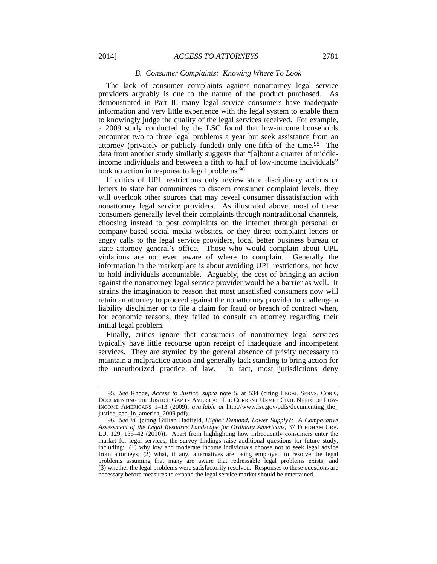## 2014] *ACCESS TO ATTORNEYS* 2781

#### *B. Consumer Complaints: Knowing Where To Look*

The lack of consumer complaints against nonattorney legal service providers arguably is due to the nature of the product purchased. As demonstrated in Part II, many legal service consumers have inadequate information and very little experience with the legal system to enable them to knowingly judge the quality of the legal services received. For example, a 2009 study conducted by the LSC found that low-income households encounter two to three legal problems a year but seek assistance from an attorney (privately or publicly funded) only one-fifth of the time.95 The data from another study similarly suggests that "[a]bout a quarter of middleincome individuals and between a fifth to half of low-income individuals" took no action in response to legal problems.96

If critics of UPL restrictions only review state disciplinary actions or letters to state bar committees to discern consumer complaint levels, they will overlook other sources that may reveal consumer dissatisfaction with nonattorney legal service providers. As illustrated above, most of these consumers generally level their complaints through nontraditional channels, choosing instead to post complaints on the internet through personal or company-based social media websites, or they direct complaint letters or angry calls to the legal service providers, local better business bureau or state attorney general's office. Those who would complain about UPL violations are not even aware of where to complain. Generally the information in the marketplace is about avoiding UPL restrictions, not how to hold individuals accountable. Arguably, the cost of bringing an action against the nonattorney legal service provider would be a barrier as well. It strains the imagination to reason that most unsatisfied consumers now will retain an attorney to proceed against the nonattorney provider to challenge a liability disclaimer or to file a claim for fraud or breach of contract when, for economic reasons, they failed to consult an attorney regarding their initial legal problem.

Finally, critics ignore that consumers of nonattorney legal services typically have little recourse upon receipt of inadequate and incompetent services. They are stymied by the general absence of privity necessary to maintain a malpractice action and generally lack standing to bring action for the unauthorized practice of law. In fact, most jurisdictions deny

<sup>95</sup>*. See* Rhode, *Access to Justice*, *supra* note 5, at 534 (citing LEGAL SERVS. CORP., DOCUMENTING THE JUSTICE GAP IN AMERICA: THE CURRENT UNMET CIVIL NEEDS OF LOW-INCOME AMERICANS 1–13 (2009), *available at* http://www.lsc.gov/pdfs/documenting\_the\_ justice\_gap\_in\_america\_2009.pdf).

<sup>96</sup>*. See id.* (citing Gillian Hadfield, *Higher Demand, Lower Supply?: A Comparative Assessment of the Legal Resource Landscape for Ordinary Americans*, 37 FORDHAM URB. L.J. 129, 135–42 (2010)). Apart from highlighting how infrequently consumers enter the market for legal services, the survey findings raise additional questions for future study, including: (1) why low and moderate income individuals choose not to seek legal advice from attorneys; (2) what, if any, alternatives are being employed to resolve the legal problems assuming that many are aware that redressable legal problems exists; and (3) whether the legal problems were satisfactorily resolved. Responses to these questions are necessary before measures to expand the legal service market should be entertained.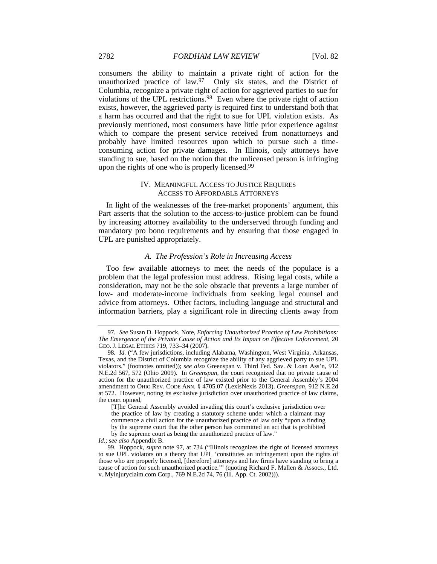consumers the ability to maintain a private right of action for the unauthorized practice of law. $97$  Only six states, and the District of Columbia, recognize a private right of action for aggrieved parties to sue for violations of the UPL restrictions.98 Even where the private right of action exists, however, the aggrieved party is required first to understand both that a harm has occurred and that the right to sue for UPL violation exists. As previously mentioned, most consumers have little prior experience against which to compare the present service received from nonattorneys and probably have limited resources upon which to pursue such a timeconsuming action for private damages. In Illinois, only attorneys have standing to sue, based on the notion that the unlicensed person is infringing upon the rights of one who is properly licensed.<sup>99</sup>

## IV. MEANINGFUL ACCESS TO JUSTICE REQUIRES ACCESS TO AFFORDABLE ATTORNEYS

In light of the weaknesses of the free-market proponents' argument, this Part asserts that the solution to the access-to-justice problem can be found by increasing attorney availability to the underserved through funding and mandatory pro bono requirements and by ensuring that those engaged in UPL are punished appropriately.

## *A. The Profession's Role in Increasing Access*

Too few available attorneys to meet the needs of the populace is a problem that the legal profession must address. Rising legal costs, while a consideration, may not be the sole obstacle that prevents a large number of low- and moderate-income individuals from seeking legal counsel and advice from attorneys. Other factors, including language and structural and information barriers, play a significant role in directing clients away from

*Id.*; *see also* Appendix B.

<sup>97</sup>*. See* Susan D. Hoppock, Note, *Enforcing Unauthorized Practice of Law Prohibitions: The Emergence of the Private Cause of Action and Its Impact on Effective Enforcement*, 20 GEO. J. LEGAL ETHICS 719, 733–34 (2007).

<sup>98</sup>*. Id.* ("A few jurisdictions, including Alabama, Washington, West Virginia, Arkansas, Texas, and the District of Columbia recognize the ability of any aggrieved party to sue UPL violators." (footnotes omitted)); *see also* Greenspan v. Third Fed. Sav. & Loan Ass'n, 912 N.E.2d 567, 572 (Ohio 2009). In *Greenspan*, the court recognized that no private cause of action for the unauthorized practice of law existed prior to the General Assembly's 2004 amendment to OHIO REV. CODE ANN. § 4705.07 (LexisNexis 2013). *Greenspan*, 912 N.E.2d at 572. However, noting its exclusive jurisdiction over unauthorized practice of law claims, the court opined,

<sup>[</sup>T]he General Assembly avoided invading this court's exclusive jurisdiction over the practice of law by creating a statutory scheme under which a claimant may commence a civil action for the unauthorized practice of law only "upon a finding by the supreme court that the other person has committed an act that is prohibited

by the supreme court as being the unauthorized practice of law."

 <sup>99.</sup> Hoppock, *supra* note 97, at 734 ("Illinois recognizes the right of licensed attorneys to sue UPL violators on a theory that UPL 'constitutes an infringement upon the rights of those who are properly licensed, [therefore] attorneys and law firms have standing to bring a cause of action for such unauthorized practice.'" (quoting Richard F. Mallen & Assocs., Ltd. v. Myinjuryclaim.com Corp., 769 N.E.2d 74, 76 (Ill. App. Ct. 2002))).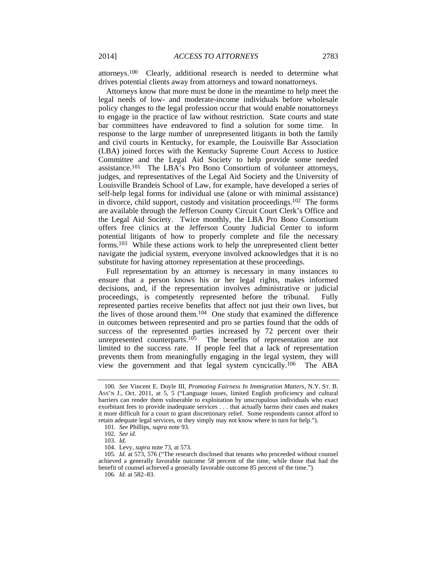attorneys.100 Clearly, additional research is needed to determine what drives potential clients away from attorneys and toward nonattorneys.

Attorneys know that more must be done in the meantime to help meet the legal needs of low- and moderate-income individuals before wholesale policy changes to the legal profession occur that would enable nonattorneys to engage in the practice of law without restriction. State courts and state bar committees have endeavored to find a solution for some time. In response to the large number of unrepresented litigants in both the family and civil courts in Kentucky, for example, the Louisville Bar Association (LBA) joined forces with the Kentucky Supreme Court Access to Justice Committee and the Legal Aid Society to help provide some needed assistance.101 The LBA's Pro Bono Consortium of volunteer attorneys, judges, and representatives of the Legal Aid Society and the University of Louisville Brandeis School of Law, for example, have developed a series of self-help legal forms for individual use (alone or with minimal assistance) in divorce, child support, custody and visitation proceedings.102 The forms are available through the Jefferson County Circuit Court Clerk's Office and the Legal Aid Society. Twice monthly, the LBA Pro Bono Consortium offers free clinics at the Jefferson County Judicial Center to inform potential litigants of how to properly complete and file the necessary forms.103 While these actions work to help the unrepresented client better navigate the judicial system, everyone involved acknowledges that it is no substitute for having attorney representation at these proceedings.

Full representation by an attorney is necessary in many instances to ensure that a person knows his or her legal rights, makes informed decisions, and, if the representation involves administrative or judicial proceedings, is competently represented before the tribunal. Fully represented parties receive benefits that affect not just their own lives, but the lives of those around them.104 One study that examined the difference in outcomes between represented and pro se parties found that the odds of success of the represented parties increased by 72 percent over their unrepresented counterparts. $105$  The benefits of representation are not limited to the success rate. If people feel that a lack of representation prevents them from meaningfully engaging in the legal system, they will view the government and that legal system cyncically.106 The ABA

106*. Id.* at 582–83.

<sup>100</sup>*. See* Vincent E. Doyle III, *Promoting Fairness In Immigration Matters*, N.Y. ST. B. ASS'N J., Oct. 2011, at 5, 5 ("Language issues, limited English proficiency and cultural barriers can render them vulnerable to exploitation by unscrupulous individuals who exact exorbitant fees to provide inadequate services . . . that actually harms their cases and makes it more difficult for a court to grant discretionary relief. Some respondents cannot afford to retain adequate legal services, or they simply may not know where to turn for help.").

<sup>101</sup>*. See* Phillips, *supra* note 93.

<sup>102</sup>*. See id.*

<sup>103</sup>*. Id.*

 <sup>104.</sup> Levy, *supra* note 73, at 573.

<sup>105</sup>*. Id.* at 573, 576 ("The research disclosed that tenants who proceeded without counsel achieved a generally favorable outcome 58 percent of the time, while those that had the benefit of counsel achieved a generally favorable outcome 85 percent of the time.").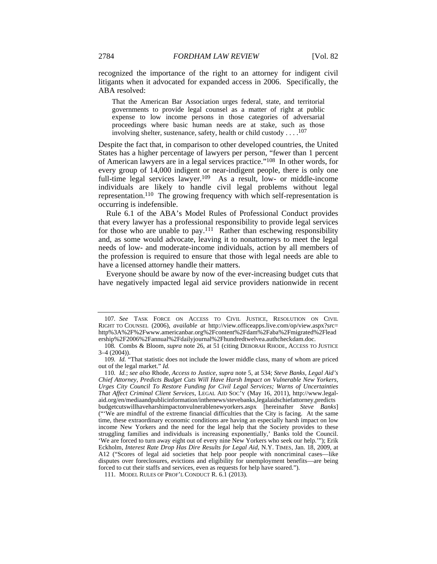recognized the importance of the right to an attorney for indigent civil litigants when it advocated for expanded access in 2006. Specifically, the ABA resolved:

That the American Bar Association urges federal, state, and territorial governments to provide legal counsel as a matter of right at public expense to low income persons in those categories of adversarial proceedings where basic human needs are at stake, such as those involving shelter, sustenance, safety, health or child custody  $\dots$ .<sup>107</sup>

Despite the fact that, in comparison to other developed countries, the United States has a higher percentage of lawyers per person, "fewer than 1 percent of American lawyers are in a legal services practice."108 In other words, for every group of 14,000 indigent or near-indigent people, there is only one full-time legal services lawyer.109 As a result, low- or middle-income individuals are likely to handle civil legal problems without legal representation.110 The growing frequency with which self-representation is occurring is indefensible.

Rule 6.1 of the ABA's Model Rules of Professional Conduct provides that every lawyer has a professional responsibility to provide legal services for those who are unable to pay.<sup>111</sup> Rather than eschewing responsibility and, as some would advocate, leaving it to nonattorneys to meet the legal needs of low- and moderate-income individuals, action by all members of the profession is required to ensure that those with legal needs are able to have a licensed attorney handle their matters.

Everyone should be aware by now of the ever-increasing budget cuts that have negatively impacted legal aid service providers nationwide in recent

<sup>107</sup>*. See* TASK FORCE ON ACCESS TO CIVIL JUSTICE, RESOLUTION ON CIVIL RIGHT TO COUNSEL (2006), *available at* http://view.officeapps.live.com/op/view.aspx?src= http%3A%2F%2Fwww.americanbar.org%2Fcontent%2Fdam%2Faba%2Fmigrated%2Flead ership%2F2006%2Fannual%2Fdailyjournal%2Fhundredtwelvea.authcheckdam.doc.

<sup>108</sup>*.* Combs & Bloom, *supra* note 26, at 51 (citing DEBORAH RHODE, ACCESS TO JUSTICE 3–4 (2004)).

<sup>109</sup>*. Id.* "That statistic does not include the lower middle class, many of whom are priced out of the legal market." *Id.*

<sup>110</sup>*. Id.*; *see also* Rhode, *Access to Justice*, *supra* note 5, at 534; *Steve Banks, Legal Aid's Chief Attorney, Predicts Budget Cuts Will Have Harsh Impact on Vulnerable New Yorkers, Urges City Council To Restore Funding for Civil Legal Services; Warns of Uncertainties That Affect Criminal Client Services*, LEGAL AID SOC'Y (May 16, 2011), http://www.legalaid.org/en/mediaandpublicinformation/inthenews/stevebanks,legalaidschiefattorney,predicts budgetcutswillhaveharshimpactonvulnerablenewyorkers.aspx [hereinafter *Steve Banks*] ("'We are mindful of the extreme financial difficulties that the City is facing. At the same time, these extraordinary economic conditions are having an especially harsh impact on low income New Yorkers and the need for the legal help that the Society provides to these struggling families and individuals is increasing exponentially,' Banks told the Council. 'We are forced to turn away eight out of every nine New Yorkers who seek our help.'"); Erik Eckholm, *Interest Rate Drop Has Dire Results for Legal Aid*, N.Y. TIMES, Jan. 18, 2009, at A12 ("Scores of legal aid societies that help poor people with noncriminal cases—like disputes over foreclosures, evictions and eligibility for unemployment benefits—are being forced to cut their staffs and services, even as requests for help have soared.").

 <sup>111.</sup> MODEL RULES OF PROF'L CONDUCT R. 6.1 (2013).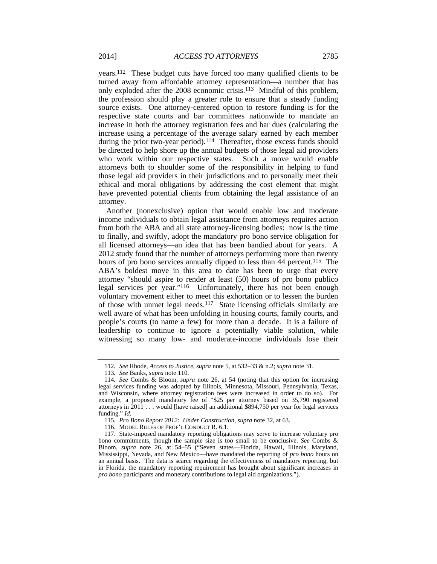years.112 These budget cuts have forced too many qualified clients to be turned away from affordable attorney representation—a number that has only exploded after the 2008 economic crisis.113 Mindful of this problem, the profession should play a greater role to ensure that a steady funding source exists. One attorney-centered option to restore funding is for the respective state courts and bar committees nationwide to mandate an increase in both the attorney registration fees and bar dues (calculating the increase using a percentage of the average salary earned by each member during the prior two-year period).<sup>114</sup> Thereafter, those excess funds should be directed to help shore up the annual budgets of those legal aid providers who work within our respective states. Such a move would enable attorneys both to shoulder some of the responsibility in helping to fund those legal aid providers in their jurisdictions and to personally meet their ethical and moral obligations by addressing the cost element that might have prevented potential clients from obtaining the legal assistance of an attorney.

Another (nonexclusive) option that would enable low and moderate income individuals to obtain legal assistance from attorneys requires action from both the ABA and all state attorney-licensing bodies: now is the time to finally, and swiftly, adopt the mandatory pro bono service obligation for all licensed attorneys—an idea that has been bandied about for years. A 2012 study found that the number of attorneys performing more than twenty hours of pro bono services annually dipped to less than 44 percent.<sup>115</sup> The ABA's boldest move in this area to date has been to urge that every attorney "should aspire to render at least (50) hours of pro bono publico legal services per year."116 Unfortunately, there has not been enough voluntary movement either to meet this exhortation or to lessen the burden of those with unmet legal needs.117 State licensing officials similarly are well aware of what has been unfolding in housing courts, family courts, and people's courts (to name a few) for more than a decade. It is a failure of leadership to continue to ignore a potentially viable solution, while witnessing so many low- and moderate-income individuals lose their

<sup>112</sup>*. See* Rhode, *Access to Justice*, *supra* note 5, at 532–33 & n.2; *supra* note 31.

<sup>113</sup>*. See* Banks, *supra* note 110.

<sup>114</sup>*. See* Combs & Bloom, *supra* note 26, at 54 (noting that this option for increasing legal services funding was adopted by Illinois, Minnesota, Missouri, Pennsylvania, Texas, and Wisconsin, where attorney registration fees were increased in order to do so). For example, a proposed mandatory fee of "\$25 per attorney based on 35,790 registered attorneys in 2011 . . . would [have raised] an additional \$894,750 per year for legal services funding." *Id.*

<sup>115</sup>*. Pro Bono Report 2012: Under Construction*, *supra* note 32, at 63.

 <sup>116.</sup> MODEL RULES OF PROF'L CONDUCT R. 6.1.

 <sup>117.</sup> State-imposed mandatory reporting obligations may serve to increase voluntary pro bono commitments, though the sample size is too small to be conclusive. *See* Combs & Bloom, *supra* note 26, at 54–55 ("Seven states—Florida, Hawaii, Illinois, Maryland, Mississippi, Nevada, and New Mexico—have mandated the reporting of *pro bono* hours on an annual basis. The data is scarce regarding the effectiveness of mandatory reporting, but in Florida, the mandatory reporting requirement has brought about significant increases in *pro bono* participants and monetary contributions to legal aid organizations.").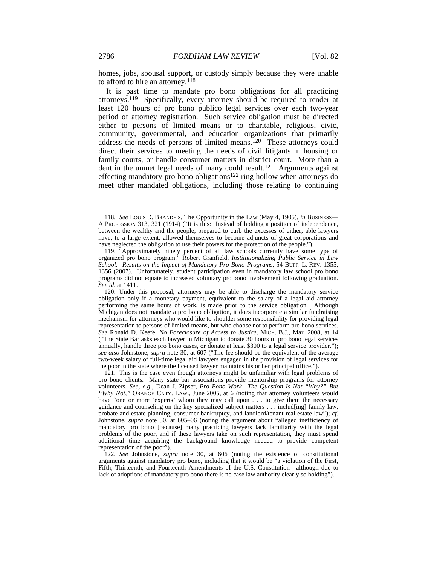homes, jobs, spousal support, or custody simply because they were unable to afford to hire an attorney.118

It is past time to mandate pro bono obligations for all practicing attorneys.119 Specifically, every attorney should be required to render at least 120 hours of pro bono publico legal services over each two-year period of attorney registration. Such service obligation must be directed either to persons of limited means or to charitable, religious, civic, community, governmental, and education organizations that primarily address the needs of persons of limited means.<sup>120</sup> These attorneys could direct their services to meeting the needs of civil litigants in housing or family courts, or handle consumer matters in district court. More than a dent in the unmet legal needs of many could result.121 Arguments against effecting mandatory pro bono obligations<sup>122</sup> ring hollow when attorneys do meet other mandated obligations, including those relating to continuing

 121. This is the case even though attorneys might be unfamiliar with legal problems of pro bono clients. Many state bar associations provide mentorship programs for attorney volunteers. *See, e.g.*, Dean J. Zipser, *Pro Bono Work—The Question Is Not "Why?" But "Why Not*,*"* ORANGE CNTY. LAW., June 2005, at 6 (noting that attorney volunteers would have "one or more 'experts' whom they may call upon . . . to give them the necessary guidance and counseling on the key specialized subject matters . . . includ[ing] family law, probate and estate planning, consumer bankruptcy, and landlord/tenant-real estate law"); *cf.* Johnstone, *supra* note 30, at 605–06 (noting the argument about "alleged inefficiency of mandatory pro bono [because] many practicing lawyers lack familiarity with the legal problems of the poor, and if these lawyers take on such representation, they must spend additional time acquiring the background knowledge needed to provide competent representation of the poor").

122*. See* Johnstone, *supra* note 30, at 606 (noting the existence of constitutional arguments against mandatory pro bono, including that it would be "a violation of the First, Fifth, Thirteenth, and Fourteenth Amendments of the U.S. Constitution—although due to lack of adoptions of mandatory pro bono there is no case law authority clearly so holding").

<sup>118</sup>*. See* LOUIS D. BRANDEIS, The Opportunity in the Law (May 4, 1905), *in* BUSINESS— A PROFESSION 313, 321 (1914) ("It is this: Instead of holding a position of independence, between the wealthy and the people, prepared to curb the excesses of either, able lawyers have, to a large extent, allowed themselves to become adjuncts of great corporations and have neglected the obligation to use their powers for the protection of the people.").

 <sup>119. &</sup>quot;Approximately ninety percent of all law schools currently have some type of organized pro bono program." Robert Granfield, *Institutionalizing Public Service in Law School: Results on the Impact of Mandatory Pro Bono Programs*, 54 BUFF. L. REV. 1355, 1356 (2007). Unfortunately, student participation even in mandatory law school pro bono programs did not equate to increased voluntary pro bono involvement following graduation. *See id.* at 1411.

 <sup>120.</sup> Under this proposal, attorneys may be able to discharge the mandatory service obligation only if a monetary payment, equivalent to the salary of a legal aid attorney performing the same hours of work, is made prior to the service obligation. Although Michigan does not mandate a pro bono obligation, it does incorporate a similar fundraising mechanism for attorneys who would like to shoulder some responsibility for providing legal representation to persons of limited means, but who choose not to perform pro bono services. *See* Ronald D. Keefe, *No Foreclosure of Access to Justice*, MICH. B.J., Mar. 2008, at 14 ("The State Bar asks each lawyer in Michigan to donate 30 hours of pro bono legal services annually, handle three pro bono cases, or donate at least \$300 to a legal service provider."); *see also* Johnstone, *supra* note 30, at 607 ("The fee should be the equivalent of the average two-week salary of full-time legal aid lawyers engaged in the provision of legal services for the poor in the state where the licensed lawyer maintains his or her principal office.").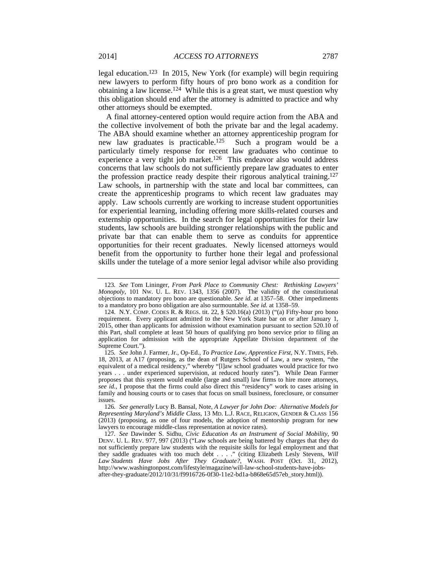legal education.123 In 2015, New York (for example) will begin requiring new lawyers to perform fifty hours of pro bono work as a condition for obtaining a law license.124 While this is a great start, we must question why this obligation should end after the attorney is admitted to practice and why other attorneys should be exempted.

A final attorney-centered option would require action from the ABA and the collective involvement of both the private bar and the legal academy. The ABA should examine whether an attorney apprenticeship program for new law graduates is practicable.125 Such a program would be a particularly timely response for recent law graduates who continue to experience a very tight job market.<sup>126</sup> This endeavor also would address concerns that law schools do not sufficiently prepare law graduates to enter the profession practice ready despite their rigorous analytical training.127 Law schools, in partnership with the state and local bar committees, can create the apprenticeship programs to which recent law graduates may apply. Law schools currently are working to increase student opportunities for experiential learning, including offering more skills-related courses and externship opportunities. In the search for legal opportunities for their law students, law schools are building stronger relationships with the public and private bar that can enable them to serve as conduits for apprentice opportunities for their recent graduates. Newly licensed attorneys would benefit from the opportunity to further hone their legal and professional skills under the tutelage of a more senior legal advisor while also providing

<sup>123</sup>*. See* Tom Lininger, *From Park Place to Community Chest: Rethinking Lawyers' Monopoly*, 101 NW. U. L. REV. 1343, 1356 (2007). The validity of the constitutional objections to mandatory pro bono are questionable. *See id.* at 1357–58. Other impediments to a mandatory pro bono obligation are also surmountable. *See id.* at 1358–59.

 <sup>124.</sup> N.Y. COMP. CODES R. & REGS. tit. 22, § 520.16(a) (2013) ("(a) Fifty-hour pro bono requirement. Every applicant admitted to the New York State bar on or after January 1, 2015, other than applicants for admission without examination pursuant to section 520.10 of this Part, shall complete at least 50 hours of qualifying pro bono service prior to filing an application for admission with the appropriate Appellate Division department of the Supreme Court.").

<sup>125</sup>*. See* John J. Farmer, Jr., Op-Ed., *To Practice Law, Apprentice First*, N.Y. TIMES, Feb. 18, 2013, at A17 (proposing, as the dean of Rutgers School of Law, a new system, "the equivalent of a medical residency," whereby "[l]aw school graduates would practice for two years . . . under experienced supervision, at reduced hourly rates"). While Dean Farmer proposes that this system would enable (large and small) law firms to hire more attorneys, *see id.*, I propose that the firms could also direct this "residency" work to cases arising in family and housing courts or to cases that focus on small business, foreclosure, or consumer issues.

<sup>126</sup>*. See generally* Lucy B. Bansal, Note, *A Lawyer for John Doe: Alternative Models for Representing Maryland's Middle Class*, 13 MD. L.J. RACE, RELIGION, GENDER & CLASS 156 (2013) (proposing, as one of four models, the adoption of mentorship program for new lawyers to encourage middle-class representation at novice rates).

<sup>127</sup>*. See* Dawinder S. Sidhu, *Civic Education As an Instrument of Social Mobility*, 90 DENV. U. L. REV. 977, 997 (2013) ("Law schools are being battered by charges that they do not sufficiently prepare law students with the requisite skills for legal employment and that they saddle graduates with too much debt . . . . " (citing Elizabeth Lesly Stevens, *Will Law Students Have Jobs After They Graduate?*, WASH. POST (Oct. 31, 2012), http://www.washingtonpost.com/lifestyle/magazine/will-law-school-students-have-jobsafter-they-graduate/2012/10/31/f9916726-0f30-11e2-bd1a-b868e65d57eb\_story.html)).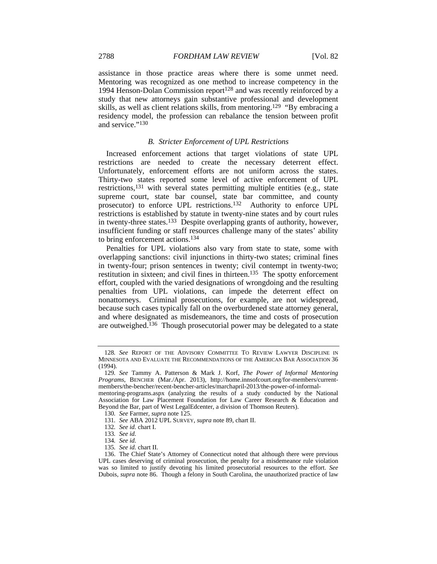assistance in those practice areas where there is some unmet need. Mentoring was recognized as one method to increase competency in the 1994 Henson-Dolan Commission report<sup>128</sup> and was recently reinforced by a study that new attorneys gain substantive professional and development skills, as well as client relations skills, from mentoring.129 "By embracing a residency model, the profession can rebalance the tension between profit and service."130

## *B. Stricter Enforcement of UPL Restrictions*

Increased enforcement actions that target violations of state UPL restrictions are needed to create the necessary deterrent effect. Unfortunately, enforcement efforts are not uniform across the states. Thirty-two states reported some level of active enforcement of UPL restrictions,131 with several states permitting multiple entities (e.g., state supreme court, state bar counsel, state bar committee, and county prosecutor) to enforce UPL restrictions.<sup>132</sup> Authority to enforce UPL restrictions is established by statute in twenty-nine states and by court rules in twenty-three states.<sup>133</sup> Despite overlapping grants of authority, however, insufficient funding or staff resources challenge many of the states' ability to bring enforcement actions.134

Penalties for UPL violations also vary from state to state, some with overlapping sanctions: civil injunctions in thirty-two states; criminal fines in twenty-four; prison sentences in twenty; civil contempt in twenty-two; restitution in sixteen; and civil fines in thirteen.135 The spotty enforcement effort, coupled with the varied designations of wrongdoing and the resulting penalties from UPL violations, can impede the deterrent effect on nonattorneys. Criminal prosecutions, for example, are not widespread, because such cases typically fall on the overburdened state attorney general, and where designated as misdemeanors, the time and costs of prosecution are outweighed.136 Though prosecutorial power may be delegated to a state

<sup>128</sup>*. See* REPORT OF THE ADVISORY COMMITTEE TO REVIEW LAWYER DISCIPLINE IN MINNESOTA AND EVALUATE THE RECOMMENDATIONS OF THE AMERICAN BAR ASSOCIATION 36 (1994).

<sup>129</sup>*. See* Tammy A. Patterson & Mark J. Korf, *The Power of Informal Mentoring Programs*, BENCHER (Mar./Apr. 2013), http://home.innsofcourt.org/for-members/currentmembers/the-bencher/recent-bencher-articles/marchapril-2013/the-power-of-informal-

mentoring-programs.aspx (analyzing the results of a study conducted by the National Association for Law Placement Foundation for Law Career Research & Education and Beyond the Bar, part of West LegalEdcenter, a division of Thomson Reuters).

<sup>130</sup>*. See* Farmer, *supra* note 125.

<sup>131</sup>*. See* ABA 2012 UPL SURVEY, *supra* note 89, chart II.

<sup>132</sup>*. See id.* chart I.

<sup>133</sup>*. See id.*

<sup>134</sup>*. See id.*

<sup>135</sup>*. See id.* chart II.

 <sup>136.</sup> The Chief State's Attorney of Connecticut noted that although there were previous UPL cases deserving of criminal prosecution, the penalty for a misdemeanor rule violation was so limited to justify devoting his limited prosecutorial resources to the effort. *See* Dubois, *supra* note 86. Though a felony in South Carolina, the unauthorized practice of law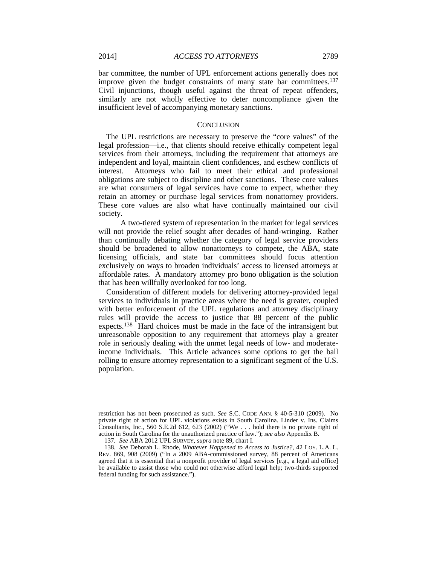bar committee, the number of UPL enforcement actions generally does not improve given the budget constraints of many state bar committees.<sup>137</sup> Civil injunctions, though useful against the threat of repeat offenders, similarly are not wholly effective to deter noncompliance given the insufficient level of accompanying monetary sanctions.

## **CONCLUSION**

The UPL restrictions are necessary to preserve the "core values" of the legal profession—i.e., that clients should receive ethically competent legal services from their attorneys, including the requirement that attorneys are independent and loyal, maintain client confidences, and eschew conflicts of interest. Attorneys who fail to meet their ethical and professional obligations are subject to discipline and other sanctions. These core values are what consumers of legal services have come to expect, whether they retain an attorney or purchase legal services from nonattorney providers. These core values are also what have continually maintained our civil society.

 A two-tiered system of representation in the market for legal services will not provide the relief sought after decades of hand-wringing. Rather than continually debating whether the category of legal service providers should be broadened to allow nonattorneys to compete, the ABA, state licensing officials, and state bar committees should focus attention exclusively on ways to broaden individuals' access to licensed attorneys at affordable rates. A mandatory attorney pro bono obligation is the solution that has been willfully overlooked for too long.

Consideration of different models for delivering attorney-provided legal services to individuals in practice areas where the need is greater, coupled with better enforcement of the UPL regulations and attorney disciplinary rules will provide the access to justice that 88 percent of the public expects.<sup>138</sup> Hard choices must be made in the face of the intransigent but unreasonable opposition to any requirement that attorneys play a greater role in seriously dealing with the unmet legal needs of low- and moderateincome individuals. This Article advances some options to get the ball rolling to ensure attorney representation to a significant segment of the U.S. population.

restriction has not been prosecuted as such. *See* S.C. CODE ANN. § 40-5-310 (2009). No private right of action for UPL violations exists in South Carolina. Linder v. Ins. Claims Consultants, Inc., 560 S.E.2d 612, 623 (2002) ("We . . . hold there is no private right of action in South Carolina for the unauthorized practice of law."); *see also* Appendix B.

<sup>137</sup>*. See* ABA 2012 UPL SURVEY, *supra* note 89, chart I.

 <sup>138.</sup> *See* Deborah L. Rhode, *Whatever Happened to Access to Justice?*, 42 LOY. L.A. L. REV. 869, 908 (2009) ("In a 2009 ABA-commissioned survey, 88 percent of Americans agreed that it is essential that a nonprofit provider of legal services [e.g., a legal aid office] be available to assist those who could not otherwise afford legal help; two-thirds supported federal funding for such assistance.").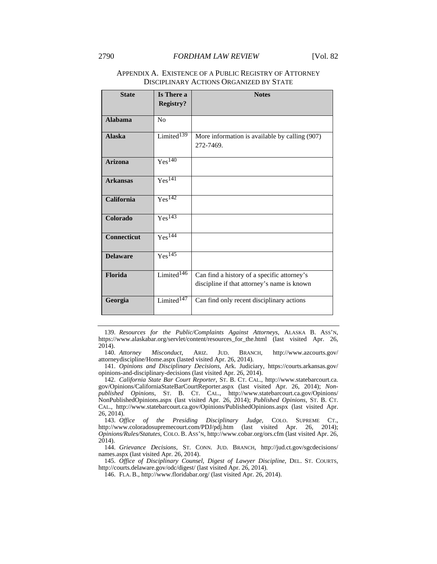## 2790 *FORDHAM LAW REVIEW* [Vol. 82

| <b>State</b>       | Is There a<br><b>Registry?</b> | <b>Notes</b>                                                                               |
|--------------------|--------------------------------|--------------------------------------------------------------------------------------------|
|                    |                                |                                                                                            |
| <b>Alabama</b>     | No                             |                                                                                            |
| <b>Alaska</b>      | Limited $\overline{^{139}}$    | More information is available by calling (907)<br>272-7469.                                |
| <b>Arizona</b>     | Yes <sup>140</sup>             |                                                                                            |
| <b>Arkansas</b>    | Yes <sup>141</sup>             |                                                                                            |
| <b>California</b>  | Yes <sup>142</sup>             |                                                                                            |
| Colorado           | Yes <sup>143</sup>             |                                                                                            |
| <b>Connecticut</b> | Yes <sup>144</sup>             |                                                                                            |
| <b>Delaware</b>    | Yes <sup>145</sup>             |                                                                                            |
| Florida            | Limited $146$                  | Can find a history of a specific attorney's<br>discipline if that attorney's name is known |
| Georgia            | Limited $147$                  | Can find only recent disciplinary actions                                                  |

## APPENDIX A. EXISTENCE OF A PUBLIC REGISTRY OF ATTORNEY DISCIPLINARY ACTIONS ORGANIZED BY STATE

 139. *Resources for the Public/Complaints Against Attorneys*, ALASKA B. ASS'N, https://www.alaskabar.org/servlet/content/resources\_for\_the.html (last visited Apr. 26, 2014).

 141. *Opinions and Disciplinary Decisions*, Ark. Judiciary, https://courts.arkansas.gov/ opinions-and-disciplinary-decisions (last visited Apr. 26, 2014).

 142. *California State Bar Court Reporter*, ST. B. CT. CAL., http://www.statebarcourt.ca. gov/Opinions/CaliforniaStateBarCourtReporter.aspx (last visited Apr. 26, 2014); *Nonpublished Opinions*, ST. B. CT. CAL., http://www.statebarcourt.ca.gov/Opinions/ NonPublishedOpinions.aspx (last visited Apr. 26, 2014); *Published Opinions*, ST. B. CT. CAL., http://www.statebarcourt.ca.gov/Opinions/PublishedOpinions.aspx (last visited Apr. 26, 2014).

 143. *Office of the Presiding Disciplinary Judge*, COLO. SUPREME CT., http://www.coloradosupremecourt.com/PDJ/pdj.htm (last visited Apr. 26, 2014); *Opinions/Rules/Statutes*, COLO. B. ASS'N, http://www.cobar.org/ors.cfm (last visited Apr. 26, 2014).

 144. *Grievance Decisions*, ST. CONN. JUD. BRANCH, http://jud.ct.gov/sgcdecisions/ names.aspx (last visited Apr. 26, 2014).

 145. *Office of Disciplinary Counsel, Digest of Lawyer Discipline*, DEL. ST. COURTS, http://courts.delaware.gov/odc/digest/ (last visited Apr. 26, 2014).

146. FLA. B., http://www.floridabar.org/ (last visited Apr. 26, 2014).

 <sup>140.</sup> *Attorney Misconduct*, ARIZ. JUD. BRANCH, http://www.azcourts.gov/ attorneydiscipline/Home.aspx (lasted visited Apr. 26, 2014).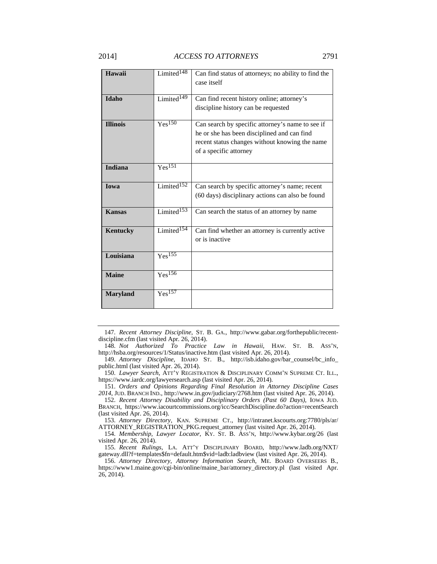case itself

| Idaho           | Limited $14\overline{9}$ | Can find recent history online; attorney's<br>discipline history can be requested                                                                                           |
|-----------------|--------------------------|-----------------------------------------------------------------------------------------------------------------------------------------------------------------------------|
|                 |                          |                                                                                                                                                                             |
| <b>Illinois</b> | Yes <sup>150</sup>       | Can search by specific attorney's name to see if<br>he or she has been disciplined and can find<br>recent status changes without knowing the name<br>of a specific attorney |
| <b>Indiana</b>  | Yes <sup>151</sup>       |                                                                                                                                                                             |
| <b>Iowa</b>     | Limited <sup>152</sup>   | Can search by specific attorney's name; recent                                                                                                                              |
|                 |                          | (60 days) disciplinary actions can also be found                                                                                                                            |
| <b>Kansas</b>   | Limited <sup>153</sup>   | Can search the status of an attorney by name                                                                                                                                |
| Kentucky        | Limited <sup>154</sup>   | Can find whether an attorney is currently active<br>or is inactive                                                                                                          |
| Louisiana       | $Yes^{155}$              |                                                                                                                                                                             |
| <b>Maine</b>    | Yes <sup>156</sup>       |                                                                                                                                                                             |
| <b>Maryland</b> | Yes <sup>157</sup>       |                                                                                                                                                                             |

 <sup>147.</sup> *Recent Attorney Discipline*, ST. B. GA., http://www.gabar.org/forthepublic/recentdiscipline.cfm (last visited Apr. 26, 2014).

 <sup>148.</sup> *Not Authorized To Practice Law in Hawaii*, HAW. ST. B. ASS'N, http://hsba.org/resources/1/Status/inactive.htm (last visited Apr. 26, 2014).

 <sup>149.</sup> *Attorney Discipline*, IDAHO ST. B., http://isb.idaho.gov/bar\_counsel/bc\_info\_ public.html (last visited Apr. 26, 2014).

 <sup>150.</sup> *Lawyer Search*, ATT'Y REGISTRATION & DISCIPLINARY COMM'N SUPREME CT. ILL., https://www.iardc.org/lawyersearch.asp (last visited Apr. 26, 2014).

 <sup>151.</sup> *Orders and Opinions Regarding Final Resolution in Attorney Discipline Cases 2014*, JUD. BRANCH IND., http://www.in.gov/judiciary/2768.htm (last visited Apr. 26, 2014).

 <sup>152.</sup> *Recent Attorney Disability and Disciplinary Orders (Past 60 Days)*, IOWA JUD. BRANCH, https://www.iacourtcommissions.org/icc/SearchDiscipline.do?action=recentSearch (last visited Apr. 26, 2014).

 <sup>153.</sup> *Attorney Directory*, KAN. SUPREME CT., http://intranet.kscourts.org:7780/pls/ar/ ATTORNEY\_REGISTRATION\_PKG.request\_attorney (last visited Apr. 26, 2014).

 <sup>154.</sup> *Membership, Lawyer Locator*, KY. ST. B. ASS'N, http://www.kybar.org/26 (last visited Apr. 26, 2014).

 <sup>155.</sup> *Recent Rulings*, LA. ATT'Y DISCIPLINARY BOARD, http://www.ladb.org/NXT/ gateway.dll?f=templates\$fn=default.htm\$vid=ladb:ladbview (last visited Apr. 26, 2014).

 <sup>156.</sup> *Attorney Directory, Attorney Information Search*, ME. BOARD OVERSEERS B., https://www1.maine.gov/cgi-bin/online/maine\_bar/attorney\_directory.pl (last visited Apr. 26, 2014).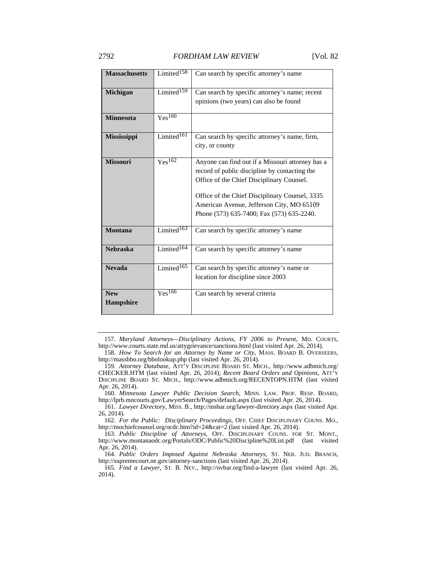| <b>Massachusetts</b> | Limited $158$             | Can search by specific attorney's name           |
|----------------------|---------------------------|--------------------------------------------------|
| <b>Michigan</b>      | Limited $159$             | Can search by specific attorney's name; recent   |
|                      |                           | opinions (two years) can also be found           |
|                      |                           |                                                  |
| <b>Minnesota</b>     | Yes <sup>160</sup>        |                                                  |
|                      |                           |                                                  |
| <b>Mississippi</b>   | Limited $161$             | Can search by specific attorney's name, firm,    |
|                      |                           | city, or county                                  |
|                      |                           |                                                  |
| <b>Missouri</b>      | Yes <sup>162</sup>        | Anyone can find out if a Missouri attorney has a |
|                      |                           | record of public discipline by contacting the    |
|                      |                           | Office of the Chief Disciplinary Counsel.        |
|                      |                           |                                                  |
|                      |                           | Office of the Chief Disciplinary Counsel, 3335   |
|                      |                           | American Avenue, Jefferson City, MO 65109        |
|                      |                           | Phone (573) 635-7400; Fax (573) 635-2240.        |
|                      |                           |                                                  |
| <b>Montana</b>       | Limited <sup>163</sup>    | Can search by specific attorney's name           |
|                      |                           |                                                  |
| <b>Nebraska</b>      | $L$ imited <sup>164</sup> | Can search by specific attorney's name           |
|                      |                           |                                                  |
| <b>Nevada</b>        | Limited $165$             | Can search by specific attorney's name or        |
|                      |                           | location for discipline since 2003               |
|                      |                           |                                                  |
| <b>New</b>           | Yes <sup>166</sup>        | Can search by several criteria                   |
| <b>Hampshire</b>     |                           |                                                  |
|                      |                           |                                                  |

 <sup>157.</sup> *Maryland Attorneys—Disciplinary Actions, FY 2006 to Present*, MD. COURTS, http://www.courts.state.md.us/attygrievance/sanctions.html (last visited Apr. 26, 2014).

 160. *Minnesota Lawyer Public Decision Search*, MINN. LAW. PROF. RESP. BOARD, http://lprb.mncourts.gov/LawyerSearch/Pages/default.aspx (last visited Apr. 26, 2014).

 161. *Lawyer Directory*, MISS. B., http://msbar.org/lawyer-directory.aspx (last visited Apr. 26, 2014).

 162. *For the Public: Disciplinary Proceedings*, OFF. CHIEF DISCIPLINARY COUNS. MO., http://mochiefcounsel.org/ocdc.htm?id=24&cat=2 (last visited Apr. 26, 2014).

 164. *Public Orders Imposed Against Nebraska Attorneys*, ST. NEB. JUD. BRANCH, http://supremecourt.ne.gov/attorney-sanctions (last visited Apr. 26, 2014).

 165. *Find a Lawyer*, ST. B. NEV., http://nvbar.org/find-a-lawyer (last visited Apr. 26, 2014).

 <sup>158.</sup> *How To Search for an Attorney by Name or City*, MASS. BOARD B. OVERSEERS, http://massbbo.org/bbolookup.php (last visited Apr. 26, 2014).

 <sup>159.</sup> *Attorney Database*, ATT'Y DISCIPLINE BOARD ST. MICH., http://www.adbmich.org/ CHECKER.HTM (last visited Apr. 26, 2014); *Recent Board Orders and Opinions*, ATT'Y DISCIPLINE BOARD ST. MICH., http://www.adbmich.org/RECENTOPN.HTM (last visited Apr. 26, 2014).

 <sup>163.</sup> *Public Discipline of Attorneys*, OFF. DISCIPLINARY COUNS. FOR ST. MONT., http://www.montanaodc.org/Portals/ODC/Public%20Discipline%20List.pdf (last visited Apr. 26, 2014).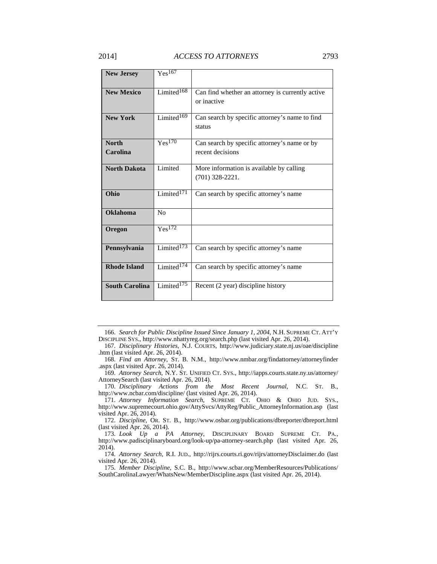| <b>New Jersey</b>               | $Yes^{167}$                 |                                                                  |
|---------------------------------|-----------------------------|------------------------------------------------------------------|
| <b>New Mexico</b>               | Limited $168$               | Can find whether an attorney is currently active<br>or inactive  |
| <b>New York</b>                 | Limited $169$               | Can search by specific attorney's name to find<br>status         |
| <b>North</b><br><b>Carolina</b> | Yes <sup>170</sup>          | Can search by specific attorney's name or by<br>recent decisions |
| <b>North Dakota</b>             | Limited                     | More information is available by calling<br>$(701)$ 328-2221.    |
| Ohio                            | Limited <sup>171</sup>      | Can search by specific attorney's name                           |
| <b>Oklahoma</b>                 | No                          |                                                                  |
| Oregon                          | $Y_{\rm es}$ <sup>172</sup> |                                                                  |
| Pennsylvania                    | Limited $173$               | Can search by specific attorney's name                           |
| <b>Rhode Island</b>             | Limited $174$               | Can search by specific attorney's name                           |
| <b>South Carolina</b>           | Limited $175$               | Recent (2 year) discipline history                               |

 <sup>166.</sup> *Search for Public Discipline Issued Since January 1, 2004*, N.H. SUPREME CT. ATT'Y DISCIPLINE SYS., http://www.nhattyreg.org/search.php (last visited Apr. 26, 2014).

 169. *Attorney Search*, N.Y. ST. UNIFIED CT. SYS., http://iapps.courts.state.ny.us/attorney/ AttorneySearch (last visited Apr. 26, 2014).

 170. *Disciplinary Actions from the Most Recent Journal*, N.C. ST. B., http://www.ncbar.com/discipline/ (last visited Apr. 26, 2014).

 171. *Attorney Information Search*, SUPREME CT. OHIO & OHIO JUD. SYS., http://www.supremecourt.ohio.gov/AttySvcs/AttyReg/Public\_AttorneyInformation.asp (last visited Apr. 26, 2014).

 172. *Discipline*, OR. ST. B., http://www.osbar.org/publications/dbreporter/dbreport.html (last visited Apr. 26, 2014).

 174. *Attorney Search*, R.I. JUD., http://rijrs.courts.ri.gov/rijrs/attorneyDisclaimer.do (last visited Apr. 26, 2014).

 <sup>167.</sup> *Disciplinary Histories*, N.J. COURTS, http://www.judiciary.state.nj.us/oae/discipline .htm (last visited Apr. 26, 2014).

 <sup>168.</sup> *Find an Attorney*, ST. B. N.M., http://www.nmbar.org/findattorney/attorneyfinder .aspx (last visited Apr. 26, 2014).

 <sup>173.</sup> *Look Up a PA Attorney*, DISCIPLINARY BOARD SUPREME CT. PA., http://www.padisciplinaryboard.org/look-up/pa-attorney-search.php (last visited Apr. 26, 2014).

 <sup>175.</sup> *Member Discipline*, S.C. B., http://www.scbar.org/MemberResources/Publications/ SouthCarolinaLawyer/WhatsNew/MemberDiscipline.aspx (last visited Apr. 26, 2014).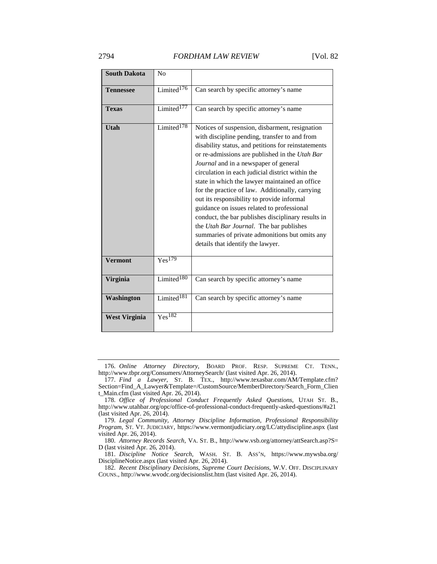| <b>South Dakota</b>  | No                        |                                                                                                                                                                                                                                                                                                                                                                                                                                                                                                                                                                                                                                                                                                        |
|----------------------|---------------------------|--------------------------------------------------------------------------------------------------------------------------------------------------------------------------------------------------------------------------------------------------------------------------------------------------------------------------------------------------------------------------------------------------------------------------------------------------------------------------------------------------------------------------------------------------------------------------------------------------------------------------------------------------------------------------------------------------------|
| <b>Tennessee</b>     | Limited <sup>176</sup>    | Can search by specific attorney's name                                                                                                                                                                                                                                                                                                                                                                                                                                                                                                                                                                                                                                                                 |
| <b>Texas</b>         | Limited <sup>177</sup>    | Can search by specific attorney's name                                                                                                                                                                                                                                                                                                                                                                                                                                                                                                                                                                                                                                                                 |
| Utah                 | $L$ imited <sup>178</sup> | Notices of suspension, disbarment, resignation<br>with discipline pending, transfer to and from<br>disability status, and petitions for reinstatements<br>or re-admissions are published in the Utah Bar<br>Journal and in a newspaper of general<br>circulation in each judicial district within the<br>state in which the lawyer maintained an office<br>for the practice of law. Additionally, carrying<br>out its responsibility to provide informal<br>guidance on issues related to professional<br>conduct, the bar publishes disciplinary results in<br>the <i>Utah Bar Journal</i> . The bar publishes<br>summaries of private admonitions but omits any<br>details that identify the lawyer. |
| <b>Vermont</b>       | $Y_{\rm es}$ 179          |                                                                                                                                                                                                                                                                                                                                                                                                                                                                                                                                                                                                                                                                                                        |
| Virginia             | Limited <sup>180</sup>    | Can search by specific attorney's name                                                                                                                                                                                                                                                                                                                                                                                                                                                                                                                                                                                                                                                                 |
| Washington           | Limited <sup>181</sup>    | Can search by specific attorney's name                                                                                                                                                                                                                                                                                                                                                                                                                                                                                                                                                                                                                                                                 |
| <b>West Virginia</b> | Yes <sup>182</sup>        |                                                                                                                                                                                                                                                                                                                                                                                                                                                                                                                                                                                                                                                                                                        |

 <sup>176.</sup> *Online Attorney Directory*, BOARD PROF. RESP. SUPREME CT. TENN., http://www.tbpr.org/Consumers/AttorneySearch/ (last visited Apr. 26, 2014).

 <sup>177.</sup> *Find a Lawyer*, ST. B. TEX., http://www.texasbar.com/AM/Template.cfm? Section=Find\_A\_Lawyer&Template=/CustomSource/MemberDirectory/Search\_Form\_Clien t\_Main.cfm (last visited Apr. 26, 2014).

 <sup>178.</sup> *Office of Professional Conduct Frequently Asked Questions*, UTAH ST. B., http://www.utahbar.org/opc/office-of-professional-conduct-frequently-asked-questions/#a21 (last visited Apr. 26, 2014).

 <sup>179.</sup> *Legal Community, Attorney Discipline Information, Professional Responsibility Program*, ST. VT. JUDICIARY, https://www.vermontjudiciary.org/LC/attydiscipline.aspx (last visited Apr. 26, 2014).

<sup>180.</sup> *Attorney Records Search*, VA. ST. B., http://www.vsb.org/attorney/attSearch.asp?S= D (last visited Apr. 26, 2014).

 <sup>181.</sup> *Discipline Notice Search*, WASH. ST. B. ASS'N, https://www.mywsba.org/ DisciplineNotice.aspx (last visited Apr. 26, 2014).

 <sup>182.</sup> *Recent Disciplinary Decisions*, *Supreme Court Decisions*, W.V. OFF. DISCIPLINARY COUNS., http://www.wvodc.org/decisionslist.htm (last visited Apr. 26, 2014).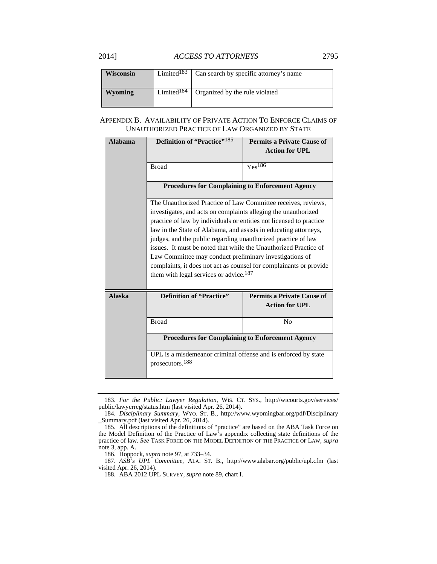## 2014] *ACCESS TO ATTORNEYS* 2795

| <b>Wisconsin</b> | Limited $183$          | Can search by specific attorney's name |
|------------------|------------------------|----------------------------------------|
| Wyoming          | Limited <sup>184</sup> | Organized by the rule violated         |

## APPENDIX B. AVAILABILITY OF PRIVATE ACTION TO ENFORCE CLAIMS OF UNAUTHORIZED PRACTICE OF LAW ORGANIZED BY STATE

| <b>Alabama</b> | <b>Definition of "Practice"</b> <sup>185</sup>                                                                                                                                                                                                                                                                                                                                                                                                                                                                                                                                                | <b>Permits a Private Cause of</b>                          |  |
|----------------|-----------------------------------------------------------------------------------------------------------------------------------------------------------------------------------------------------------------------------------------------------------------------------------------------------------------------------------------------------------------------------------------------------------------------------------------------------------------------------------------------------------------------------------------------------------------------------------------------|------------------------------------------------------------|--|
|                |                                                                                                                                                                                                                                                                                                                                                                                                                                                                                                                                                                                               | <b>Action for UPL</b>                                      |  |
|                | <b>Broad</b>                                                                                                                                                                                                                                                                                                                                                                                                                                                                                                                                                                                  | $Yes^{186}$                                                |  |
|                | <b>Procedures for Complaining to Enforcement Agency</b>                                                                                                                                                                                                                                                                                                                                                                                                                                                                                                                                       |                                                            |  |
|                | The Unauthorized Practice of Law Committee receives, reviews,<br>investigates, and acts on complaints alleging the unauthorized<br>practice of law by individuals or entities not licensed to practice<br>law in the State of Alabama, and assists in educating attorneys,<br>judges, and the public regarding unauthorized practice of law<br>issues. It must be noted that while the Unauthorized Practice of<br>Law Committee may conduct preliminary investigations of<br>complaints, it does not act as counsel for complainants or provide<br>them with legal services or advice. $187$ |                                                            |  |
| <b>Alaska</b>  | <b>Definition of "Practice"</b>                                                                                                                                                                                                                                                                                                                                                                                                                                                                                                                                                               | <b>Permits a Private Cause of</b><br><b>Action for UPL</b> |  |
|                | <b>Broad</b>                                                                                                                                                                                                                                                                                                                                                                                                                                                                                                                                                                                  | N <sub>0</sub>                                             |  |
|                | <b>Procedures for Complaining to Enforcement Agency</b>                                                                                                                                                                                                                                                                                                                                                                                                                                                                                                                                       |                                                            |  |
|                | UPL is a misdemeanor criminal offense and is enforced by state<br>prosecutors. <sup>188</sup>                                                                                                                                                                                                                                                                                                                                                                                                                                                                                                 |                                                            |  |

 <sup>183.</sup> *For the Public: Lawyer Regulation*, WIS. CT. SYS., http://wicourts.gov/services/ public/lawyerreg/status.htm (last visited Apr. 26, 2014).

 <sup>184.</sup> *Disciplinary Summary*, WYO. ST. B., http://www.wyomingbar.org/pdf/Disciplinary \_Summary.pdf (last visited Apr. 26, 2014).

 <sup>185.</sup> All descriptions of the definitions of "practice" are based on the ABA Task Force on the Model Definition of the Practice of Law's appendix collecting state definitions of the practice of law. *See* TASK FORCE ON THE MODEL DEFINITION OF THE PRACTICE OF LAW, *supra* note 3, app. A.

 <sup>186.</sup> Hoppock, *supra* note 97, at 733–34.

 <sup>187.</sup> *ASB's UPL Committee*, ALA. ST. B., http://www.alabar.org/public/upl.cfm (last visited Apr. 26, 2014).

 <sup>188.</sup> ABA 2012 UPL SURVEY, *supra* note 89, chart I.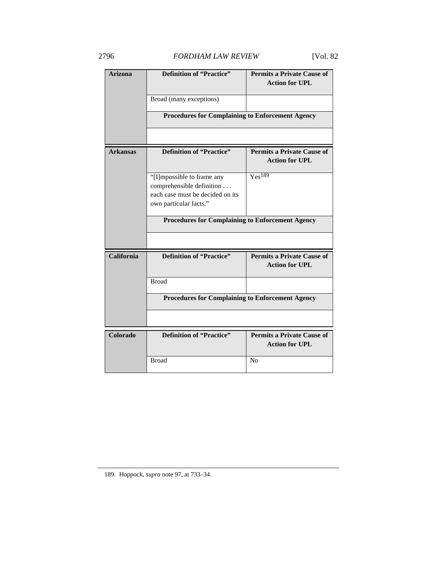| <b>Arizona</b>  | <b>Definition of "Practice"</b>                                                                                       | <b>Permits a Private Cause of</b><br><b>Action for UPL</b> |  |
|-----------------|-----------------------------------------------------------------------------------------------------------------------|------------------------------------------------------------|--|
|                 | Broad (many exceptions)                                                                                               |                                                            |  |
|                 | <b>Procedures for Complaining to Enforcement Agency</b>                                                               |                                                            |  |
|                 |                                                                                                                       |                                                            |  |
| <b>Arkansas</b> | <b>Definition of "Practice"</b>                                                                                       | <b>Permits a Private Cause of</b><br><b>Action for UPL</b> |  |
|                 | "[I]mpossible to frame any<br>comprehensible definition<br>each case must be decided on its<br>own particular facts." | Yes <sup>189</sup>                                         |  |
|                 | <b>Procedures for Complaining to Enforcement Agency</b>                                                               |                                                            |  |
|                 |                                                                                                                       |                                                            |  |
| California      | <b>Definition of "Practice"</b>                                                                                       | <b>Permits a Private Cause of</b><br><b>Action for UPL</b> |  |
|                 | <b>Broad</b>                                                                                                          |                                                            |  |
|                 | <b>Procedures for Complaining to Enforcement Agency</b>                                                               |                                                            |  |
|                 |                                                                                                                       |                                                            |  |
| Colorado        | Definition of "Practice"                                                                                              | <b>Permits a Private Cause of</b><br><b>Action for UPL</b> |  |
|                 | <b>Broad</b>                                                                                                          | N <sub>0</sub>                                             |  |

189. Hoppock, *supra* note 97, at 733–34.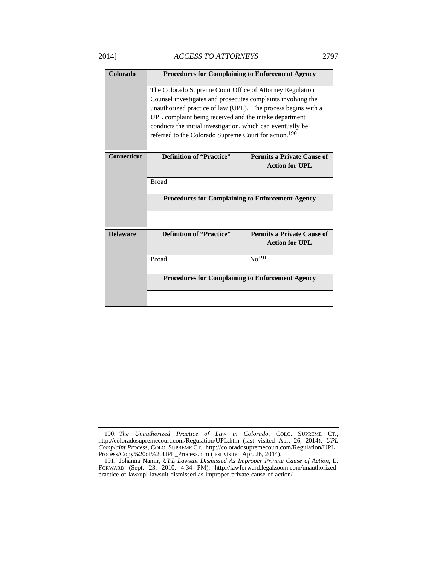| Colorado           | <b>Procedures for Complaining to Enforcement Agency</b>                                                                                                                                                                                                                                                                                                                                 |                                                            |
|--------------------|-----------------------------------------------------------------------------------------------------------------------------------------------------------------------------------------------------------------------------------------------------------------------------------------------------------------------------------------------------------------------------------------|------------------------------------------------------------|
|                    | The Colorado Supreme Court Office of Attorney Regulation<br>Counsel investigates and prosecutes complaints involving the<br>unauthorized practice of law (UPL). The process begins with a<br>UPL complaint being received and the intake department<br>conducts the initial investigation, which can eventually be<br>referred to the Colorado Supreme Court for action. <sup>190</sup> |                                                            |
| <b>Connecticut</b> | <b>Definition of "Practice"</b>                                                                                                                                                                                                                                                                                                                                                         | <b>Permits a Private Cause of</b><br><b>Action for UPL</b> |
|                    |                                                                                                                                                                                                                                                                                                                                                                                         |                                                            |
|                    | <b>Broad</b>                                                                                                                                                                                                                                                                                                                                                                            |                                                            |
|                    | <b>Procedures for Complaining to Enforcement Agency</b>                                                                                                                                                                                                                                                                                                                                 |                                                            |
|                    |                                                                                                                                                                                                                                                                                                                                                                                         |                                                            |
| <b>Delaware</b>    | <b>Definition of "Practice"</b>                                                                                                                                                                                                                                                                                                                                                         | <b>Permits a Private Cause of</b>                          |
|                    |                                                                                                                                                                                                                                                                                                                                                                                         | <b>Action for UPL</b>                                      |
|                    | <b>Broad</b>                                                                                                                                                                                                                                                                                                                                                                            | No <sup>191</sup>                                          |
|                    | <b>Procedures for Complaining to Enforcement Agency</b>                                                                                                                                                                                                                                                                                                                                 |                                                            |
|                    |                                                                                                                                                                                                                                                                                                                                                                                         |                                                            |

 <sup>190.</sup> *The Unauthorized Practice of Law in Colorado*, COLO. SUPREME CT., http://coloradosupremecourt.com/Regulation/UPL.htm (last visited Apr. 26, 2014); *UPL Complaint Process*, COLO. SUPREME CT., http://coloradosupremecourt.com/Regulation/UPL\_ Process/Copy%20of%20UPL\_Process.htm (last visited Apr. 26, 2014).

 <sup>191.</sup> Johanna Namir, *UPL Lawsuit Dismissed As Improper Private Cause of Action*, L. FORWARD (Sept. 23, 2010, 4:34 PM), http://lawforward.legalzoom.com/unauthorizedpractice-of-law/upl-lawsuit-dismissed-as-improper-private-cause-of-action/.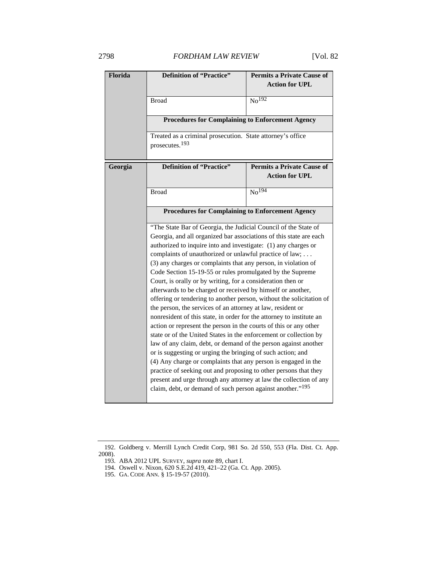| Florida | <b>Definition of "Practice"</b>                                                                                                                                                                                                                                                                                                                                                                                                                                                     | <b>Permits a Private Cause of</b> |  |
|---------|-------------------------------------------------------------------------------------------------------------------------------------------------------------------------------------------------------------------------------------------------------------------------------------------------------------------------------------------------------------------------------------------------------------------------------------------------------------------------------------|-----------------------------------|--|
|         |                                                                                                                                                                                                                                                                                                                                                                                                                                                                                     | <b>Action for UPL</b>             |  |
|         | <b>Broad</b>                                                                                                                                                                                                                                                                                                                                                                                                                                                                        | $\overline{No^{192}}$             |  |
|         |                                                                                                                                                                                                                                                                                                                                                                                                                                                                                     |                                   |  |
|         | <b>Procedures for Complaining to Enforcement Agency</b>                                                                                                                                                                                                                                                                                                                                                                                                                             |                                   |  |
|         | Treated as a criminal prosecution. State attorney's office                                                                                                                                                                                                                                                                                                                                                                                                                          |                                   |  |
|         | prosecutes. <sup>193</sup>                                                                                                                                                                                                                                                                                                                                                                                                                                                          |                                   |  |
| Georgia | <b>Definition of "Practice"</b>                                                                                                                                                                                                                                                                                                                                                                                                                                                     | <b>Permits a Private Cause of</b> |  |
|         |                                                                                                                                                                                                                                                                                                                                                                                                                                                                                     | <b>Action for UPL</b>             |  |
|         | <b>Broad</b>                                                                                                                                                                                                                                                                                                                                                                                                                                                                        | $\overline{\text{No}^{194}}$      |  |
|         |                                                                                                                                                                                                                                                                                                                                                                                                                                                                                     |                                   |  |
|         | <b>Procedures for Complaining to Enforcement Agency</b>                                                                                                                                                                                                                                                                                                                                                                                                                             |                                   |  |
|         | "The State Bar of Georgia, the Judicial Council of the State of                                                                                                                                                                                                                                                                                                                                                                                                                     |                                   |  |
|         | Georgia, and all organized bar associations of this state are each                                                                                                                                                                                                                                                                                                                                                                                                                  |                                   |  |
|         | authorized to inquire into and investigate: (1) any charges or                                                                                                                                                                                                                                                                                                                                                                                                                      |                                   |  |
|         | complaints of unauthorized or unlawful practice of law;                                                                                                                                                                                                                                                                                                                                                                                                                             |                                   |  |
|         | (3) any charges or complaints that any person, in violation of<br>Code Section 15-19-55 or rules promulgated by the Supreme                                                                                                                                                                                                                                                                                                                                                         |                                   |  |
|         | Court, is orally or by writing, for a consideration then or<br>afterwards to be charged or received by himself or another,<br>offering or tendering to another person, without the solicitation of<br>the person, the services of an attorney at law, resident or<br>nonresident of this state, in order for the attorney to institute an<br>action or represent the person in the courts of this or any other<br>state or of the United States in the enforcement or collection by |                                   |  |
|         |                                                                                                                                                                                                                                                                                                                                                                                                                                                                                     |                                   |  |
|         |                                                                                                                                                                                                                                                                                                                                                                                                                                                                                     |                                   |  |
|         |                                                                                                                                                                                                                                                                                                                                                                                                                                                                                     |                                   |  |
|         |                                                                                                                                                                                                                                                                                                                                                                                                                                                                                     |                                   |  |
|         |                                                                                                                                                                                                                                                                                                                                                                                                                                                                                     |                                   |  |
|         |                                                                                                                                                                                                                                                                                                                                                                                                                                                                                     |                                   |  |
|         | law of any claim, debt, or demand of the person against another                                                                                                                                                                                                                                                                                                                                                                                                                     |                                   |  |
|         | or is suggesting or urging the bringing of such action; and                                                                                                                                                                                                                                                                                                                                                                                                                         |                                   |  |
|         | (4) Any charge or complaints that any person is engaged in the                                                                                                                                                                                                                                                                                                                                                                                                                      |                                   |  |
|         | practice of seeking out and proposing to other persons that they                                                                                                                                                                                                                                                                                                                                                                                                                    |                                   |  |
|         | present and urge through any attorney at law the collection of any<br>claim, debt, or demand of such person against another." <sup>195</sup>                                                                                                                                                                                                                                                                                                                                        |                                   |  |
|         |                                                                                                                                                                                                                                                                                                                                                                                                                                                                                     |                                   |  |

 <sup>192.</sup> Goldberg v. Merrill Lynch Credit Corp, 981 So. 2d 550, 553 (Fla. Dist. Ct. App.

<sup>2008).</sup> 

 <sup>193.</sup> ABA 2012 UPL SURVEY, *supra* note 89, chart I.

 <sup>194.</sup> Oswell v. Nixon, 620 S.E.2d 419, 421–22 (Ga. Ct. App. 2005).

 <sup>195.</sup> GA. CODE ANN. § 15-19-57 (2010).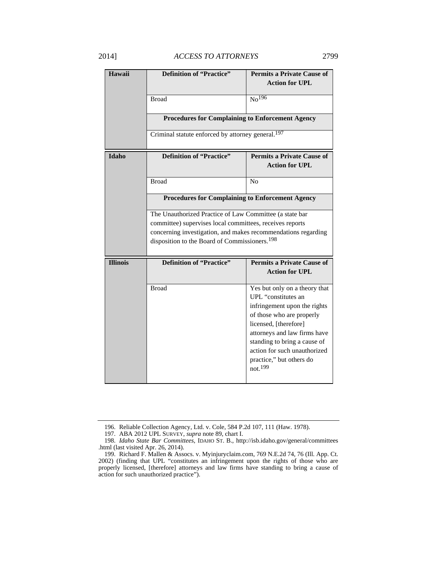| Hawaii          | <b>Definition of "Practice"</b>                                                                                                                                                                                                                   | <b>Permits a Private Cause of</b><br><b>Action for UPL</b>   |  |  |
|-----------------|---------------------------------------------------------------------------------------------------------------------------------------------------------------------------------------------------------------------------------------------------|--------------------------------------------------------------|--|--|
|                 | <b>Broad</b>                                                                                                                                                                                                                                      | $\text{No}^{196}$                                            |  |  |
|                 | <b>Procedures for Complaining to Enforcement Agency</b>                                                                                                                                                                                           |                                                              |  |  |
|                 | Criminal statute enforced by attorney general. <sup>197</sup>                                                                                                                                                                                     |                                                              |  |  |
| <b>Idaho</b>    | <b>Definition of "Practice"</b>                                                                                                                                                                                                                   | <b>Permits a Private Cause of</b>                            |  |  |
|                 |                                                                                                                                                                                                                                                   | <b>Action for UPL</b>                                        |  |  |
|                 | <b>Broad</b>                                                                                                                                                                                                                                      | N <sub>0</sub>                                               |  |  |
|                 | <b>Procedures for Complaining to Enforcement Agency</b>                                                                                                                                                                                           |                                                              |  |  |
|                 | The Unauthorized Practice of Law Committee (a state bar<br>committee) supervises local committees, receives reports<br>concerning investigation, and makes recommendations regarding<br>disposition to the Board of Commissioners. <sup>198</sup> |                                                              |  |  |
|                 |                                                                                                                                                                                                                                                   |                                                              |  |  |
|                 |                                                                                                                                                                                                                                                   |                                                              |  |  |
| <b>Illinois</b> | <b>Definition of "Practice"</b><br><b>Permits a Private Cause of</b>                                                                                                                                                                              |                                                              |  |  |
|                 |                                                                                                                                                                                                                                                   | <b>Action for UPL</b>                                        |  |  |
|                 | <b>Broad</b>                                                                                                                                                                                                                                      | Yes but only on a theory that                                |  |  |
|                 |                                                                                                                                                                                                                                                   | UPL "constitutes an<br>infringement upon the rights          |  |  |
|                 |                                                                                                                                                                                                                                                   | of those who are properly                                    |  |  |
|                 |                                                                                                                                                                                                                                                   | licensed, [therefore]                                        |  |  |
|                 |                                                                                                                                                                                                                                                   | attorneys and law firms have                                 |  |  |
|                 |                                                                                                                                                                                                                                                   | standing to bring a cause of<br>action for such unauthorized |  |  |
|                 |                                                                                                                                                                                                                                                   | practice," but others do<br>not. <sup>199</sup>              |  |  |
|                 |                                                                                                                                                                                                                                                   |                                                              |  |  |

 <sup>196.</sup> Reliable Collection Agency, Ltd. v. Cole, 584 P.2d 107, 111 (Haw. 1978).

 <sup>197.</sup> ABA 2012 UPL SURVEY, *supra* note 89, chart I.

 <sup>198.</sup> *Idaho State Bar Committees*, IDAHO ST. B., http://isb.idaho.gov/general/committees .html (last visited Apr. 26, 2014).

 <sup>199.</sup> Richard F. Mallen & Assocs. v. Myinjuryclaim.com, 769 N.E.2d 74, 76 (Ill. App. Ct. 2002) (finding that UPL "constitutes an infringement upon the rights of those who are properly licensed, [therefore] attorneys and law firms have standing to bring a cause of action for such unauthorized practice").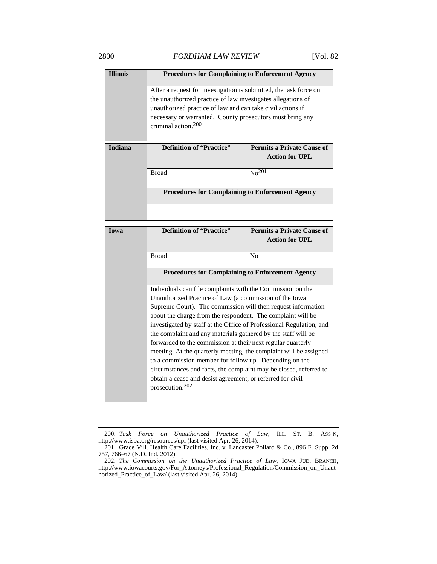| <b>Illinois</b> | <b>Procedures for Complaining to Enforcement Agency</b>              |                       |  |
|-----------------|----------------------------------------------------------------------|-----------------------|--|
|                 | After a request for investigation is submitted, the task force on    |                       |  |
|                 | the unauthorized practice of law investigates allegations of         |                       |  |
|                 | unauthorized practice of law and can take civil actions if           |                       |  |
|                 | necessary or warranted. County prosecutors must bring any            |                       |  |
|                 | criminal action. <sup>200</sup>                                      |                       |  |
|                 |                                                                      |                       |  |
| <b>Indiana</b>  | <b>Definition of "Practice"</b><br><b>Permits a Private Cause of</b> |                       |  |
|                 |                                                                      | <b>Action for UPL</b> |  |
|                 | <b>Broad</b>                                                         | $No^{201}$            |  |
|                 |                                                                      |                       |  |
|                 | <b>Procedures for Complaining to Enforcement Agency</b>              |                       |  |
|                 |                                                                      |                       |  |

| Iowa | <b>Definition of "Practice"</b>                                                           | <b>Permits a Private Cause of</b><br><b>Action for UPL</b> |
|------|-------------------------------------------------------------------------------------------|------------------------------------------------------------|
|      | <b>Broad</b>                                                                              | N <sub>0</sub>                                             |
|      | <b>Procedures for Complaining to Enforcement Agency</b>                                   |                                                            |
|      | Individuals can file complaints with the Commission on the                                |                                                            |
|      | Unauthorized Practice of Law (a commission of the Iowa                                    |                                                            |
|      | Supreme Court). The commission will then request information                              |                                                            |
|      | about the charge from the respondent. The complaint will be                               |                                                            |
|      | investigated by staff at the Office of Professional Regulation, and                       |                                                            |
|      | the complaint and any materials gathered by the staff will be                             |                                                            |
|      | forwarded to the commission at their next regular quarterly                               |                                                            |
|      | meeting. At the quarterly meeting, the complaint will be assigned                         |                                                            |
|      | to a commission member for follow up. Depending on the                                    |                                                            |
|      | circumstances and facts, the complaint may be closed, referred to                         |                                                            |
|      | obtain a cease and desist agreement, or referred for civil<br>prosecution. <sup>202</sup> |                                                            |
|      |                                                                                           |                                                            |

 <sup>200.</sup> *Task Force on Unauthorized Practice of Law*, ILL. ST. B. ASS'N, http://www.isba.org/resources/upl (last visited Apr. 26, 2014).

 <sup>201.</sup> Grace Vill. Health Care Facilities, Inc. v. Lancaster Pollard & Co., 896 F. Supp. 2d 757, 766–67 (N.D. Ind. 2012).

 <sup>202.</sup> *The Commission on the Unauthorized Practice of Law*, IOWA JUD. BRANCH, http://www.iowacourts.gov/For\_Attorneys/Professional\_Regulation/Commission\_on\_Unaut horized\_Practice\_of\_Law/ (last visited Apr. 26, 2014).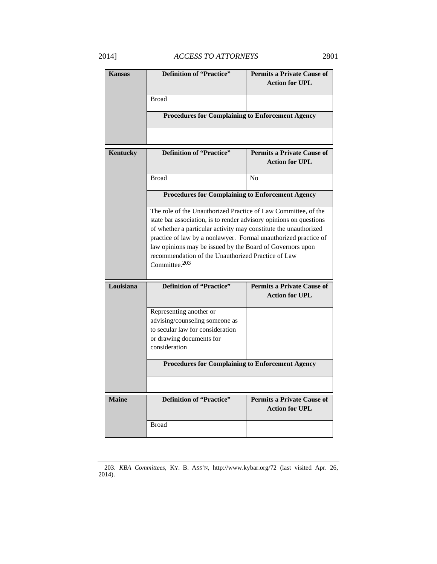| <b>Kansas</b> | Definition of "Practice"                                                                                                                                                                                                                                                                                                                                                                                           | <b>Permits a Private Cause of</b><br><b>Action for UPL</b> |
|---------------|--------------------------------------------------------------------------------------------------------------------------------------------------------------------------------------------------------------------------------------------------------------------------------------------------------------------------------------------------------------------------------------------------------------------|------------------------------------------------------------|
|               | <b>Broad</b>                                                                                                                                                                                                                                                                                                                                                                                                       |                                                            |
|               | <b>Procedures for Complaining to Enforcement Agency</b>                                                                                                                                                                                                                                                                                                                                                            |                                                            |
|               |                                                                                                                                                                                                                                                                                                                                                                                                                    |                                                            |
| Kentucky      | Definition of "Practice"                                                                                                                                                                                                                                                                                                                                                                                           | <b>Permits a Private Cause of</b><br><b>Action for UPL</b> |
|               | <b>Broad</b>                                                                                                                                                                                                                                                                                                                                                                                                       | N <sub>0</sub>                                             |
|               | <b>Procedures for Complaining to Enforcement Agency</b>                                                                                                                                                                                                                                                                                                                                                            |                                                            |
|               | The role of the Unauthorized Practice of Law Committee, of the<br>state bar association, is to render advisory opinions on questions<br>of whether a particular activity may constitute the unauthorized<br>practice of law by a nonlawyer. Formal unauthorized practice of<br>law opinions may be issued by the Board of Governors upon<br>recommendation of the Unauthorized Practice of Law<br>Committee. $203$ |                                                            |
| Louisiana     | <b>Definition of "Practice"</b>                                                                                                                                                                                                                                                                                                                                                                                    | <b>Permits a Private Cause of</b><br><b>Action for UPL</b> |
|               | Representing another or<br>advising/counseling someone as<br>to secular law for consideration<br>or drawing documents for<br>consideration                                                                                                                                                                                                                                                                         |                                                            |
|               | <b>Procedures for Complaining to Enforcement Agency</b>                                                                                                                                                                                                                                                                                                                                                            |                                                            |
|               |                                                                                                                                                                                                                                                                                                                                                                                                                    |                                                            |
| <b>Maine</b>  | <b>Definition of "Practice"</b>                                                                                                                                                                                                                                                                                                                                                                                    | <b>Permits a Private Cause of</b><br><b>Action for UPL</b> |
|               | Broad                                                                                                                                                                                                                                                                                                                                                                                                              |                                                            |

 <sup>203.</sup> *KBA Committees*, KY. B. ASS'N, http://www.kybar.org/72 (last visited Apr. 26, 2014).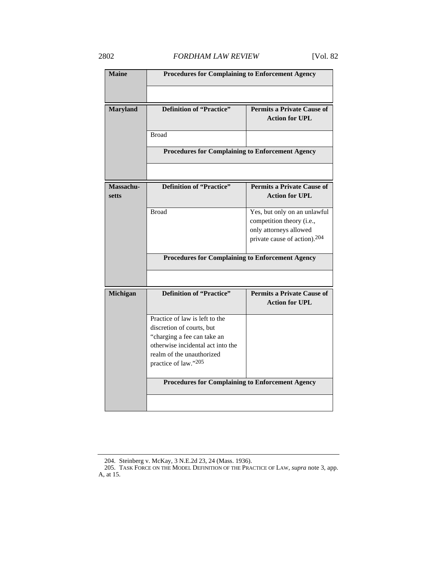| <b>Maine</b>              | <b>Procedures for Complaining to Enforcement Agency</b>                                                                                                                              |                                                                                                                                 |
|---------------------------|--------------------------------------------------------------------------------------------------------------------------------------------------------------------------------------|---------------------------------------------------------------------------------------------------------------------------------|
|                           |                                                                                                                                                                                      |                                                                                                                                 |
| <b>Maryland</b>           | <b>Definition of "Practice"</b>                                                                                                                                                      | <b>Permits a Private Cause of</b><br><b>Action for UPL</b>                                                                      |
|                           | <b>Broad</b>                                                                                                                                                                         |                                                                                                                                 |
|                           | <b>Procedures for Complaining to Enforcement Agency</b>                                                                                                                              |                                                                                                                                 |
|                           |                                                                                                                                                                                      |                                                                                                                                 |
| Massachu-<br><b>setts</b> | <b>Definition of "Practice"</b>                                                                                                                                                      | <b>Permits a Private Cause of</b><br><b>Action for UPL</b>                                                                      |
|                           | <b>Broad</b>                                                                                                                                                                         | Yes, but only on an unlawful<br>competition theory (i.e.,<br>only attorneys allowed<br>private cause of action). <sup>204</sup> |
|                           | <b>Procedures for Complaining to Enforcement Agency</b>                                                                                                                              |                                                                                                                                 |
|                           |                                                                                                                                                                                      |                                                                                                                                 |
| Michigan                  | <b>Definition of "Practice"</b>                                                                                                                                                      | <b>Permits a Private Cause of</b><br><b>Action for UPL</b>                                                                      |
|                           | Practice of law is left to the<br>discretion of courts, but<br>"charging a fee can take an<br>otherwise incidental act into the<br>realm of the unauthorized<br>practice of law."205 |                                                                                                                                 |
|                           | <b>Procedures for Complaining to Enforcement Agency</b>                                                                                                                              |                                                                                                                                 |
|                           |                                                                                                                                                                                      |                                                                                                                                 |

 <sup>204.</sup> Steinberg v. McKay, 3 N.E.2d 23, 24 (Mass. 1936).

 <sup>205.</sup> TASK FORCE ON THE MODEL DEFINITION OF THE PRACTICE OF LAW, *supra* note 3, app. A, at 15.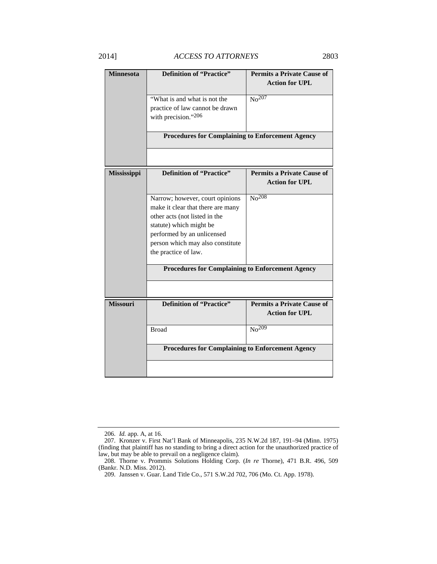| <b>Minnesota</b> | <b>Definition of "Practice"</b>                                                                       | <b>Permits a Private Cause of</b>                          |
|------------------|-------------------------------------------------------------------------------------------------------|------------------------------------------------------------|
|                  |                                                                                                       | <b>Action for UPL</b>                                      |
|                  | "What is and what is not the                                                                          | $N0$ <sup>207</sup>                                        |
|                  | practice of law cannot be drawn                                                                       |                                                            |
|                  | with precision."206                                                                                   |                                                            |
|                  | <b>Procedures for Complaining to Enforcement Agency</b>                                               |                                                            |
|                  |                                                                                                       |                                                            |
| Mississippi      | <b>Definition of "Practice"</b>                                                                       | <b>Permits a Private Cause of</b><br><b>Action for UPL</b> |
|                  | Narrow; however, court opinions<br>make it clear that there are many<br>other acts (not listed in the | $\overline{\text{No}^{208}}$                               |
|                  | statute) which might be<br>performed by an unlicensed                                                 |                                                            |
|                  | person which may also constitute                                                                      |                                                            |
|                  | the practice of law.                                                                                  |                                                            |
|                  | <b>Procedures for Complaining to Enforcement Agency</b>                                               |                                                            |
|                  |                                                                                                       |                                                            |
| <b>Missouri</b>  | <b>Definition of "Practice"</b>                                                                       | <b>Permits a Private Cause of</b><br><b>Action for UPL</b> |
|                  | <b>Broad</b>                                                                                          | No <sup>209</sup>                                          |
|                  | <b>Procedures for Complaining to Enforcement Agency</b>                                               |                                                            |
|                  |                                                                                                       |                                                            |

 <sup>206.</sup> *Id.* app. A, at 16.

 <sup>207.</sup> Kronzer v. First Nat'l Bank of Minneapolis, 235 N.W.2d 187, 191–94 (Minn. 1975) (finding that plaintiff has no standing to bring a direct action for the unauthorized practice of law, but may be able to prevail on a negligence claim).

 <sup>208.</sup> Thorne v. Prommis Solutions Holding Corp. (*In re* Thorne), 471 B.R. 496, 509 (Bankr. N.D. Miss. 2012).

 <sup>209.</sup> Janssen v. Guar. Land Title Co., 571 S.W.2d 702, 706 (Mo. Ct. App. 1978).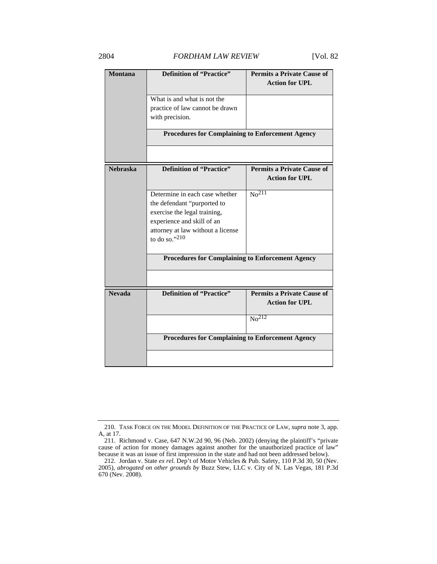## 2804 *FORDHAM LAW REVIEW* [Vol. 82

| <b>Montana</b>  | <b>Definition of "Practice"</b>                                                                                                                                                      | <b>Permits a Private Cause of</b><br><b>Action for UPL</b> |
|-----------------|--------------------------------------------------------------------------------------------------------------------------------------------------------------------------------------|------------------------------------------------------------|
|                 | What is and what is not the<br>practice of law cannot be drawn<br>with precision.                                                                                                    |                                                            |
|                 | <b>Procedures for Complaining to Enforcement Agency</b>                                                                                                                              |                                                            |
|                 |                                                                                                                                                                                      |                                                            |
| <b>Nebraska</b> | <b>Definition of "Practice"</b>                                                                                                                                                      | <b>Permits a Private Cause of</b><br><b>Action for UPL</b> |
|                 | Determine in each case whether<br>the defendant "purported to<br>exercise the legal training,<br>experience and skill of an<br>attorney at law without a license<br>to do so." $210$ | No <sup>211</sup>                                          |
|                 | <b>Procedures for Complaining to Enforcement Agency</b>                                                                                                                              |                                                            |
|                 |                                                                                                                                                                                      |                                                            |
| <b>Nevada</b>   | <b>Definition of "Practice"</b>                                                                                                                                                      | <b>Permits a Private Cause of</b><br><b>Action for UPL</b> |
|                 |                                                                                                                                                                                      | $\overline{No^{212}}$                                      |
|                 | <b>Procedures for Complaining to Enforcement Agency</b>                                                                                                                              |                                                            |
|                 |                                                                                                                                                                                      |                                                            |

 <sup>210.</sup> TASK FORCE ON THE MODEL DEFINITION OF THE PRACTICE OF LAW, *supra* note 3, app. A, at 17.

 <sup>211.</sup> Richmond v. Case, 647 N.W.2d 90, 96 (Neb. 2002) (denying the plaintiff's "private cause of action for money damages against another for the unauthorized practice of law" because it was an issue of first impression in the state and had not been addressed below).

 <sup>212.</sup> Jordan v. State *ex rel.* Dep't of Motor Vehicles & Pub. Safety, 110 P.3d 30, 50 (Nev. 2005), *abrogated on other grounds by* Buzz Stew, LLC v. City of N. Las Vegas, 181 P.3d 670 (Nev. 2008).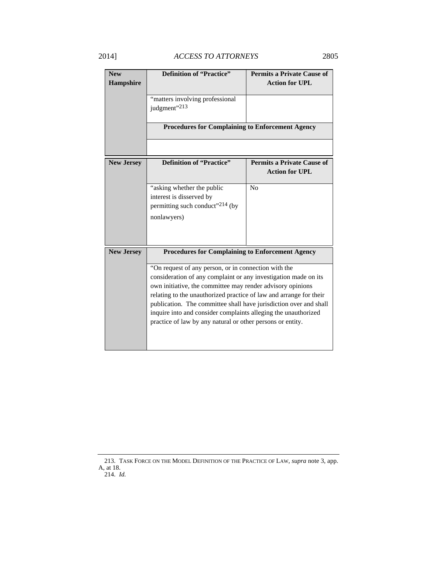# 2014] *ACCESS TO ATTORNEYS* 2805

| <b>Definition of "Practice"</b>                         | <b>Permits a Private Cause of</b>                                                                                                                                                                                                                                                                                                                                                                                                                                                                                                                                                                                                                       |
|---------------------------------------------------------|---------------------------------------------------------------------------------------------------------------------------------------------------------------------------------------------------------------------------------------------------------------------------------------------------------------------------------------------------------------------------------------------------------------------------------------------------------------------------------------------------------------------------------------------------------------------------------------------------------------------------------------------------------|
|                                                         | <b>Action for UPL</b>                                                                                                                                                                                                                                                                                                                                                                                                                                                                                                                                                                                                                                   |
|                                                         |                                                                                                                                                                                                                                                                                                                                                                                                                                                                                                                                                                                                                                                         |
|                                                         |                                                                                                                                                                                                                                                                                                                                                                                                                                                                                                                                                                                                                                                         |
|                                                         |                                                                                                                                                                                                                                                                                                                                                                                                                                                                                                                                                                                                                                                         |
|                                                         |                                                                                                                                                                                                                                                                                                                                                                                                                                                                                                                                                                                                                                                         |
| <b>Procedures for Complaining to Enforcement Agency</b> |                                                                                                                                                                                                                                                                                                                                                                                                                                                                                                                                                                                                                                                         |
|                                                         |                                                                                                                                                                                                                                                                                                                                                                                                                                                                                                                                                                                                                                                         |
| <b>Definition of "Practice"</b>                         | <b>Permits a Private Cause of</b>                                                                                                                                                                                                                                                                                                                                                                                                                                                                                                                                                                                                                       |
|                                                         | <b>Action for UPL</b>                                                                                                                                                                                                                                                                                                                                                                                                                                                                                                                                                                                                                                   |
|                                                         | N <sub>0</sub>                                                                                                                                                                                                                                                                                                                                                                                                                                                                                                                                                                                                                                          |
|                                                         |                                                                                                                                                                                                                                                                                                                                                                                                                                                                                                                                                                                                                                                         |
|                                                         |                                                                                                                                                                                                                                                                                                                                                                                                                                                                                                                                                                                                                                                         |
|                                                         |                                                                                                                                                                                                                                                                                                                                                                                                                                                                                                                                                                                                                                                         |
|                                                         |                                                                                                                                                                                                                                                                                                                                                                                                                                                                                                                                                                                                                                                         |
|                                                         |                                                                                                                                                                                                                                                                                                                                                                                                                                                                                                                                                                                                                                                         |
|                                                         |                                                                                                                                                                                                                                                                                                                                                                                                                                                                                                                                                                                                                                                         |
| <b>Procedures for Complaining to Enforcement Agency</b> |                                                                                                                                                                                                                                                                                                                                                                                                                                                                                                                                                                                                                                                         |
|                                                         |                                                                                                                                                                                                                                                                                                                                                                                                                                                                                                                                                                                                                                                         |
|                                                         |                                                                                                                                                                                                                                                                                                                                                                                                                                                                                                                                                                                                                                                         |
|                                                         |                                                                                                                                                                                                                                                                                                                                                                                                                                                                                                                                                                                                                                                         |
|                                                         |                                                                                                                                                                                                                                                                                                                                                                                                                                                                                                                                                                                                                                                         |
|                                                         |                                                                                                                                                                                                                                                                                                                                                                                                                                                                                                                                                                                                                                                         |
|                                                         |                                                                                                                                                                                                                                                                                                                                                                                                                                                                                                                                                                                                                                                         |
|                                                         |                                                                                                                                                                                                                                                                                                                                                                                                                                                                                                                                                                                                                                                         |
|                                                         |                                                                                                                                                                                                                                                                                                                                                                                                                                                                                                                                                                                                                                                         |
|                                                         |                                                                                                                                                                                                                                                                                                                                                                                                                                                                                                                                                                                                                                                         |
|                                                         |                                                                                                                                                                                                                                                                                                                                                                                                                                                                                                                                                                                                                                                         |
|                                                         | "matters involving professional<br>judgment" <sup>213</sup><br>"asking whether the public<br>interest is disserved by<br>permitting such conduct" <sup>214</sup> (by<br>nonlawyers)<br>"On request of any person, or in connection with the<br>consideration of any complaint or any investigation made on its<br>own initiative, the committee may render advisory opinions<br>relating to the unauthorized practice of law and arrange for their<br>publication. The committee shall have jurisdiction over and shall<br>inquire into and consider complaints alleging the unauthorized<br>practice of law by any natural or other persons or entity. |

 <sup>213.</sup> TASK FORCE ON THE MODEL DEFINITION OF THE PRACTICE OF LAW, *supra* note 3, app. A, at 18. 214. *Id.*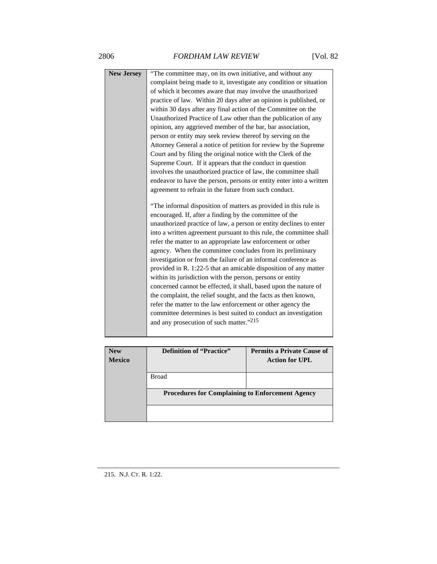| <b>New Jersey</b> | "The committee may, on its own initiative, and without any          |
|-------------------|---------------------------------------------------------------------|
|                   | complaint being made to it, investigate any condition or situation  |
|                   | of which it becomes aware that may involve the unauthorized         |
|                   | practice of law. Within 20 days after an opinion is published, or   |
|                   | within 30 days after any final action of the Committee on the       |
|                   | Unauthorized Practice of Law other than the publication of any      |
|                   | opinion, any aggrieved member of the bar, bar association,          |
|                   | person or entity may seek review thereof by serving on the          |
|                   | Attorney General a notice of petition for review by the Supreme     |
|                   | Court and by filing the original notice with the Clerk of the       |
|                   | Supreme Court. If it appears that the conduct in question           |
|                   | involves the unauthorized practice of law, the committee shall      |
|                   | endeavor to have the person, persons or entity enter into a written |
|                   | agreement to refrain in the future from such conduct.               |
|                   |                                                                     |
|                   | "The informal disposition of matters as provided in this rule is    |
|                   | encouraged. If, after a finding by the committee of the             |
|                   | unauthorized practice of law, a person or entity declines to enter  |
|                   | into a written agreement pursuant to this rule, the committee shall |
|                   | refer the matter to an appropriate law enforcement or other         |
|                   | agency. When the committee concludes from its preliminary           |
|                   | investigation or from the failure of an informal conference as      |
|                   | provided in R. 1:22-5 that an amicable disposition of any matter    |
|                   | within its jurisdiction with the person, persons or entity          |
|                   | concerned cannot be effected, it shall, based upon the nature of    |
|                   | the complaint, the relief sought, and the facts as then known,      |
|                   | refer the matter to the law enforcement or other agency the         |
|                   | committee determines is best suited to conduct an investigation     |
|                   | and any prosecution of such matter."215                             |
|                   |                                                                     |
|                   |                                                                     |

| <b>New</b>    | <b>Definition of "Practice"</b>                         | <b>Permits a Private Cause of</b> |
|---------------|---------------------------------------------------------|-----------------------------------|
| <b>Mexico</b> |                                                         | <b>Action for UPL</b>             |
|               |                                                         |                                   |
|               | <b>Broad</b>                                            |                                   |
|               |                                                         |                                   |
|               | <b>Procedures for Complaining to Enforcement Agency</b> |                                   |
|               |                                                         |                                   |
|               |                                                         |                                   |
|               |                                                         |                                   |

215. N.J. CT. R. 1:22.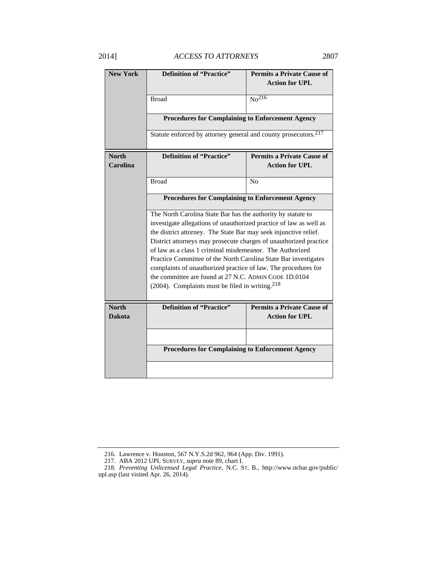| <b>New York</b>               | <b>Definition of "Practice"</b>                                                                                                                                                                                                                                                                                                                                                                                                                                                                                                                                                                         | <b>Permits a Private Cause of</b><br><b>Action for UPL</b> |
|-------------------------------|---------------------------------------------------------------------------------------------------------------------------------------------------------------------------------------------------------------------------------------------------------------------------------------------------------------------------------------------------------------------------------------------------------------------------------------------------------------------------------------------------------------------------------------------------------------------------------------------------------|------------------------------------------------------------|
|                               | <b>Broad</b>                                                                                                                                                                                                                                                                                                                                                                                                                                                                                                                                                                                            | $\overline{\text{No}^{216}}$                               |
|                               | <b>Procedures for Complaining to Enforcement Agency</b>                                                                                                                                                                                                                                                                                                                                                                                                                                                                                                                                                 |                                                            |
|                               | Statute enforced by attorney general and county prosecutors. <sup>217</sup>                                                                                                                                                                                                                                                                                                                                                                                                                                                                                                                             |                                                            |
| <b>North</b>                  | <b>Definition of "Practice"</b>                                                                                                                                                                                                                                                                                                                                                                                                                                                                                                                                                                         | <b>Permits a Private Cause of</b>                          |
| Carolina                      |                                                                                                                                                                                                                                                                                                                                                                                                                                                                                                                                                                                                         | <b>Action for UPL</b>                                      |
|                               | <b>Broad</b>                                                                                                                                                                                                                                                                                                                                                                                                                                                                                                                                                                                            | N <sub>0</sub>                                             |
|                               | <b>Procedures for Complaining to Enforcement Agency</b>                                                                                                                                                                                                                                                                                                                                                                                                                                                                                                                                                 |                                                            |
|                               | The North Carolina State Bar has the authority by statute to<br>investigate allegations of unauthorized practice of law as well as<br>the district attorney. The State Bar may seek injunctive relief.<br>District attorneys may prosecute charges of unauthorized practice<br>of law as a class 1 criminal misdemeanor. The Authorized<br>Practice Committee of the North Carolina State Bar investigates<br>complaints of unauthorized practice of law. The procedures for<br>the committee are found at 27 N.C. ADMIN CODE 1D.0104<br>$(2004)$ . Complaints must be filed in writing. <sup>218</sup> |                                                            |
| <b>North</b><br><b>Dakota</b> | <b>Definition of "Practice"</b>                                                                                                                                                                                                                                                                                                                                                                                                                                                                                                                                                                         | <b>Permits a Private Cause of</b><br><b>Action for UPL</b> |
|                               |                                                                                                                                                                                                                                                                                                                                                                                                                                                                                                                                                                                                         |                                                            |
|                               | <b>Procedures for Complaining to Enforcement Agency</b>                                                                                                                                                                                                                                                                                                                                                                                                                                                                                                                                                 |                                                            |
|                               |                                                                                                                                                                                                                                                                                                                                                                                                                                                                                                                                                                                                         |                                                            |

 <sup>216.</sup> Lawrence v. Houston, 567 N.Y.S.2d 962, 964 (App. Div. 1991).

 <sup>217.</sup> ABA 2012 UPL SURVEY, *supra* note 89, chart I.

 <sup>218.</sup> *Preventing Unlicensed Legal Practice*, N.C. ST. B., http://www.ncbar.gov/public/ upl.asp (last visited Apr. 26, 2014).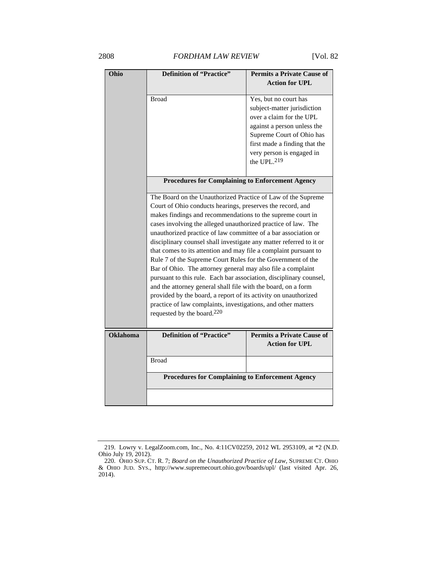## 2808 *FORDHAM LAW REVIEW* [Vol. 82

| Ohio            | <b>Definition of "Practice"</b>                                                                                                       | <b>Permits a Private Cause of</b>                       |
|-----------------|---------------------------------------------------------------------------------------------------------------------------------------|---------------------------------------------------------|
|                 |                                                                                                                                       | <b>Action for UPL</b>                                   |
|                 | <b>Broad</b>                                                                                                                          | Yes, but no court has                                   |
|                 |                                                                                                                                       | subject-matter jurisdiction                             |
|                 |                                                                                                                                       | over a claim for the UPL<br>against a person unless the |
|                 |                                                                                                                                       | Supreme Court of Ohio has                               |
|                 |                                                                                                                                       | first made a finding that the                           |
|                 |                                                                                                                                       | very person is engaged in                               |
|                 |                                                                                                                                       | the UPL. <sup>219</sup>                                 |
|                 | <b>Procedures for Complaining to Enforcement Agency</b>                                                                               |                                                         |
|                 |                                                                                                                                       |                                                         |
|                 | The Board on the Unauthorized Practice of Law of the Supreme                                                                          |                                                         |
|                 | Court of Ohio conducts hearings, preserves the record, and                                                                            |                                                         |
|                 | makes findings and recommendations to the supreme court in<br>cases involving the alleged unauthorized practice of law. The           |                                                         |
|                 |                                                                                                                                       |                                                         |
|                 | unauthorized practice of law committee of a bar association or<br>disciplinary counsel shall investigate any matter referred to it or |                                                         |
|                 | that comes to its attention and may file a complaint pursuant to                                                                      |                                                         |
|                 | Rule 7 of the Supreme Court Rules for the Government of the                                                                           |                                                         |
|                 | Bar of Ohio. The attorney general may also file a complaint                                                                           |                                                         |
|                 | pursuant to this rule. Each bar association, disciplinary counsel,                                                                    |                                                         |
|                 | and the attorney general shall file with the board, on a form                                                                         |                                                         |
|                 | provided by the board, a report of its activity on unauthorized<br>practice of law complaints, investigations, and other matters      |                                                         |
|                 | requested by the board. $220$                                                                                                         |                                                         |
|                 |                                                                                                                                       |                                                         |
| <b>Oklahoma</b> | <b>Definition of "Practice"</b>                                                                                                       | <b>Permits a Private Cause of</b>                       |
|                 |                                                                                                                                       | <b>Action for UPL</b>                                   |
|                 | <b>Broad</b>                                                                                                                          |                                                         |
|                 | <b>Procedures for Complaining to Enforcement Agency</b>                                                                               |                                                         |
|                 |                                                                                                                                       |                                                         |

 <sup>219.</sup> Lowry v. LegalZoom.com, Inc., No. 4:11CV02259, 2012 WL 2953109, at \*2 (N.D. Ohio July 19, 2012).

 <sup>220.</sup> OHIO SUP. CT. R. 7; *Board on the Unauthorized Practice of Law*, SUPREME CT. OHIO & OHIO JUD. SYS., http://www.supremecourt.ohio.gov/boards/upl/ (last visited Apr. 26, 2014).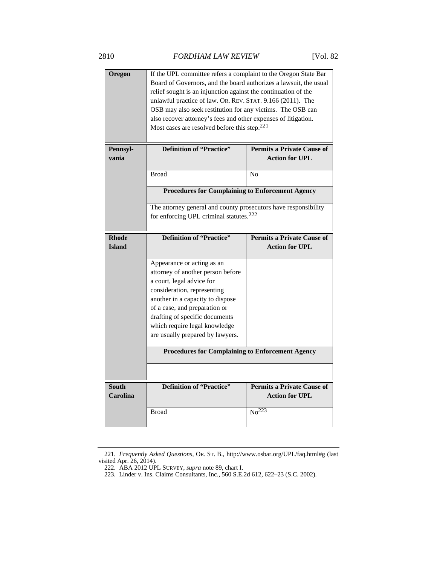| Oregon                        | If the UPL committee refers a complaint to the Oregon State Bar<br>Board of Governors, and the board authorizes a lawsuit, the usual<br>relief sought is an injunction against the continuation of the<br>unlawful practice of law. OR. REV. STAT. 9.166 (2011). The<br>OSB may also seek restitution for any victims. The OSB can<br>also recover attorney's fees and other expenses of litigation.<br>Most cases are resolved before this step. <sup>221</sup> |                                                                                            |
|-------------------------------|------------------------------------------------------------------------------------------------------------------------------------------------------------------------------------------------------------------------------------------------------------------------------------------------------------------------------------------------------------------------------------------------------------------------------------------------------------------|--------------------------------------------------------------------------------------------|
| Pennsyl-<br>vania             | <b>Definition of "Practice"</b>                                                                                                                                                                                                                                                                                                                                                                                                                                  | <b>Permits a Private Cause of</b><br><b>Action for UPL</b>                                 |
|                               | <b>Broad</b>                                                                                                                                                                                                                                                                                                                                                                                                                                                     | N <sub>0</sub>                                                                             |
|                               | <b>Procedures for Complaining to Enforcement Agency</b>                                                                                                                                                                                                                                                                                                                                                                                                          |                                                                                            |
|                               | The attorney general and county prosecutors have responsibility                                                                                                                                                                                                                                                                                                                                                                                                  |                                                                                            |
|                               | for enforcing UPL criminal statutes. <sup>222</sup>                                                                                                                                                                                                                                                                                                                                                                                                              |                                                                                            |
| <b>Rhode</b><br><b>Island</b> | <b>Definition of "Practice"</b>                                                                                                                                                                                                                                                                                                                                                                                                                                  | <b>Permits a Private Cause of</b><br><b>Action for UPL</b>                                 |
|                               | Appearance or acting as an<br>attorney of another person before<br>a court, legal advice for<br>consideration, representing<br>another in a capacity to dispose<br>of a case, and preparation or<br>drafting of specific documents                                                                                                                                                                                                                               |                                                                                            |
|                               | which require legal knowledge<br>are usually prepared by lawyers.                                                                                                                                                                                                                                                                                                                                                                                                |                                                                                            |
|                               | <b>Procedures for Complaining to Enforcement Agency</b>                                                                                                                                                                                                                                                                                                                                                                                                          |                                                                                            |
|                               |                                                                                                                                                                                                                                                                                                                                                                                                                                                                  |                                                                                            |
| <b>South</b><br>Carolina      | <b>Definition of "Practice"</b>                                                                                                                                                                                                                                                                                                                                                                                                                                  | <b>Permits a Private Cause of</b><br><b>Action for UPL</b><br>$\overline{\text{No}^{223}}$ |

 <sup>221.</sup> *Frequently Asked Questions*, OR. ST. B., http://www.osbar.org/UPL/faq.html#g (last visited Apr. 26, 2014).

 <sup>222.</sup> ABA 2012 UPL SURVEY, *supra* note 89, chart I.

 <sup>223.</sup> Linder v. Ins. Claims Consultants, Inc., 560 S.E.2d 612, 622–23 (S.C. 2002).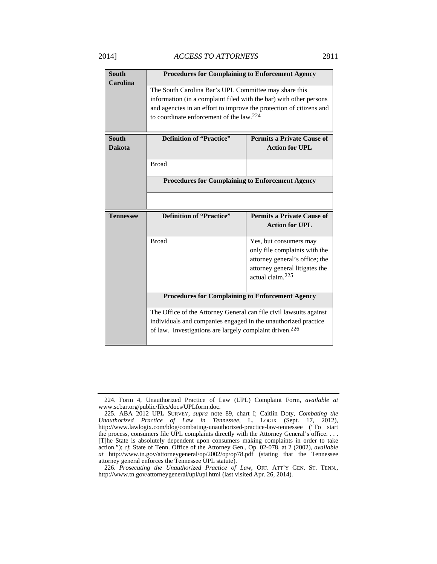| <b>South</b><br>Carolina      | <b>Procedures for Complaining to Enforcement Agency</b>                                                                                                                                                                                                    |                                                                                           |  |
|-------------------------------|------------------------------------------------------------------------------------------------------------------------------------------------------------------------------------------------------------------------------------------------------------|-------------------------------------------------------------------------------------------|--|
|                               | The South Carolina Bar's UPL Committee may share this<br>information (in a complaint filed with the bar) with other persons<br>and agencies in an effort to improve the protection of citizens and<br>to coordinate enforcement of the law. <sup>224</sup> |                                                                                           |  |
| <b>South</b><br><b>Dakota</b> | <b>Definition of "Practice"</b>                                                                                                                                                                                                                            | <b>Permits a Private Cause of</b><br><b>Action for UPL</b>                                |  |
|                               | <b>Broad</b>                                                                                                                                                                                                                                               |                                                                                           |  |
|                               | <b>Procedures for Complaining to Enforcement Agency</b>                                                                                                                                                                                                    |                                                                                           |  |
|                               |                                                                                                                                                                                                                                                            |                                                                                           |  |
| <b>Tennessee</b>              | <b>Definition of "Practice"</b>                                                                                                                                                                                                                            | <b>Permits a Private Cause of</b>                                                         |  |
|                               |                                                                                                                                                                                                                                                            | <b>Action for UPL</b>                                                                     |  |
|                               | <b>Broad</b>                                                                                                                                                                                                                                               | Yes, but consumers may<br>only file complaints with the<br>attorney general's office; the |  |
|                               |                                                                                                                                                                                                                                                            | attorney general litigates the<br>actual claim. <sup>225</sup>                            |  |
|                               | <b>Procedures for Complaining to Enforcement Agency</b>                                                                                                                                                                                                    |                                                                                           |  |

 <sup>224.</sup> Form 4, Unauthorized Practice of Law (UPL) Complaint Form, *available at* www.scbar.org/public/files/docs/UPLform.doc.

 <sup>225.</sup> ABA 2012 UPL SURVEY, *supra* note 89, chart I; Caitlin Doty, *Combating the Unauthorized Practice of Law in Tennessee*, L. LOGIX (Sept. 17, 2012), http://www.lawlogix.com/blog/combating-unauthorized-practice-law-tennessee ("To start the process, consumers file UPL complaints directly with the Attorney General's office. . . . [T]he State is absolutely dependent upon consumers making complaints in order to take action."); *cf.* State of Tenn. Office of the Attorney Gen., Op. 02-078, at 2 (2002), *available at* http://www.tn.gov/attorneygeneral/op/2002/op/op78.pdf (stating that the Tennessee attorney general enforces the Tennessee UPL statute).

 <sup>226.</sup> *Prosecuting the Unauthorized Practice of Law*, OFF. ATT'Y GEN. ST. TENN., http://www.tn.gov/attorneygeneral/upl/upl.html (last visited Apr. 26, 2014).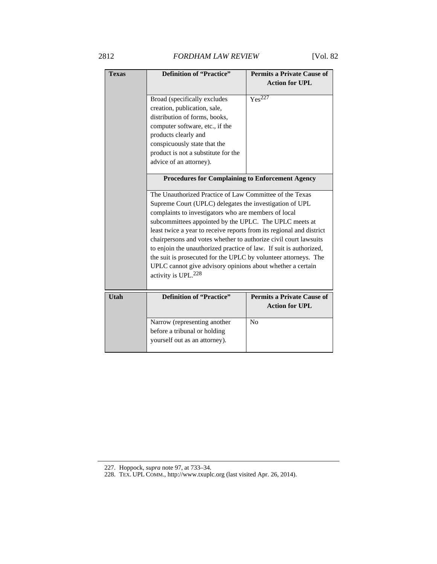2812 *FORDHAM LAW REVIEW* [Vol. 82

| <b>Texas</b> | <b>Definition of "Practice"</b>                                                                                                                                                                                                                                                                                                                                                                     | <b>Permits a Private Cause of</b><br><b>Action for UPL</b> |  |
|--------------|-----------------------------------------------------------------------------------------------------------------------------------------------------------------------------------------------------------------------------------------------------------------------------------------------------------------------------------------------------------------------------------------------------|------------------------------------------------------------|--|
|              | Broad (specifically excludes<br>creation, publication, sale,                                                                                                                                                                                                                                                                                                                                        | $Y_{\rm es}^{227}$                                         |  |
|              | distribution of forms, books,<br>computer software, etc., if the                                                                                                                                                                                                                                                                                                                                    |                                                            |  |
|              | products clearly and                                                                                                                                                                                                                                                                                                                                                                                |                                                            |  |
|              | conspicuously state that the                                                                                                                                                                                                                                                                                                                                                                        |                                                            |  |
|              | product is not a substitute for the<br>advice of an attorney).                                                                                                                                                                                                                                                                                                                                      |                                                            |  |
|              | <b>Procedures for Complaining to Enforcement Agency</b>                                                                                                                                                                                                                                                                                                                                             |                                                            |  |
|              | The Unauthorized Practice of Law Committee of the Texas                                                                                                                                                                                                                                                                                                                                             |                                                            |  |
|              | Supreme Court (UPLC) delegates the investigation of UPL                                                                                                                                                                                                                                                                                                                                             |                                                            |  |
|              | complaints to investigators who are members of local<br>subcommittees appointed by the UPLC. The UPLC meets at<br>least twice a year to receive reports from its regional and district<br>chairpersons and votes whether to authorize civil court lawsuits<br>to enjoin the unauthorized practice of law. If suit is authorized,<br>the suit is prosecuted for the UPLC by volunteer attorneys. The |                                                            |  |
|              |                                                                                                                                                                                                                                                                                                                                                                                                     |                                                            |  |
|              |                                                                                                                                                                                                                                                                                                                                                                                                     |                                                            |  |
|              |                                                                                                                                                                                                                                                                                                                                                                                                     |                                                            |  |
|              |                                                                                                                                                                                                                                                                                                                                                                                                     |                                                            |  |
|              | UPLC cannot give advisory opinions about whether a certain                                                                                                                                                                                                                                                                                                                                          |                                                            |  |
|              | activity is UPL. <sup>228</sup>                                                                                                                                                                                                                                                                                                                                                                     |                                                            |  |
| Utah         | <b>Definition of "Practice"</b>                                                                                                                                                                                                                                                                                                                                                                     | <b>Permits a Private Cause of</b><br><b>Action for UPL</b> |  |
|              | Narrow (representing another                                                                                                                                                                                                                                                                                                                                                                        | N <sub>0</sub>                                             |  |
|              | before a tribunal or holding                                                                                                                                                                                                                                                                                                                                                                        |                                                            |  |
|              | yourself out as an attorney).                                                                                                                                                                                                                                                                                                                                                                       |                                                            |  |

 <sup>227.</sup> Hoppock, *supra* note 97, at 733–34.

 <sup>228.</sup> TEX. UPL COMM., http://www.txuplc.org (last visited Apr. 26, 2014).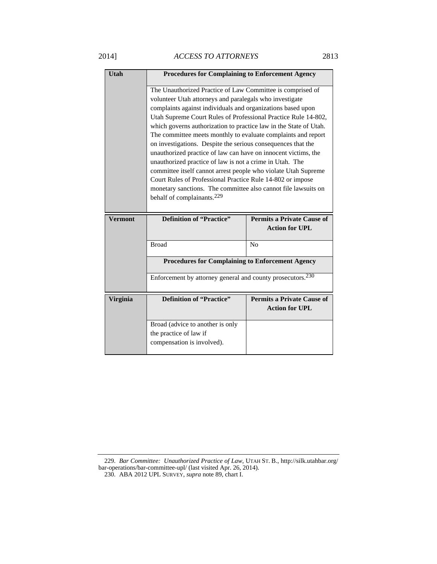# 2014] *ACCESS TO ATTORNEYS* 2813

| Utah            | <b>Procedures for Complaining to Enforcement Agency</b>                                                                                                                                                                                                                                                                                                                                                                                                                                                                                                                                                                                                                                                                                                                                                                                |                                                            |
|-----------------|----------------------------------------------------------------------------------------------------------------------------------------------------------------------------------------------------------------------------------------------------------------------------------------------------------------------------------------------------------------------------------------------------------------------------------------------------------------------------------------------------------------------------------------------------------------------------------------------------------------------------------------------------------------------------------------------------------------------------------------------------------------------------------------------------------------------------------------|------------------------------------------------------------|
|                 | The Unauthorized Practice of Law Committee is comprised of<br>volunteer Utah attorneys and paralegals who investigate<br>complaints against individuals and organizations based upon<br>Utah Supreme Court Rules of Professional Practice Rule 14-802,<br>which governs authorization to practice law in the State of Utah.<br>The committee meets monthly to evaluate complaints and report<br>on investigations. Despite the serious consequences that the<br>unauthorized practice of law can have on innocent victims, the<br>unauthorized practice of law is not a crime in Utah. The<br>committee itself cannot arrest people who violate Utah Supreme<br>Court Rules of Professional Practice Rule 14-802 or impose<br>monetary sanctions. The committee also cannot file lawsuits on<br>behalf of complainants. <sup>229</sup> |                                                            |
|                 |                                                                                                                                                                                                                                                                                                                                                                                                                                                                                                                                                                                                                                                                                                                                                                                                                                        |                                                            |
| <b>Vermont</b>  | <b>Definition of "Practice"</b>                                                                                                                                                                                                                                                                                                                                                                                                                                                                                                                                                                                                                                                                                                                                                                                                        | <b>Permits a Private Cause of</b><br><b>Action for UPL</b> |
|                 | <b>Broad</b>                                                                                                                                                                                                                                                                                                                                                                                                                                                                                                                                                                                                                                                                                                                                                                                                                           | N <sub>0</sub>                                             |
|                 | <b>Procedures for Complaining to Enforcement Agency</b>                                                                                                                                                                                                                                                                                                                                                                                                                                                                                                                                                                                                                                                                                                                                                                                |                                                            |
|                 | Enforcement by attorney general and county prosecutors. <sup>230</sup>                                                                                                                                                                                                                                                                                                                                                                                                                                                                                                                                                                                                                                                                                                                                                                 |                                                            |
| <b>Virginia</b> | <b>Definition of "Practice"</b>                                                                                                                                                                                                                                                                                                                                                                                                                                                                                                                                                                                                                                                                                                                                                                                                        | <b>Permits a Private Cause of</b><br><b>Action for UPL</b> |

 229. *Bar Committee: Unauthorized Practice of Law*, UTAH ST. B., http://silk.utahbar.org/ bar-operations/bar-committee-upl/ (last visited Apr. 26, 2014).

230. ABA 2012 UPL SURVEY, *supra* note 89, chart I.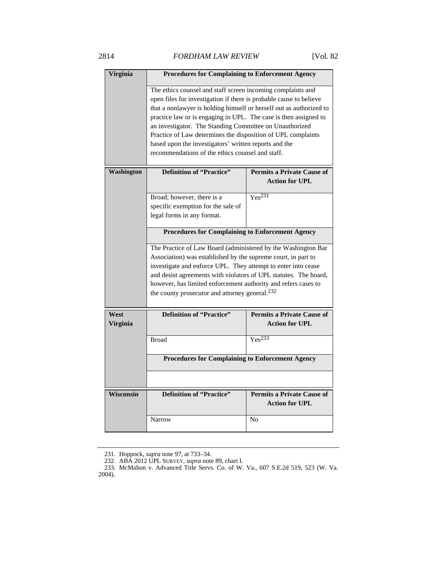| <b>Virginia</b>  | <b>Procedures for Complaining to Enforcement Agency</b>                                                                                                                                                                                                                                                                                                                                                                                                                                                              |                                                            |  |
|------------------|----------------------------------------------------------------------------------------------------------------------------------------------------------------------------------------------------------------------------------------------------------------------------------------------------------------------------------------------------------------------------------------------------------------------------------------------------------------------------------------------------------------------|------------------------------------------------------------|--|
|                  |                                                                                                                                                                                                                                                                                                                                                                                                                                                                                                                      |                                                            |  |
|                  | The ethics counsel and staff screen incoming complaints and<br>open files for investigation if there is probable cause to believe<br>that a nonlawyer is holding himself or herself out as authorized to<br>practice law or is engaging in UPL. The case is then assigned to<br>an investigator. The Standing Committee on Unauthorized<br>Practice of Law determines the disposition of UPL complaints<br>based upon the investigators' written reports and the<br>recommendations of the ethics counsel and staff. |                                                            |  |
| Washington       | <b>Definition of "Practice"</b>                                                                                                                                                                                                                                                                                                                                                                                                                                                                                      | <b>Permits a Private Cause of</b>                          |  |
|                  |                                                                                                                                                                                                                                                                                                                                                                                                                                                                                                                      | <b>Action for UPL</b>                                      |  |
|                  | Broad; however, there is a                                                                                                                                                                                                                                                                                                                                                                                                                                                                                           | Yes <sup>231</sup>                                         |  |
|                  | specific exemption for the sale of                                                                                                                                                                                                                                                                                                                                                                                                                                                                                   |                                                            |  |
|                  | legal forms in any format.                                                                                                                                                                                                                                                                                                                                                                                                                                                                                           |                                                            |  |
|                  |                                                                                                                                                                                                                                                                                                                                                                                                                                                                                                                      |                                                            |  |
|                  | <b>Procedures for Complaining to Enforcement Agency</b>                                                                                                                                                                                                                                                                                                                                                                                                                                                              |                                                            |  |
|                  | The Practice of Law Board (administered by the Washington Bar<br>Association) was established by the supreme court, in part to<br>investigate and enforce UPL. They attempt to enter into cease<br>and desist agreements with violators of UPL statutes. The board,<br>however, has limited enforcement authority and refers cases to<br>the county prosecutor and attorney general. <sup>232</sup>                                                                                                                  |                                                            |  |
| West<br>Virginia | <b>Definition of "Practice"</b>                                                                                                                                                                                                                                                                                                                                                                                                                                                                                      | <b>Permits a Private Cause of</b><br><b>Action for UPL</b> |  |
|                  | <b>Broad</b>                                                                                                                                                                                                                                                                                                                                                                                                                                                                                                         | Yes <sup>233</sup>                                         |  |
|                  | <b>Procedures for Complaining to Enforcement Agency</b>                                                                                                                                                                                                                                                                                                                                                                                                                                                              |                                                            |  |
| <b>Wisconsin</b> | <b>Definition of "Practice"</b>                                                                                                                                                                                                                                                                                                                                                                                                                                                                                      | <b>Permits a Private Cause of</b>                          |  |
|                  |                                                                                                                                                                                                                                                                                                                                                                                                                                                                                                                      | <b>Action for UPL</b>                                      |  |
|                  | <b>Narrow</b>                                                                                                                                                                                                                                                                                                                                                                                                                                                                                                        | N <sub>0</sub>                                             |  |

 <sup>231.</sup> Hoppock, *supra* note 97, at 733–34.

 <sup>232.</sup> ABA 2012 UPL SURVEY, *supra* note 89, chart I.

 <sup>233.</sup> McMahon v. Advanced Title Servs. Co. of W. Va., 607 S.E.2d 519, 523 (W. Va. 2004).